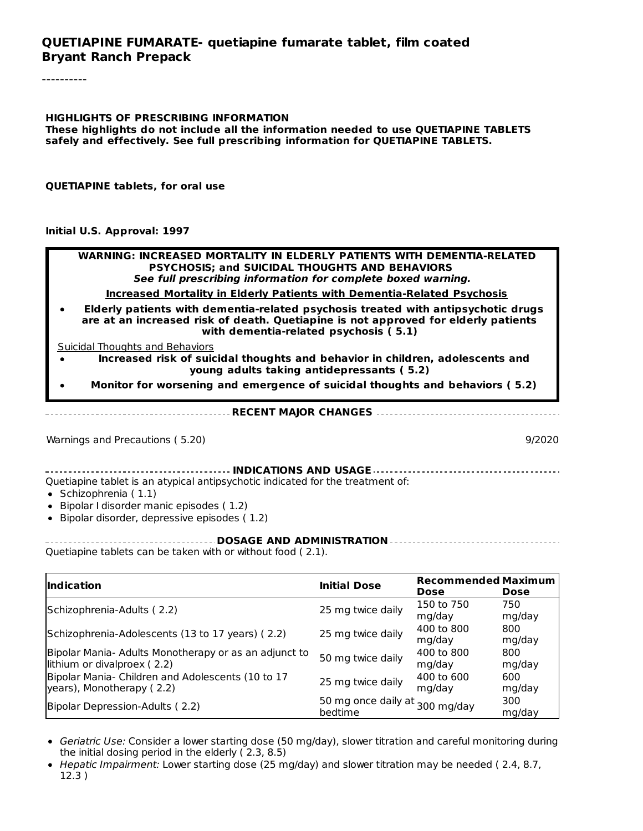#### **QUETIAPINE FUMARATE- quetiapine fumarate tablet, film coated Bryant Ranch Prepack**

----------

#### **HIGHLIGHTS OF PRESCRIBING INFORMATION**

**These highlights do not include all the information needed to use QUETIAPINE TABLETS safely and effectively. See full prescribing information for QUETIAPINE TABLETS.**

**QUETIAPINE tablets, for oral use**

#### **Initial U.S. Approval: 1997**

**WARNING: INCREASED MORTALITY IN ELDERLY PATIENTS WITH DEMENTIA-RELATED PSYCHOSIS; and SUICIDAL THOUGHTS AND BEHAVIORS See full prescribing information for complete boxed warning.**

**Increased Mortality in Elderly Patients with Dementia-Related Psychosis**

**Elderly patients with dementia-related psychosis treated with antipsychotic drugs are at an increased risk of death. Quetiapine is not approved for elderly patients with dementia-related psychosis ( 5.1)**

Suicidal Thoughts and Behaviors

- **Increased risk of suicidal thoughts and behavior in children, adolescents and**  $\bullet$ **young adults taking antidepressants ( 5.2)**
- **Monitor for worsening and emergence of suicidal thoughts and behaviors ( 5.2)**

**RECENT MAJOR CHANGES**

Warnings and Precautions (5.20) 9/2020

#### **INDICATIONS AND USAGE**

- Quetiapine tablet is an atypical antipsychotic indicated for the treatment of:
- Schizophrenia (1.1)
- Bipolar I disorder manic episodes ( 1.2)
- Bipolar disorder, depressive episodes (1.2)

**DOSAGE AND ADMINISTRATION**

Quetiapine tablets can be taken with or without food ( 2.1).

| <b>Indication</b>                                                                    | <b>Initial Dose</b>                       | <b>Recommended Maximum</b><br><b>Dose</b> | <b>Dose</b>   |
|--------------------------------------------------------------------------------------|-------------------------------------------|-------------------------------------------|---------------|
| Schizophrenia-Adults (2.2)                                                           | 25 mg twice daily                         | 150 to 750<br>mg/day                      | 750<br>mg/day |
| Schizophrenia-Adolescents (13 to 17 years) (2.2)                                     | 25 mg twice daily                         | 400 to 800<br>mg/day                      | 800<br>mg/day |
| Bipolar Mania- Adults Monotherapy or as an adjunct to<br>lithium or divalproex (2.2) | 50 mg twice daily                         | 400 to 800<br>mg/day                      | 800<br>mg/day |
| Bipolar Mania- Children and Adolescents (10 to 17<br>years), Monotherapy (2.2)       | 25 mg twice daily                         | 400 to 600<br>mg/day                      | 600<br>mg/day |
| Bipolar Depression-Adults (2.2)                                                      | 50 mg once daily at 300 mg/day<br>bedtime |                                           | 300<br>mg/day |

- Geriatric Use: Consider a lower starting dose (50 mg/day), slower titration and careful monitoring during the initial dosing period in the elderly ( 2.3, 8.5)
- Hepatic Impairment: Lower starting dose (25 mg/day) and slower titration may be needed ( 2.4, 8.7,  $\bullet$ 12.3 )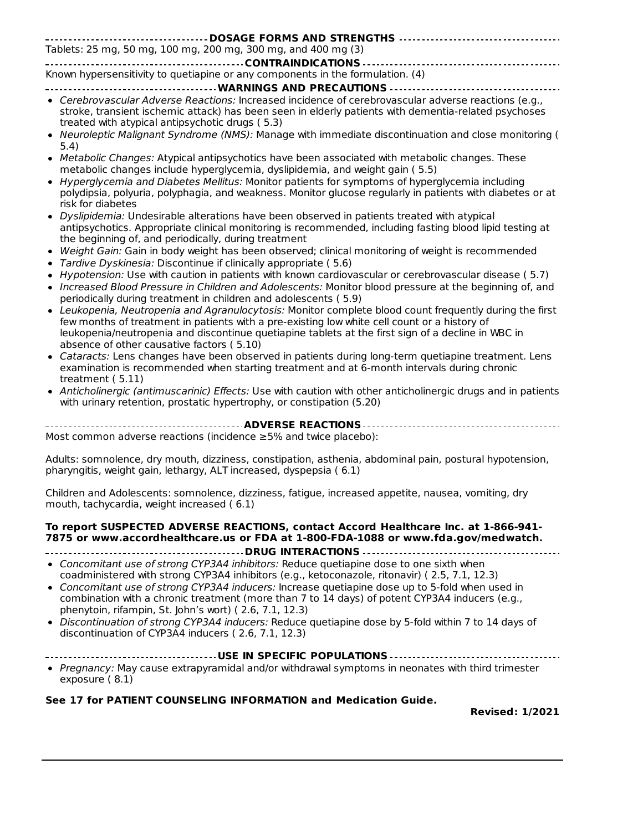# **DOSAGE FORMS AND STRENGTHS**

#### Tablets: 25 mg, 50 mg, 100 mg, 200 mg, 300 mg, and 400 mg (3)

**CONTRAINDICATIONS**

#### Known hypersensitivity to quetiapine or any components in the formulation. (4)

**WARNINGS AND PRECAUTIONS**

- Cerebrovascular Adverse Reactions: Increased incidence of cerebrovascular adverse reactions (e.g., stroke, transient ischemic attack) has been seen in elderly patients with dementia-related psychoses treated with atypical antipsychotic drugs ( 5.3)
- Neuroleptic Malignant Syndrome (NMS): Manage with immediate discontinuation and close monitoring (  $\bullet$ 5.4)
- Metabolic Changes: Atypical antipsychotics have been associated with metabolic changes. These metabolic changes include hyperglycemia, dyslipidemia, and weight gain ( 5.5)
- Hyperglycemia and Diabetes Mellitus: Monitor patients for symptoms of hyperglycemia including polydipsia, polyuria, polyphagia, and weakness. Monitor glucose regularly in patients with diabetes or at risk for diabetes
- Dyslipidemia: Undesirable alterations have been observed in patients treated with atypical antipsychotics. Appropriate clinical monitoring is recommended, including fasting blood lipid testing at the beginning of, and periodically, during treatment
- Weight Gain: Gain in body weight has been observed; clinical monitoring of weight is recommended
- Tardive Dyskinesia: Discontinue if clinically appropriate ( 5.6)
- Hypotension: Use with caution in patients with known cardiovascular or cerebrovascular disease (5.7)
- Increased Blood Pressure in Children and Adolescents: Monitor blood pressure at the beginning of, and periodically during treatment in children and adolescents ( 5.9)
- Leukopenia, Neutropenia and Agranulocytosis: Monitor complete blood count frequently during the first  $\bullet$ few months of treatment in patients with a pre-existing low white cell count or a history of leukopenia/neutropenia and discontinue quetiapine tablets at the first sign of a decline in WBC in absence of other causative factors ( 5.10)
- Cataracts: Lens changes have been observed in patients during long-term quetiapine treatment. Lens examination is recommended when starting treatment and at 6-month intervals during chronic treatment ( 5.11)
- Anticholinergic (antimuscarinic) Effects: Use with caution with other anticholinergic drugs and in patients with urinary retention, prostatic hypertrophy, or constipation (5.20)

**ADVERSE REACTIONS** Most common adverse reactions (incidence ≥5% and twice placebo):

Adults: somnolence, dry mouth, dizziness, constipation, asthenia, abdominal pain, postural hypotension, pharyngitis, weight gain, lethargy, ALT increased, dyspepsia ( 6.1)

Children and Adolescents: somnolence, dizziness, fatigue, increased appetite, nausea, vomiting, dry mouth, tachycardia, weight increased ( 6.1)

#### **To report SUSPECTED ADVERSE REACTIONS, contact Accord Healthcare Inc. at 1-866-941- 7875 or www.accordhealthcare.us or FDA at 1-800-FDA-1088 or www.fda.gov/medwatch.**

- **DRUG INTERACTIONS**
- Concomitant use of strong CYP3A4 inhibitors: Reduce quetiapine dose to one sixth when coadministered with strong CYP3A4 inhibitors (e.g., ketoconazole, ritonavir) ( 2.5, 7.1, 12.3)
- Concomitant use of strong CYP3A4 inducers: Increase quetiapine dose up to 5-fold when used in combination with a chronic treatment (more than 7 to 14 days) of potent CYP3A4 inducers (e.g., phenytoin, rifampin, St. John's wort) ( 2.6, 7.1, 12.3)
- Discontinuation of strong CYP3A4 inducers: Reduce quetiapine dose by 5-fold within 7 to 14 days of discontinuation of CYP3A4 inducers ( 2.6, 7.1, 12.3)
- **USE IN SPECIFIC POPULATIONS**
- Pregnancy: May cause extrapyramidal and/or withdrawal symptoms in neonates with third trimester exposure ( 8.1)

#### **See 17 for PATIENT COUNSELING INFORMATION and Medication Guide.**

**Revised: 1/2021**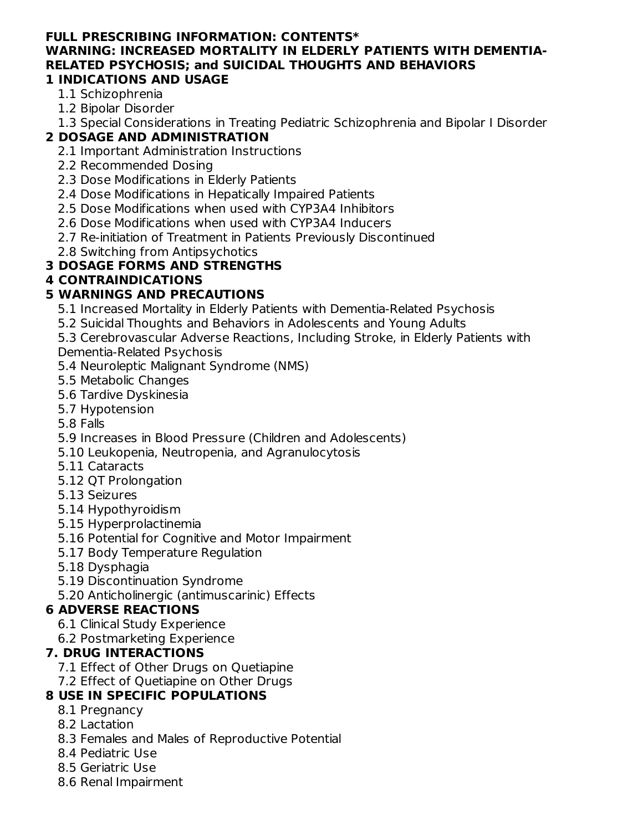#### **FULL PRESCRIBING INFORMATION: CONTENTS\* WARNING: INCREASED MORTALITY IN ELDERLY PATIENTS WITH DEMENTIA-RELATED PSYCHOSIS; and SUICIDAL THOUGHTS AND BEHAVIORS 1 INDICATIONS AND USAGE**

# 1.1 Schizophrenia

- 
- 1.2 Bipolar Disorder
- 1.3 Special Considerations in Treating Pediatric Schizophrenia and Bipolar I Disorder

# **2 DOSAGE AND ADMINISTRATION**

- 2.1 Important Administration Instructions
- 2.2 Recommended Dosing
- 2.3 Dose Modifications in Elderly Patients
- 2.4 Dose Modifications in Hepatically Impaired Patients
- 2.5 Dose Modifications when used with CYP3A4 Inhibitors
- 2.6 Dose Modifications when used with CYP3A4 Inducers
- 2.7 Re-initiation of Treatment in Patients Previously Discontinued
- 2.8 Switching from Antipsychotics

# **3 DOSAGE FORMS AND STRENGTHS**

# **4 CONTRAINDICATIONS**

# **5 WARNINGS AND PRECAUTIONS**

- 5.1 Increased Mortality in Elderly Patients with Dementia-Related Psychosis
- 5.2 Suicidal Thoughts and Behaviors in Adolescents and Young Adults
- 5.3 Cerebrovascular Adverse Reactions, Including Stroke, in Elderly Patients with

Dementia-Related Psychosis

- 5.4 Neuroleptic Malignant Syndrome (NMS)
- 5.5 Metabolic Changes
- 5.6 Tardive Dyskinesia
- 5.7 Hypotension
- 5.8 Falls
- 5.9 Increases in Blood Pressure (Children and Adolescents)
- 5.10 Leukopenia, Neutropenia, and Agranulocytosis
- 5.11 Cataracts
- 5.12 QT Prolongation
- 5.13 Seizures
- 5.14 Hypothyroidism
- 5.15 Hyperprolactinemia
- 5.16 Potential for Cognitive and Motor Impairment
- 5.17 Body Temperature Regulation
- 5.18 Dysphagia
- 5.19 Discontinuation Syndrome
- 5.20 Anticholinergic (antimuscarinic) Effects

# **6 ADVERSE REACTIONS**

- 6.1 Clinical Study Experience
- 6.2 Postmarketing Experience

# **7. DRUG INTERACTIONS**

- 7.1 Effect of Other Drugs on Quetiapine
- 7.2 Effect of Quetiapine on Other Drugs

# **8 USE IN SPECIFIC POPULATIONS**

- 8.1 Pregnancy
- 8.2 Lactation
- 8.3 Females and Males of Reproductive Potential
- 8.4 Pediatric Use
- 8.5 Geriatric Use
- 8.6 Renal Impairment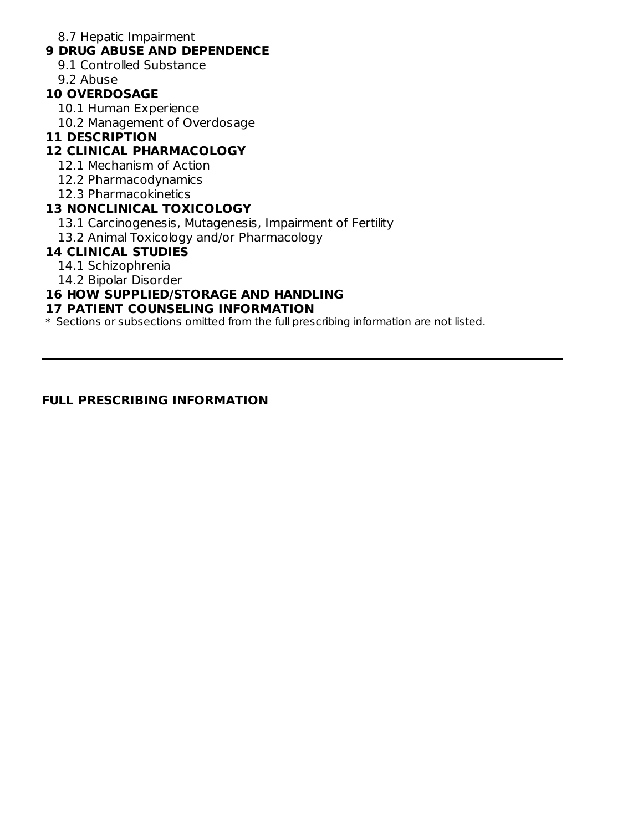8.7 Hepatic Impairment

#### **9 DRUG ABUSE AND DEPENDENCE**

- 9.1 Controlled Substance
- 9.2 Abuse

#### **10 OVERDOSAGE**

- 10.1 Human Experience
- 10.2 Management of Overdosage

### **11 DESCRIPTION**

# **12 CLINICAL PHARMACOLOGY**

- 12.1 Mechanism of Action
- 12.2 Pharmacodynamics
- 12.3 Pharmacokinetics

### **13 NONCLINICAL TOXICOLOGY**

- 13.1 Carcinogenesis, Mutagenesis, Impairment of Fertility
- 13.2 Animal Toxicology and/or Pharmacology

### **14 CLINICAL STUDIES**

- 14.1 Schizophrenia
- 14.2 Bipolar Disorder

### **16 HOW SUPPLIED/STORAGE AND HANDLING**

#### **17 PATIENT COUNSELING INFORMATION**

 $\ast$  Sections or subsections omitted from the full prescribing information are not listed.

#### **FULL PRESCRIBING INFORMATION**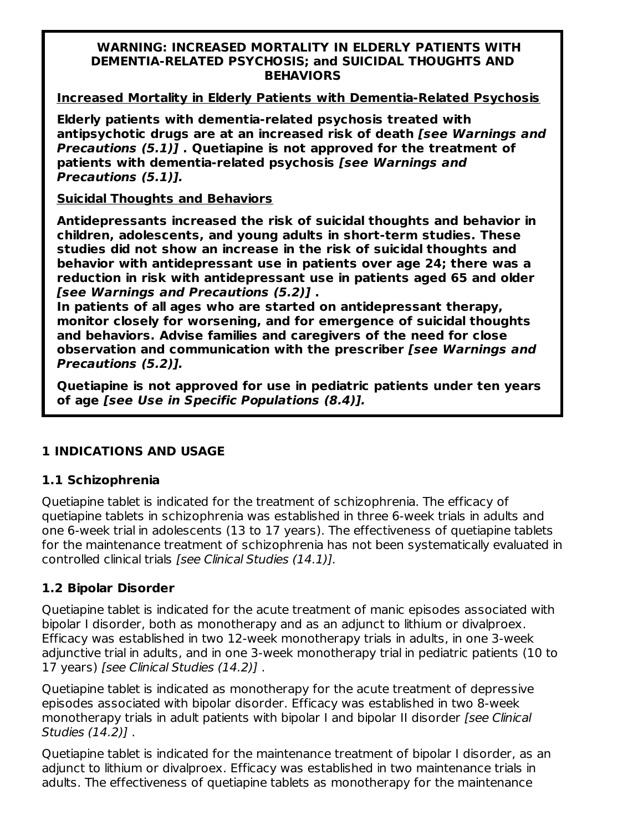#### **WARNING: INCREASED MORTALITY IN ELDERLY PATIENTS WITH DEMENTIA-RELATED PSYCHOSIS; and SUICIDAL THOUGHTS AND BEHAVIORS**

**Increased Mortality in Elderly Patients with Dementia-Related Psychosis**

**Elderly patients with dementia-related psychosis treated with antipsychotic drugs are at an increased risk of death [see Warnings and Precautions (5.1)] . Quetiapine is not approved for the treatment of patients with dementia-related psychosis [see Warnings and Precautions (5.1)].**

#### **Suicidal Thoughts and Behaviors**

**Antidepressants increased the risk of suicidal thoughts and behavior in children, adolescents, and young adults in short-term studies. These studies did not show an increase in the risk of suicidal thoughts and behavior with antidepressant use in patients over age 24; there was a reduction in risk with antidepressant use in patients aged 65 and older [see Warnings and Precautions (5.2)] .**

**In patients of all ages who are started on antidepressant therapy, monitor closely for worsening, and for emergence of suicidal thoughts and behaviors. Advise families and caregivers of the need for close observation and communication with the prescriber [see Warnings and Precautions (5.2)].**

**Quetiapine is not approved for use in pediatric patients under ten years of age [see Use in Specific Populations (8.4)].**

### **1 INDICATIONS AND USAGE**

### **1.1 Schizophrenia**

Quetiapine tablet is indicated for the treatment of schizophrenia. The efficacy of quetiapine tablets in schizophrenia was established in three 6-week trials in adults and one 6-week trial in adolescents (13 to 17 years). The effectiveness of quetiapine tablets for the maintenance treatment of schizophrenia has not been systematically evaluated in controlled clinical trials [see Clinical Studies (14.1)].

# **1.2 Bipolar Disorder**

Quetiapine tablet is indicated for the acute treatment of manic episodes associated with bipolar I disorder, both as monotherapy and as an adjunct to lithium or divalproex. Efficacy was established in two 12-week monotherapy trials in adults, in one 3-week adjunctive trial in adults, and in one 3-week monotherapy trial in pediatric patients (10 to 17 years) [see Clinical Studies (14.2)] .

Quetiapine tablet is indicated as monotherapy for the acute treatment of depressive episodes associated with bipolar disorder. Efficacy was established in two 8-week monotherapy trials in adult patients with bipolar I and bipolar II disorder [see Clinical] Studies (14.2)] .

Quetiapine tablet is indicated for the maintenance treatment of bipolar I disorder, as an adjunct to lithium or divalproex. Efficacy was established in two maintenance trials in adults. The effectiveness of quetiapine tablets as monotherapy for the maintenance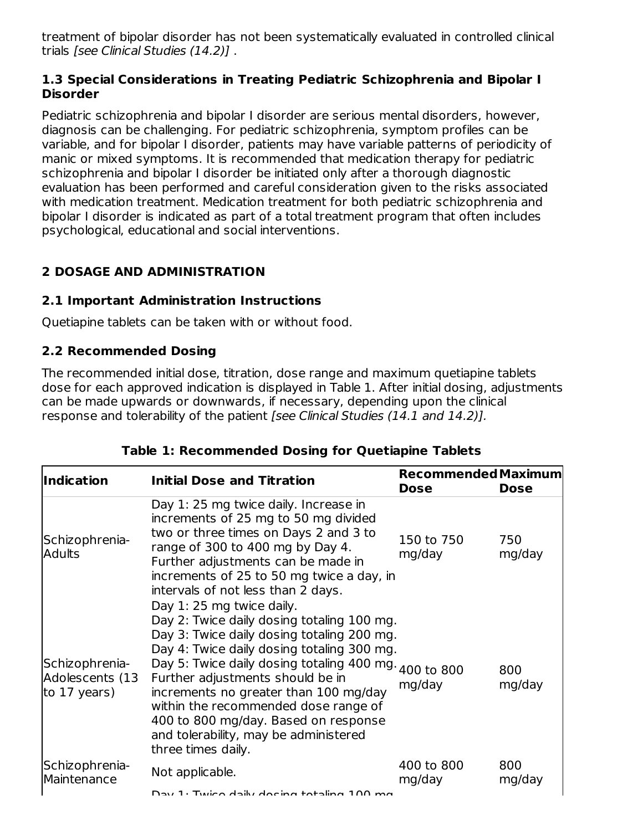treatment of bipolar disorder has not been systematically evaluated in controlled clinical trials [see Clinical Studies (14.2)] .

#### **1.3 Special Considerations in Treating Pediatric Schizophrenia and Bipolar I Disorder**

Pediatric schizophrenia and bipolar I disorder are serious mental disorders, however, diagnosis can be challenging. For pediatric schizophrenia, symptom profiles can be variable, and for bipolar I disorder, patients may have variable patterns of periodicity of manic or mixed symptoms. It is recommended that medication therapy for pediatric schizophrenia and bipolar I disorder be initiated only after a thorough diagnostic evaluation has been performed and careful consideration given to the risks associated with medication treatment. Medication treatment for both pediatric schizophrenia and bipolar I disorder is indicated as part of a total treatment program that often includes psychological, educational and social interventions.

# **2 DOSAGE AND ADMINISTRATION**

### **2.1 Important Administration Instructions**

Quetiapine tablets can be taken with or without food.

### **2.2 Recommended Dosing**

The recommended initial dose, titration, dose range and maximum quetiapine tablets dose for each approved indication is displayed in Table 1. After initial dosing, adjustments can be made upwards or downwards, if necessary, depending upon the clinical response and tolerability of the patient [see Clinical Studies (14.1 and 14.2)].

| Indication                                        | <b>Initial Dose and Titration</b>                                                                                                                                                                                                                                                                                                                                                                                                                        | <b>Recommended Maximum</b><br><b>Dose</b> | <b>Dose</b>   |
|---------------------------------------------------|----------------------------------------------------------------------------------------------------------------------------------------------------------------------------------------------------------------------------------------------------------------------------------------------------------------------------------------------------------------------------------------------------------------------------------------------------------|-------------------------------------------|---------------|
| Schizophrenia-<br><b>Adults</b>                   | Day 1: 25 mg twice daily. Increase in<br>increments of 25 mg to 50 mg divided<br>two or three times on Days 2 and 3 to<br>range of 300 to 400 mg by Day 4.<br>Further adjustments can be made in<br>increments of 25 to 50 mg twice a day, in<br>intervals of not less than 2 days.                                                                                                                                                                      | 150 to 750<br>mg/day                      | 750<br>mg/day |
| Schizophrenia-<br>Adolescents (13<br>to 17 years) | Day 1: 25 mg twice daily.<br>Day 2: Twice daily dosing totaling 100 mg.<br>Day 3: Twice daily dosing totaling 200 mg.<br>Day 4: Twice daily dosing totaling 300 mg.<br>Day 5: Twice daily dosing totaling 400 mg. 400 to 800<br>Further adjustments should be in<br>increments no greater than 100 mg/day<br>within the recommended dose range of<br>400 to 800 mg/day. Based on response<br>and tolerability, may be administered<br>three times daily. | mg/day                                    | 800<br>mg/day |
| Schizophrenia-<br>Maintenance                     | Not applicable.                                                                                                                                                                                                                                                                                                                                                                                                                                          | 400 to 800<br>mg/day                      | 800<br>mg/day |
|                                                   | Day 1. Twice daily decine totaling 100 mg                                                                                                                                                                                                                                                                                                                                                                                                                |                                           |               |

|  | Table 1: Recommended Dosing for Quetiapine Tablets |  |  |  |  |
|--|----------------------------------------------------|--|--|--|--|
|  |                                                    |  |  |  |  |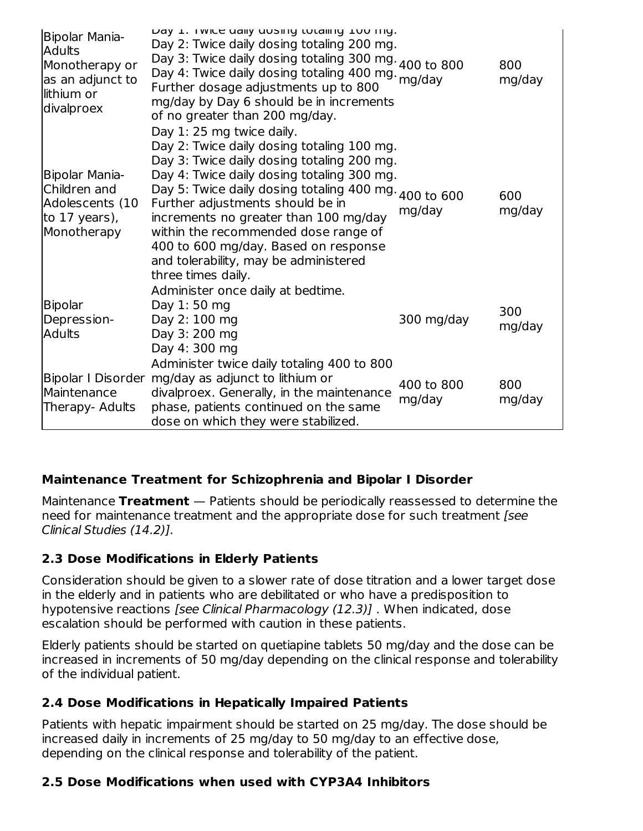| Bipolar Mania-<br>Adults<br>Monotherapy or<br>as an adjunct to<br>llithium or<br>divalproex | Day 1. I WICE Gally GOSING COLAINING TOO HIG.<br>Day 2: Twice daily dosing totaling 200 mg.<br>Day 3: Twice daily dosing totaling 300 mg. 400 to 800<br>Day 4: Twice daily dosing totaling 400 mg. The Lay<br>Further dosage adjustments up to 800<br>mg/day by Day 6 should be in increments<br>of no greater than 200 mg/day.<br>Day 1: 25 mg twice daily.                                                                |                      | 800<br>mg/day |
|---------------------------------------------------------------------------------------------|-----------------------------------------------------------------------------------------------------------------------------------------------------------------------------------------------------------------------------------------------------------------------------------------------------------------------------------------------------------------------------------------------------------------------------|----------------------|---------------|
| Bipolar Mania-<br>Children and<br>Adolescents (10<br>to 17 years),<br>Monotherapy           | Day 2: Twice daily dosing totaling 100 mg.<br>Day 3: Twice daily dosing totaling 200 mg.<br>Day 4: Twice daily dosing totaling 300 mg.<br>Day 5: Twice daily dosing totaling 400 mg. 400 to 600<br>Further adjustments should be in<br>increments no greater than 100 mg/day<br>within the recommended dose range of<br>400 to 600 mg/day. Based on response<br>and tolerability, may be administered<br>three times daily. | mg/day               | 600<br>mg/day |
| <b>Bipolar</b><br>Depression-<br>Adults                                                     | Administer once daily at bedtime.<br>Day 1:50 mg<br>Day 2: 100 mg<br>Day 3: 200 mg<br>Day 4: 300 mg                                                                                                                                                                                                                                                                                                                         | 300 mg/day           | 300<br>mg/day |
| Maintenance<br>Therapy- Adults                                                              | Administer twice daily totaling 400 to 800<br>Bipolar I Disorder mg/day as adjunct to lithium or<br>divalproex. Generally, in the maintenance<br>phase, patients continued on the same<br>dose on which they were stabilized.                                                                                                                                                                                               | 400 to 800<br>mg/day | 800<br>mg/day |

# **Maintenance Treatment for Schizophrenia and Bipolar I Disorder**

Maintenance **Treatment** — Patients should be periodically reassessed to determine the need for maintenance treatment and the appropriate dose for such treatment [see Clinical Studies (14.2)].

### **2.3 Dose Modifications in Elderly Patients**

Consideration should be given to a slower rate of dose titration and a lower target dose in the elderly and in patients who are debilitated or who have a predisposition to hypotensive reactions [see Clinical Pharmacology (12.3)]. When indicated, dose escalation should be performed with caution in these patients.

Elderly patients should be started on quetiapine tablets 50 mg/day and the dose can be increased in increments of 50 mg/day depending on the clinical response and tolerability of the individual patient.

#### **2.4 Dose Modifications in Hepatically Impaired Patients**

Patients with hepatic impairment should be started on 25 mg/day. The dose should be increased daily in increments of 25 mg/day to 50 mg/day to an effective dose, depending on the clinical response and tolerability of the patient.

#### **2.5 Dose Modifications when used with CYP3A4 Inhibitors**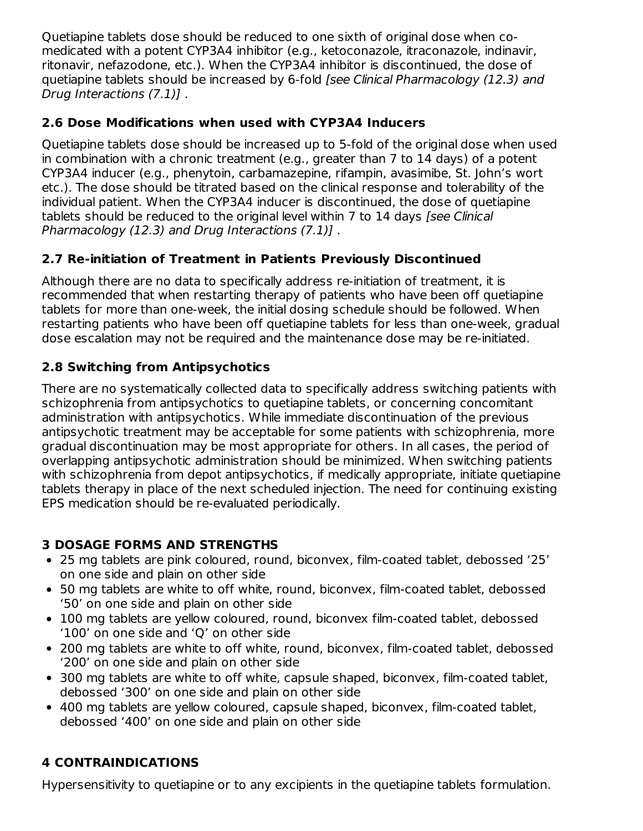Quetiapine tablets dose should be reduced to one sixth of original dose when comedicated with a potent CYP3A4 inhibitor (e.g., ketoconazole, itraconazole, indinavir, ritonavir, nefazodone, etc.). When the CYP3A4 inhibitor is discontinued, the dose of quetiapine tablets should be increased by 6-fold [see Clinical Pharmacology (12.3) and Drug Interactions (7.1)] .

# **2.6 Dose Modifications when used with CYP3A4 Inducers**

Quetiapine tablets dose should be increased up to 5-fold of the original dose when used in combination with a chronic treatment (e.g., greater than 7 to 14 days) of a potent CYP3A4 inducer (e.g., phenytoin, carbamazepine, rifampin, avasimibe, St. John's wort etc.). The dose should be titrated based on the clinical response and tolerability of the individual patient. When the CYP3A4 inducer is discontinued, the dose of quetiapine tablets should be reduced to the original level within 7 to 14 days [see Clinical Pharmacology (12.3) and Drug Interactions (7.1)] .

# **2.7 Re-initiation of Treatment in Patients Previously Discontinued**

Although there are no data to specifically address re-initiation of treatment, it is recommended that when restarting therapy of patients who have been off quetiapine tablets for more than one-week, the initial dosing schedule should be followed. When restarting patients who have been off quetiapine tablets for less than one-week, gradual dose escalation may not be required and the maintenance dose may be re-initiated.

# **2.8 Switching from Antipsychotics**

There are no systematically collected data to specifically address switching patients with schizophrenia from antipsychotics to quetiapine tablets, or concerning concomitant administration with antipsychotics. While immediate discontinuation of the previous antipsychotic treatment may be acceptable for some patients with schizophrenia, more gradual discontinuation may be most appropriate for others. In all cases, the period of overlapping antipsychotic administration should be minimized. When switching patients with schizophrenia from depot antipsychotics, if medically appropriate, initiate quetiapine tablets therapy in place of the next scheduled injection. The need for continuing existing EPS medication should be re-evaluated periodically.

# **3 DOSAGE FORMS AND STRENGTHS**

- 25 mg tablets are pink coloured, round, biconvex, film-coated tablet, debossed '25' on one side and plain on other side
- 50 mg tablets are white to off white, round, biconvex, film-coated tablet, debossed '50' on one side and plain on other side
- 100 mg tablets are yellow coloured, round, biconvex film-coated tablet, debossed '100' on one side and 'Q' on other side
- 200 mg tablets are white to off white, round, biconvex, film-coated tablet, debossed '200' on one side and plain on other side
- 300 mg tablets are white to off white, capsule shaped, biconvex, film-coated tablet, debossed '300' on one side and plain on other side
- 400 mg tablets are yellow coloured, capsule shaped, biconvex, film-coated tablet, debossed '400' on one side and plain on other side

# **4 CONTRAINDICATIONS**

Hypersensitivity to quetiapine or to any excipients in the quetiapine tablets formulation.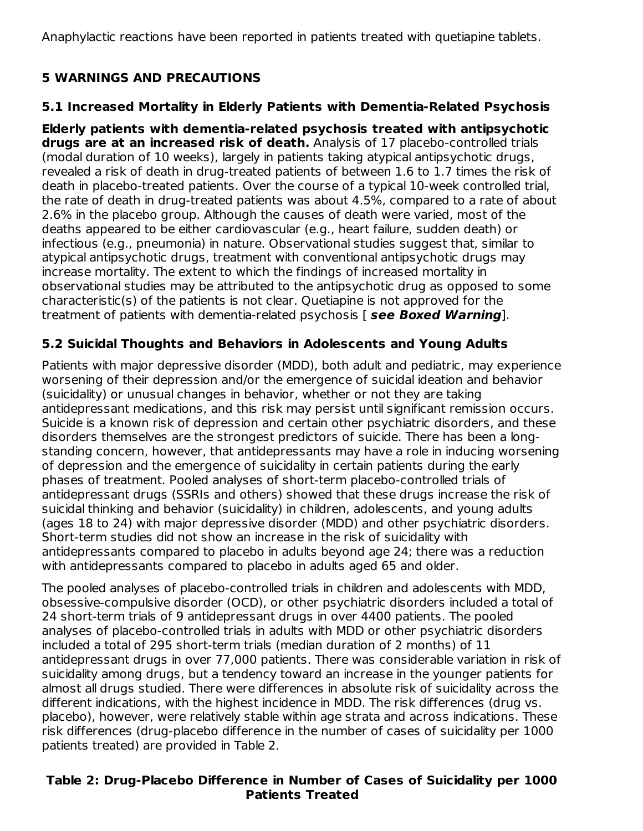Anaphylactic reactions have been reported in patients treated with quetiapine tablets.

# **5 WARNINGS AND PRECAUTIONS**

### **5.1 Increased Mortality in Elderly Patients with Dementia-Related Psychosis**

**Elderly patients with dementia-related psychosis treated with antipsychotic drugs are at an increased risk of death.** Analysis of 17 placebo-controlled trials (modal duration of 10 weeks), largely in patients taking atypical antipsychotic drugs, revealed a risk of death in drug-treated patients of between 1.6 to 1.7 times the risk of death in placebo-treated patients. Over the course of a typical 10-week controlled trial, the rate of death in drug-treated patients was about 4.5%, compared to a rate of about 2.6% in the placebo group. Although the causes of death were varied, most of the deaths appeared to be either cardiovascular (e.g., heart failure, sudden death) or infectious (e.g., pneumonia) in nature. Observational studies suggest that, similar to atypical antipsychotic drugs, treatment with conventional antipsychotic drugs may increase mortality. The extent to which the findings of increased mortality in observational studies may be attributed to the antipsychotic drug as opposed to some characteristic(s) of the patients is not clear. Quetiapine is not approved for the treatment of patients with dementia-related psychosis [ **see Boxed Warning**].

### **5.2 Suicidal Thoughts and Behaviors in Adolescents and Young Adults**

Patients with major depressive disorder (MDD), both adult and pediatric, may experience worsening of their depression and/or the emergence of suicidal ideation and behavior (suicidality) or unusual changes in behavior, whether or not they are taking antidepressant medications, and this risk may persist until significant remission occurs. Suicide is a known risk of depression and certain other psychiatric disorders, and these disorders themselves are the strongest predictors of suicide. There has been a longstanding concern, however, that antidepressants may have a role in inducing worsening of depression and the emergence of suicidality in certain patients during the early phases of treatment. Pooled analyses of short-term placebo-controlled trials of antidepressant drugs (SSRIs and others) showed that these drugs increase the risk of suicidal thinking and behavior (suicidality) in children, adolescents, and young adults (ages 18 to 24) with major depressive disorder (MDD) and other psychiatric disorders. Short-term studies did not show an increase in the risk of suicidality with antidepressants compared to placebo in adults beyond age 24; there was a reduction with antidepressants compared to placebo in adults aged 65 and older.

The pooled analyses of placebo-controlled trials in children and adolescents with MDD, obsessive-compulsive disorder (OCD), or other psychiatric disorders included a total of 24 short-term trials of 9 antidepressant drugs in over 4400 patients. The pooled analyses of placebo-controlled trials in adults with MDD or other psychiatric disorders included a total of 295 short-term trials (median duration of 2 months) of 11 antidepressant drugs in over 77,000 patients. There was considerable variation in risk of suicidality among drugs, but a tendency toward an increase in the younger patients for almost all drugs studied. There were differences in absolute risk of suicidality across the different indications, with the highest incidence in MDD. The risk differences (drug vs. placebo), however, were relatively stable within age strata and across indications. These risk differences (drug-placebo difference in the number of cases of suicidality per 1000 patients treated) are provided in Table 2.

### **Table 2: Drug-Placebo Difference in Number of Cases of Suicidality per 1000 Patients Treated**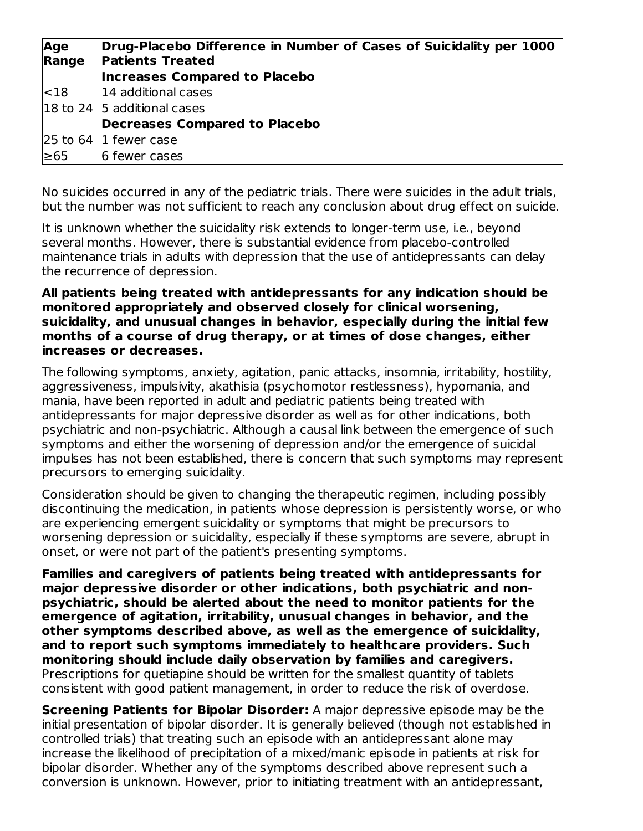| Age<br>Range | Drug-Placebo Difference in Number of Cases of Suicidality per 1000<br><b>Patients Treated</b> |
|--------------|-----------------------------------------------------------------------------------------------|
|              | <b>Increases Compared to Placebo</b>                                                          |
| $ $ $<$ $18$ | 14 additional cases                                                                           |
|              | 18 to 24 5 additional cases                                                                   |
|              | <b>Decreases Compared to Placebo</b>                                                          |
|              | $ 25 \text{ to } 64$ 1 fewer case                                                             |
|              | $\geq 65$ 6 fewer cases                                                                       |

No suicides occurred in any of the pediatric trials. There were suicides in the adult trials, but the number was not sufficient to reach any conclusion about drug effect on suicide.

It is unknown whether the suicidality risk extends to longer-term use, i.e., beyond several months. However, there is substantial evidence from placebo-controlled maintenance trials in adults with depression that the use of antidepressants can delay the recurrence of depression.

#### **All patients being treated with antidepressants for any indication should be monitored appropriately and observed closely for clinical worsening, suicidality, and unusual changes in behavior, especially during the initial few months of a course of drug therapy, or at times of dose changes, either increases or decreases.**

The following symptoms, anxiety, agitation, panic attacks, insomnia, irritability, hostility, aggressiveness, impulsivity, akathisia (psychomotor restlessness), hypomania, and mania, have been reported in adult and pediatric patients being treated with antidepressants for major depressive disorder as well as for other indications, both psychiatric and non-psychiatric. Although a causal link between the emergence of such symptoms and either the worsening of depression and/or the emergence of suicidal impulses has not been established, there is concern that such symptoms may represent precursors to emerging suicidality.

Consideration should be given to changing the therapeutic regimen, including possibly discontinuing the medication, in patients whose depression is persistently worse, or who are experiencing emergent suicidality or symptoms that might be precursors to worsening depression or suicidality, especially if these symptoms are severe, abrupt in onset, or were not part of the patient's presenting symptoms.

**Families and caregivers of patients being treated with antidepressants for major depressive disorder or other indications, both psychiatric and nonpsychiatric, should be alerted about the need to monitor patients for the emergence of agitation, irritability, unusual changes in behavior, and the other symptoms described above, as well as the emergence of suicidality, and to report such symptoms immediately to healthcare providers. Such monitoring should include daily observation by families and caregivers.** Prescriptions for quetiapine should be written for the smallest quantity of tablets consistent with good patient management, in order to reduce the risk of overdose.

**Screening Patients for Bipolar Disorder:** A major depressive episode may be the initial presentation of bipolar disorder. It is generally believed (though not established in controlled trials) that treating such an episode with an antidepressant alone may increase the likelihood of precipitation of a mixed/manic episode in patients at risk for bipolar disorder. Whether any of the symptoms described above represent such a conversion is unknown. However, prior to initiating treatment with an antidepressant,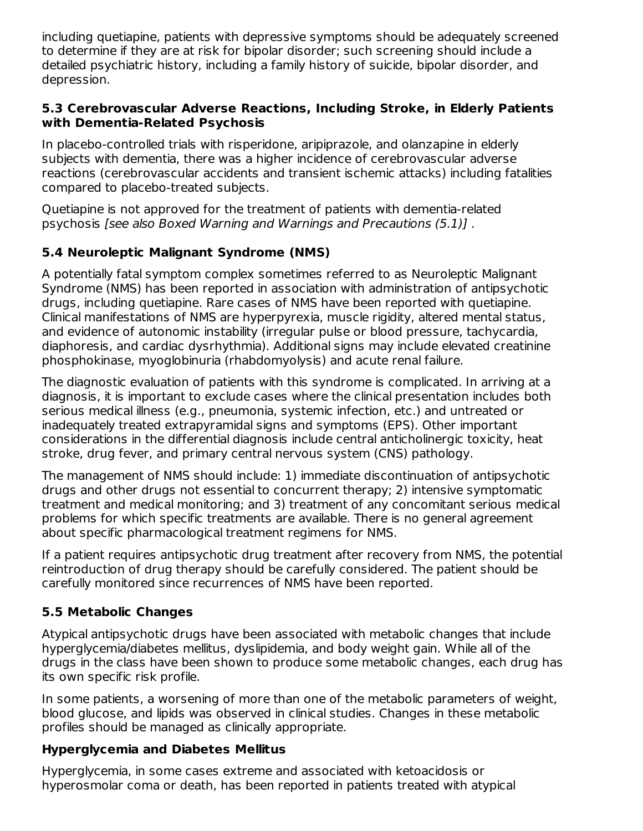including quetiapine, patients with depressive symptoms should be adequately screened to determine if they are at risk for bipolar disorder; such screening should include a detailed psychiatric history, including a family history of suicide, bipolar disorder, and depression.

#### **5.3 Cerebrovascular Adverse Reactions, Including Stroke, in Elderly Patients with Dementia-Related Psychosis**

In placebo-controlled trials with risperidone, aripiprazole, and olanzapine in elderly subjects with dementia, there was a higher incidence of cerebrovascular adverse reactions (cerebrovascular accidents and transient ischemic attacks) including fatalities compared to placebo-treated subjects.

Quetiapine is not approved for the treatment of patients with dementia-related psychosis [see also Boxed Warning and Warnings and Precautions (5.1)] .

### **5.4 Neuroleptic Malignant Syndrome (NMS)**

A potentially fatal symptom complex sometimes referred to as Neuroleptic Malignant Syndrome (NMS) has been reported in association with administration of antipsychotic drugs, including quetiapine. Rare cases of NMS have been reported with quetiapine. Clinical manifestations of NMS are hyperpyrexia, muscle rigidity, altered mental status, and evidence of autonomic instability (irregular pulse or blood pressure, tachycardia, diaphoresis, and cardiac dysrhythmia). Additional signs may include elevated creatinine phosphokinase, myoglobinuria (rhabdomyolysis) and acute renal failure.

The diagnostic evaluation of patients with this syndrome is complicated. In arriving at a diagnosis, it is important to exclude cases where the clinical presentation includes both serious medical illness (e.g., pneumonia, systemic infection, etc.) and untreated or inadequately treated extrapyramidal signs and symptoms (EPS). Other important considerations in the differential diagnosis include central anticholinergic toxicity, heat stroke, drug fever, and primary central nervous system (CNS) pathology.

The management of NMS should include: 1) immediate discontinuation of antipsychotic drugs and other drugs not essential to concurrent therapy; 2) intensive symptomatic treatment and medical monitoring; and 3) treatment of any concomitant serious medical problems for which specific treatments are available. There is no general agreement about specific pharmacological treatment regimens for NMS.

If a patient requires antipsychotic drug treatment after recovery from NMS, the potential reintroduction of drug therapy should be carefully considered. The patient should be carefully monitored since recurrences of NMS have been reported.

# **5.5 Metabolic Changes**

Atypical antipsychotic drugs have been associated with metabolic changes that include hyperglycemia/diabetes mellitus, dyslipidemia, and body weight gain. While all of the drugs in the class have been shown to produce some metabolic changes, each drug has its own specific risk profile.

In some patients, a worsening of more than one of the metabolic parameters of weight, blood glucose, and lipids was observed in clinical studies. Changes in these metabolic profiles should be managed as clinically appropriate.

# **Hyperglycemia and Diabetes Mellitus**

Hyperglycemia, in some cases extreme and associated with ketoacidosis or hyperosmolar coma or death, has been reported in patients treated with atypical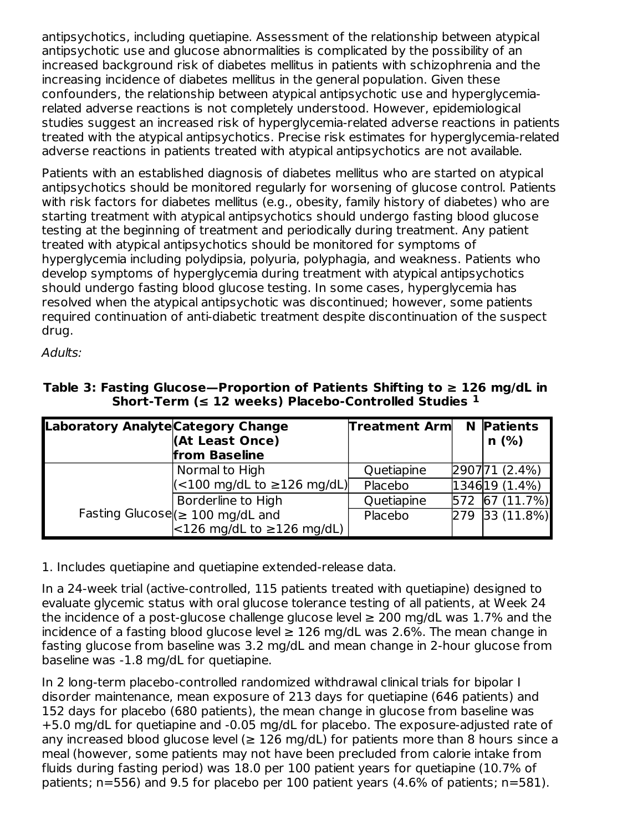antipsychotics, including quetiapine. Assessment of the relationship between atypical antipsychotic use and glucose abnormalities is complicated by the possibility of an increased background risk of diabetes mellitus in patients with schizophrenia and the increasing incidence of diabetes mellitus in the general population. Given these confounders, the relationship between atypical antipsychotic use and hyperglycemiarelated adverse reactions is not completely understood. However, epidemiological studies suggest an increased risk of hyperglycemia-related adverse reactions in patients treated with the atypical antipsychotics. Precise risk estimates for hyperglycemia-related adverse reactions in patients treated with atypical antipsychotics are not available.

Patients with an established diagnosis of diabetes mellitus who are started on atypical antipsychotics should be monitored regularly for worsening of glucose control. Patients with risk factors for diabetes mellitus (e.g., obesity, family history of diabetes) who are starting treatment with atypical antipsychotics should undergo fasting blood glucose testing at the beginning of treatment and periodically during treatment. Any patient treated with atypical antipsychotics should be monitored for symptoms of hyperglycemia including polydipsia, polyuria, polyphagia, and weakness. Patients who develop symptoms of hyperglycemia during treatment with atypical antipsychotics should undergo fasting blood glucose testing. In some cases, hyperglycemia has resolved when the atypical antipsychotic was discontinued; however, some patients required continuation of anti-diabetic treatment despite discontinuation of the suspect drug.

Adults:

**Table 3: Fasting Glucose—Proportion of Patients Shifting to ≥ 126 mg/dL in Short-Term (≤ 12 weeks) Placebo-Controlled Studies 1**

| <b>Laboratory Analyte Category Change</b> |                                          | <b>Treatment Arm</b> | <b>N</b> Patients |
|-------------------------------------------|------------------------------------------|----------------------|-------------------|
|                                           | (At Least Once)                          |                      | n(%)              |
|                                           | from Baseline                            |                      |                   |
|                                           | Normal to High                           | Quetiapine           | 290771 (2.4%)     |
|                                           | $\vert$ (<100 mg/dL to $\geq$ 126 mg/dL) | Placebo              | $1346$ 19 (1.4%)  |
|                                           | Borderline to High                       | Quetiapine           | 572 67 (11.7%)    |
|                                           | Fasting Glucose $ z  \ge 100$ mg/dL and  | Placebo              | 279 33 (11.8%)    |
|                                           | $ $ <126 mg/dL to $\geq$ 126 mg/dL)      |                      |                   |

1. Includes quetiapine and quetiapine extended-release data.

In a 24-week trial (active-controlled, 115 patients treated with quetiapine) designed to evaluate glycemic status with oral glucose tolerance testing of all patients, at Week 24 the incidence of a post-glucose challenge glucose level  $\geq$  200 mg/dL was 1.7% and the incidence of a fasting blood glucose level ≥ 126 mg/dL was 2.6%. The mean change in fasting glucose from baseline was 3.2 mg/dL and mean change in 2-hour glucose from baseline was -1.8 mg/dL for quetiapine.

In 2 long-term placebo-controlled randomized withdrawal clinical trials for bipolar I disorder maintenance, mean exposure of 213 days for quetiapine (646 patients) and 152 days for placebo (680 patients), the mean change in glucose from baseline was +5.0 mg/dL for quetiapine and -0.05 mg/dL for placebo. The exposure-adjusted rate of any increased blood glucose level ( $\geq 126$  mg/dL) for patients more than 8 hours since a meal (however, some patients may not have been precluded from calorie intake from fluids during fasting period) was 18.0 per 100 patient years for quetiapine (10.7% of patients; n=556) and 9.5 for placebo per 100 patient years (4.6% of patients; n=581).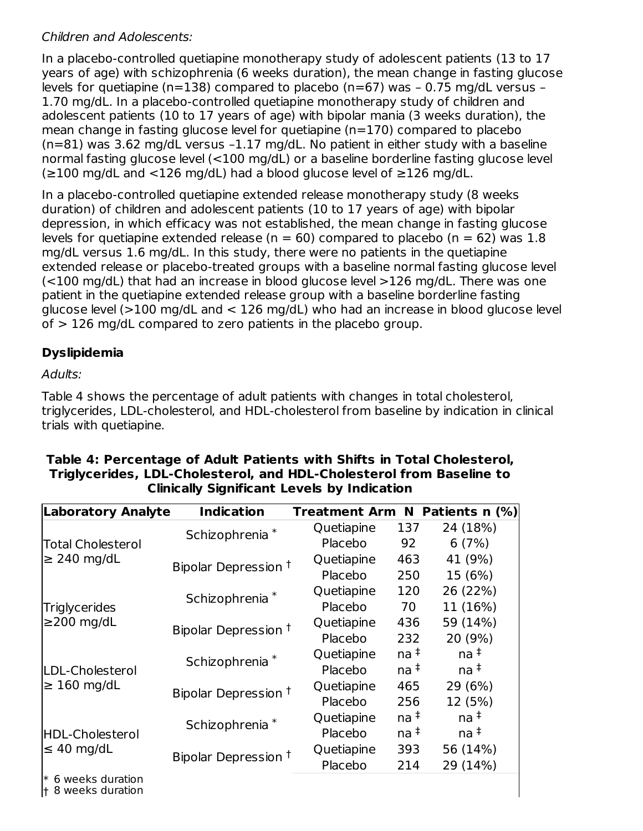### Children and Adolescents:

In a placebo-controlled quetiapine monotherapy study of adolescent patients (13 to 17 years of age) with schizophrenia (6 weeks duration), the mean change in fasting glucose levels for quetiapine (n=138) compared to placebo (n=67) was – 0.75 mg/dL versus – 1.70 mg/dL. In a placebo-controlled quetiapine monotherapy study of children and adolescent patients (10 to 17 years of age) with bipolar mania (3 weeks duration), the mean change in fasting glucose level for quetiapine (n=170) compared to placebo  $(n=81)$  was 3.62 mg/dL versus  $-1.17$  mg/dL. No patient in either study with a baseline normal fasting glucose level (<100 mg/dL) or a baseline borderline fasting glucose level (≥100 mg/dL and <126 mg/dL) had a blood glucose level of ≥126 mg/dL.

In a placebo-controlled quetiapine extended release monotherapy study (8 weeks duration) of children and adolescent patients (10 to 17 years of age) with bipolar depression, in which efficacy was not established, the mean change in fasting glucose levels for quetiapine extended release ( $n = 60$ ) compared to placebo ( $n = 62$ ) was 1.8 mg/dL versus 1.6 mg/dL. In this study, there were no patients in the quetiapine extended release or placebo-treated groups with a baseline normal fasting glucose level (<100 mg/dL) that had an increase in blood glucose level >126 mg/dL. There was one patient in the quetiapine extended release group with a baseline borderline fasting glucose level (>100 mg/dL and < 126 mg/dL) who had an increase in blood glucose level of > 126 mg/dL compared to zero patients in the placebo group.

# **Dyslipidemia**

### Adults:

Table 4 shows the percentage of adult patients with changes in total cholesterol, triglycerides, LDL-cholesterol, and HDL-cholesterol from baseline by indication in clinical trials with quetiapine.

| <b>Laboratory Analyte</b>                        | <b>Indication</b>               | Treatment Arm N Patients n (%) |          |          |
|--------------------------------------------------|---------------------------------|--------------------------------|----------|----------|
|                                                  | Schizophrenia <sup>*</sup>      | Quetiapine                     | 137      | 24 (18%) |
| <b>Total Cholesterol</b>                         |                                 | Placebo                        | 92       | 6(7%)    |
| $\geq$ 240 mg/dL                                 | Bipolar Depression <sup>†</sup> | Quetiapine                     | 463      | 41 (9%)  |
|                                                  |                                 | Placebo                        | 250      | 15 (6%)  |
|                                                  | Schizophrenia <sup>*</sup>      | Quetiapine                     | 120      | 26 (22%) |
| <b>Triglycerides</b>                             |                                 | Placebo                        | 70       | 11 (16%) |
| $\geq$ 200 mg/dL                                 | Bipolar Depression <sup>†</sup> | Quetiapine                     | 436      | 59 (14%) |
|                                                  |                                 | Placebo                        | 232      | 20 (9%)  |
|                                                  | Schizophrenia <sup>*</sup>      | Quetiapine                     | $na \pm$ | $na \pm$ |
| LDL-Cholesterol                                  |                                 | Placebo                        | $na \pm$ | $na \pm$ |
| $\geq$ 160 mg/dL                                 | Bipolar Depression <sup>†</sup> | Quetiapine                     | 465      | 29 (6%)  |
|                                                  |                                 | Placebo                        | 256      | 12 (5%)  |
|                                                  | Schizophrenia <sup>*</sup>      | Quetiapine                     | $na \pm$ | $na \pm$ |
| <b>HDL-Cholesterol</b>                           |                                 | Placebo                        | $na \pm$ | $na \pm$ |
| $\leq$ 40 mg/dL                                  | Bipolar Depression <sup>†</sup> | Quetiapine                     | 393      | 56 (14%) |
|                                                  |                                 | Placebo                        | 214      | 29 (14%) |
| * 6 weeks duration<br>$\dagger$ 8 weeks duration |                                 |                                |          |          |

#### **Table 4: Percentage of Adult Patients with Shifts in Total Cholesterol, Triglycerides, LDL-Cholesterol, and HDL-Cholesterol from Baseline to Clinically Significant Levels by Indication**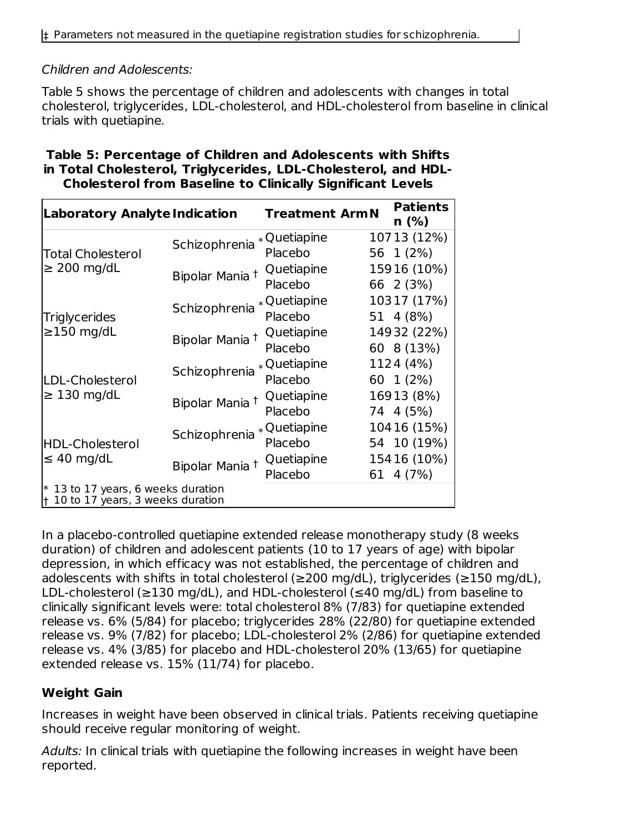### Children and Adolescents:

Table 5 shows the percentage of children and adolescents with changes in total cholesterol, triglycerides, LDL-cholesterol, and HDL-cholesterol from baseline in clinical trials with quetiapine.

| <b>Laboratory Analyte Indication</b>                                         |                            | <b>Treatment ArmN</b> |           | <b>Patients</b><br>n(%) |  |  |
|------------------------------------------------------------------------------|----------------------------|-----------------------|-----------|-------------------------|--|--|
|                                                                              |                            | *Quetiapine           |           | 10713 (12%)             |  |  |
| <b>Total Cholesterol</b>                                                     | Schizophrenia              | Placebo               | 56 1 (2%) |                         |  |  |
| $\geq$ 200 mg/dL                                                             | Bipolar Mania <sup>+</sup> | Quetiapine            |           | 15916 (10%)             |  |  |
|                                                                              |                            | Placebo               | 66 2 (3%) |                         |  |  |
|                                                                              | Schizophrenia              | *Quetiapine           |           | 10317 (17%)             |  |  |
| <b>Triglycerides</b>                                                         |                            | Placebo               | 51 4 (8%) |                         |  |  |
| $\geq$ 150 mg/dL                                                             | Bipolar Mania <sup>+</sup> | Quetiapine            |           | 14932 (22%)             |  |  |
|                                                                              |                            | Placebo               |           | 60 8 (13%)              |  |  |
|                                                                              | Schizophrenia              | *Quetiapine           | 1124 (4%) |                         |  |  |
| LDL-Cholesterol                                                              |                            | Placebo               | 60 1 (2%) |                         |  |  |
| $\geq$ 130 mg/dL                                                             | Bipolar Mania <sup>t</sup> | Quetiapine            |           | 16913 (8%)              |  |  |
|                                                                              |                            | Placebo               | 74 4 (5%) |                         |  |  |
|                                                                              | Schizophrenia              | *Quetiapine           |           | 10416 (15%)             |  |  |
| <b>HDL-Cholesterol</b>                                                       |                            | Placebo               |           | 54 10 (19%)             |  |  |
| $\leq$ 40 mg/dL                                                              | Bipolar Mania <sup>t</sup> | Quetiapine            |           | 15416 (10%)             |  |  |
|                                                                              |                            | Placebo               | 61 4 (7%) |                         |  |  |
| $*$ 13 to 17 years, 6 weeks duration<br>$+$ 10 to 17 years, 3 weeks duration |                            |                       |           |                         |  |  |

#### **Table 5: Percentage of Children and Adolescents with Shifts in Total Cholesterol, Triglycerides, LDL-Cholesterol, and HDL-Cholesterol from Baseline to Clinically Significant Levels**

In a placebo-controlled quetiapine extended release monotherapy study (8 weeks duration) of children and adolescent patients (10 to 17 years of age) with bipolar depression, in which efficacy was not established, the percentage of children and adolescents with shifts in total cholesterol (≥200 mg/dL), triglycerides (≥150 mg/dL), LDL-cholesterol (≥130 mg/dL), and HDL-cholesterol (≤40 mg/dL) from baseline to clinically significant levels were: total cholesterol 8% (7/83) for quetiapine extended release vs. 6% (5/84) for placebo; triglycerides 28% (22/80) for quetiapine extended release vs. 9% (7/82) for placebo; LDL-cholesterol 2% (2/86) for quetiapine extended release vs. 4% (3/85) for placebo and HDL-cholesterol 20% (13/65) for quetiapine extended release vs. 15% (11/74) for placebo.

# **Weight Gain**

Increases in weight have been observed in clinical trials. Patients receiving quetiapine should receive regular monitoring of weight.

Adults: In clinical trials with quetiapine the following increases in weight have been reported.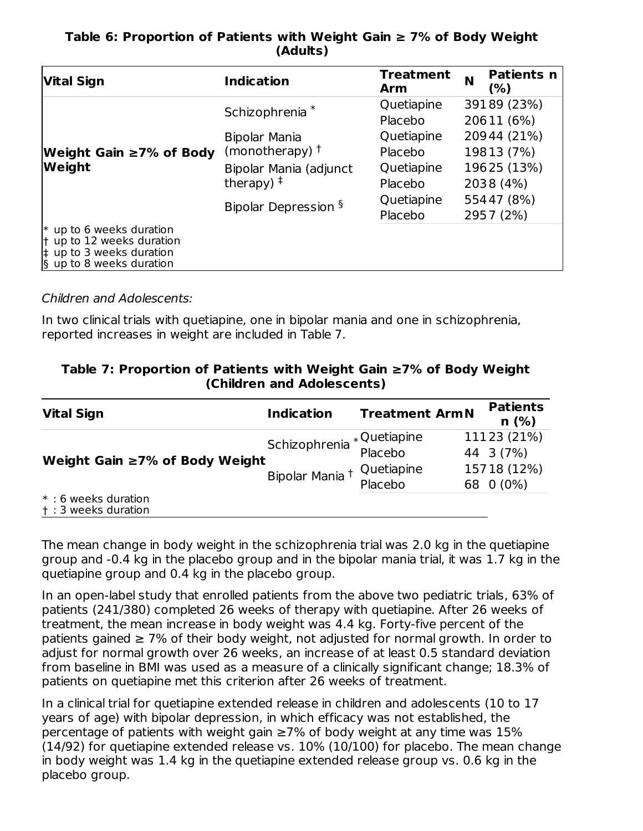#### **Table 6: Proportion of Patients with Weight Gain ≥ 7% of Body Weight (Adults)**

| <b>Vital Sign</b>                                                                                                     | <b>Indication</b>                         | <b>Treatment</b><br>Arm | <b>Patients n</b><br>N<br>(% ) |
|-----------------------------------------------------------------------------------------------------------------------|-------------------------------------------|-------------------------|--------------------------------|
|                                                                                                                       | Schizophrenia <sup>*</sup>                | Quetiapine<br>Placebo   | 39189 (23%)<br>20611 (6%)      |
| Weight Gain $\geq$ 7% of Body                                                                                         | <b>Bipolar Mania</b><br>(monotherapy) $†$ | Quetiapine<br>Placebo   | 20944 (21%)<br>19813 (7%)      |
| Weight                                                                                                                | Bipolar Mania (adjunct<br>therapy) $‡$    | Quetiapine<br>Placebo   | 19625 (13%)<br>2038 (4%)       |
|                                                                                                                       | Bipolar Depression §                      | Quetiapine<br>Placebo   | 55447 (8%)<br>2957 (2%)        |
| $*$ up to 6 weeks duration<br>$ $ up to 12 weeks duration<br>$\pm$ up to 3 weeks duration<br>§ up to 8 weeks duration |                                           |                         |                                |

#### Children and Adolescents:

In two clinical trials with quetiapine, one in bipolar mania and one in schizophrenia, reported increases in weight are included in Table 7.

#### **Table 7: Proportion of Patients with Weight Gain ≥7% of Body Weight (Children and Adolescents)**

| <b>Vital Sign</b>                              | <b>Indication</b>                    | <b>Treatment ArmN</b> | <b>Patients</b><br>n(%) |
|------------------------------------------------|--------------------------------------|-----------------------|-------------------------|
|                                                | Schizophrenia *Quetiapine<br>Placebo |                       | 11123 (21%)             |
| Weight Gain $\geq$ 7% of Body Weight           |                                      |                       | 44 3 (7%)               |
|                                                |                                      | Quetiapine            | 15718 (12%)             |
|                                                | Bipolar Mania †                      | Placebo               | 68 0 (0%)               |
| * : 6 weeks duration<br>$+$ : 3 weeks duration |                                      |                       |                         |

The mean change in body weight in the schizophrenia trial was 2.0 kg in the quetiapine group and -0.4 kg in the placebo group and in the bipolar mania trial, it was 1.7 kg in the quetiapine group and 0.4 kg in the placebo group.

In an open-label study that enrolled patients from the above two pediatric trials, 63% of patients (241/380) completed 26 weeks of therapy with quetiapine. After 26 weeks of treatment, the mean increase in body weight was 4.4 kg. Forty-five percent of the patients gained  $\geq 7\%$  of their body weight, not adjusted for normal growth. In order to adjust for normal growth over 26 weeks, an increase of at least 0.5 standard deviation from baseline in BMI was used as a measure of a clinically significant change; 18.3% of patients on quetiapine met this criterion after 26 weeks of treatment.

In a clinical trial for quetiapine extended release in children and adolescents (10 to 17 years of age) with bipolar depression, in which efficacy was not established, the percentage of patients with weight gain ≥7% of body weight at any time was 15% (14/92) for quetiapine extended release vs. 10% (10/100) for placebo. The mean change in body weight was 1.4 kg in the quetiapine extended release group vs. 0.6 kg in the placebo group.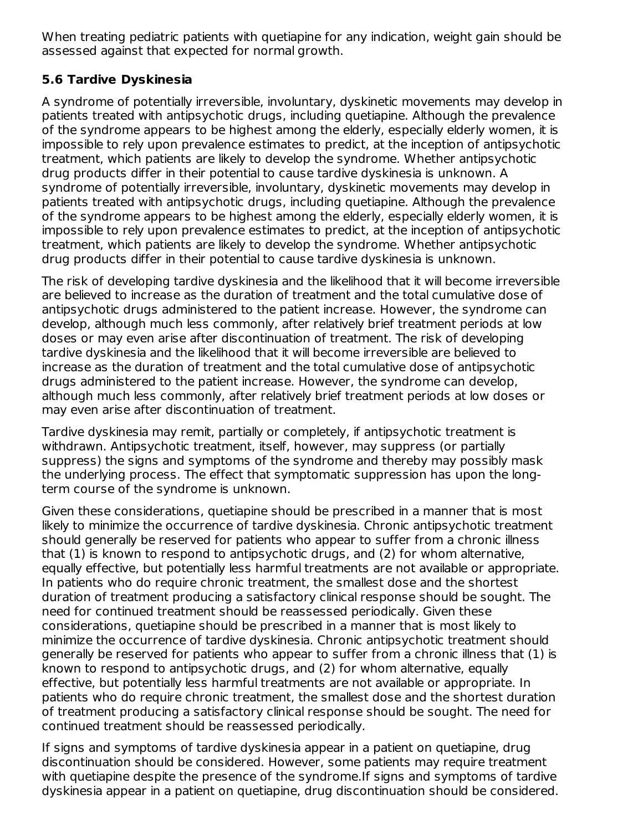When treating pediatric patients with quetiapine for any indication, weight gain should be assessed against that expected for normal growth.

# **5.6 Tardive Dyskinesia**

A syndrome of potentially irreversible, involuntary, dyskinetic movements may develop in patients treated with antipsychotic drugs, including quetiapine. Although the prevalence of the syndrome appears to be highest among the elderly, especially elderly women, it is impossible to rely upon prevalence estimates to predict, at the inception of antipsychotic treatment, which patients are likely to develop the syndrome. Whether antipsychotic drug products differ in their potential to cause tardive dyskinesia is unknown. A syndrome of potentially irreversible, involuntary, dyskinetic movements may develop in patients treated with antipsychotic drugs, including quetiapine. Although the prevalence of the syndrome appears to be highest among the elderly, especially elderly women, it is impossible to rely upon prevalence estimates to predict, at the inception of antipsychotic treatment, which patients are likely to develop the syndrome. Whether antipsychotic drug products differ in their potential to cause tardive dyskinesia is unknown.

The risk of developing tardive dyskinesia and the likelihood that it will become irreversible are believed to increase as the duration of treatment and the total cumulative dose of antipsychotic drugs administered to the patient increase. However, the syndrome can develop, although much less commonly, after relatively brief treatment periods at low doses or may even arise after discontinuation of treatment. The risk of developing tardive dyskinesia and the likelihood that it will become irreversible are believed to increase as the duration of treatment and the total cumulative dose of antipsychotic drugs administered to the patient increase. However, the syndrome can develop, although much less commonly, after relatively brief treatment periods at low doses or may even arise after discontinuation of treatment.

Tardive dyskinesia may remit, partially or completely, if antipsychotic treatment is withdrawn. Antipsychotic treatment, itself, however, may suppress (or partially suppress) the signs and symptoms of the syndrome and thereby may possibly mask the underlying process. The effect that symptomatic suppression has upon the longterm course of the syndrome is unknown.

Given these considerations, quetiapine should be prescribed in a manner that is most likely to minimize the occurrence of tardive dyskinesia. Chronic antipsychotic treatment should generally be reserved for patients who appear to suffer from a chronic illness that (1) is known to respond to antipsychotic drugs, and (2) for whom alternative, equally effective, but potentially less harmful treatments are not available or appropriate. In patients who do require chronic treatment, the smallest dose and the shortest duration of treatment producing a satisfactory clinical response should be sought. The need for continued treatment should be reassessed periodically. Given these considerations, quetiapine should be prescribed in a manner that is most likely to minimize the occurrence of tardive dyskinesia. Chronic antipsychotic treatment should generally be reserved for patients who appear to suffer from a chronic illness that (1) is known to respond to antipsychotic drugs, and (2) for whom alternative, equally effective, but potentially less harmful treatments are not available or appropriate. In patients who do require chronic treatment, the smallest dose and the shortest duration of treatment producing a satisfactory clinical response should be sought. The need for continued treatment should be reassessed periodically.

If signs and symptoms of tardive dyskinesia appear in a patient on quetiapine, drug discontinuation should be considered. However, some patients may require treatment with quetiapine despite the presence of the syndrome.If signs and symptoms of tardive dyskinesia appear in a patient on quetiapine, drug discontinuation should be considered.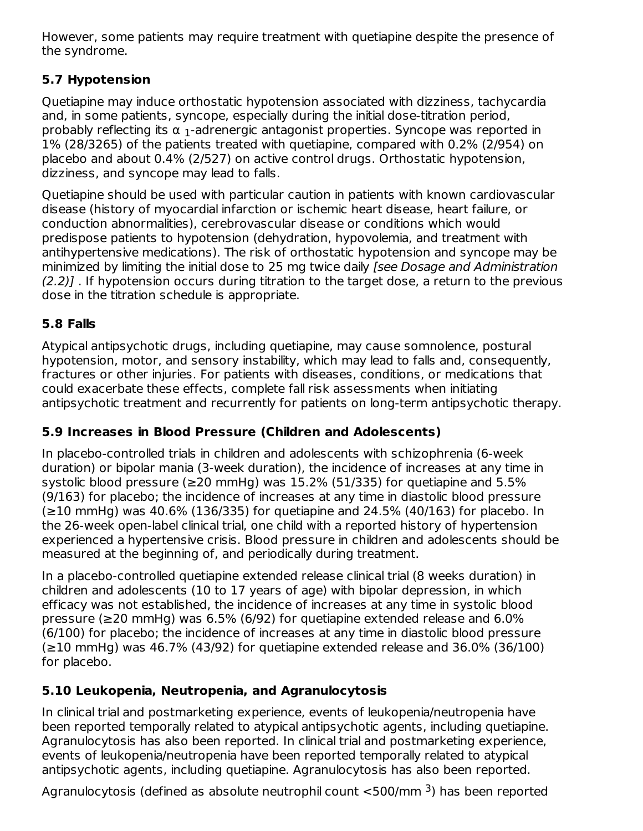However, some patients may require treatment with quetiapine despite the presence of the syndrome.

# **5.7 Hypotension**

Quetiapine may induce orthostatic hypotension associated with dizziness, tachycardia and, in some patients, syncope, especially during the initial dose-titration period, probably reflecting its  $\alpha$  <sub>1</sub>-adrenergic antagonist properties. Syncope was reported in 1% (28/3265) of the patients treated with quetiapine, compared with 0.2% (2/954) on placebo and about 0.4% (2/527) on active control drugs. Orthostatic hypotension, dizziness, and syncope may lead to falls.

Quetiapine should be used with particular caution in patients with known cardiovascular disease (history of myocardial infarction or ischemic heart disease, heart failure, or conduction abnormalities), cerebrovascular disease or conditions which would predispose patients to hypotension (dehydration, hypovolemia, and treatment with antihypertensive medications). The risk of orthostatic hypotension and syncope may be minimized by limiting the initial dose to 25 mg twice daily [see Dosage and Administration (2.2)] . If hypotension occurs during titration to the target dose, a return to the previous dose in the titration schedule is appropriate.

# **5.8 Falls**

Atypical antipsychotic drugs, including quetiapine, may cause somnolence, postural hypotension, motor, and sensory instability, which may lead to falls and, consequently, fractures or other injuries. For patients with diseases, conditions, or medications that could exacerbate these effects, complete fall risk assessments when initiating antipsychotic treatment and recurrently for patients on long-term antipsychotic therapy.

# **5.9 Increases in Blood Pressure (Children and Adolescents)**

In placebo-controlled trials in children and adolescents with schizophrenia (6-week duration) or bipolar mania (3-week duration), the incidence of increases at any time in systolic blood pressure ( $\geq$ 20 mmHg) was 15.2% (51/335) for quetiapine and 5.5% (9/163) for placebo; the incidence of increases at any time in diastolic blood pressure (≥10 mmHg) was 40.6% (136/335) for quetiapine and 24.5% (40/163) for placebo. In the 26-week open-label clinical trial, one child with a reported history of hypertension experienced a hypertensive crisis. Blood pressure in children and adolescents should be measured at the beginning of, and periodically during treatment.

In a placebo-controlled quetiapine extended release clinical trial (8 weeks duration) in children and adolescents (10 to 17 years of age) with bipolar depression, in which efficacy was not established, the incidence of increases at any time in systolic blood pressure ( $≥$ 20 mmHg) was 6.5% (6/92) for quetiapine extended release and 6.0% (6/100) for placebo; the incidence of increases at any time in diastolic blood pressure  $\geq$  10 mmHg) was 46.7% (43/92) for quetiapine extended release and 36.0% (36/100) for placebo.

# **5.10 Leukopenia, Neutropenia, and Agranulocytosis**

In clinical trial and postmarketing experience, events of leukopenia/neutropenia have been reported temporally related to atypical antipsychotic agents, including quetiapine. Agranulocytosis has also been reported. In clinical trial and postmarketing experience, events of leukopenia/neutropenia have been reported temporally related to atypical antipsychotic agents, including quetiapine. Agranulocytosis has also been reported.

Agranulocytosis (defined as absolute neutrophil count <500/mm <sup>3</sup>) has been reported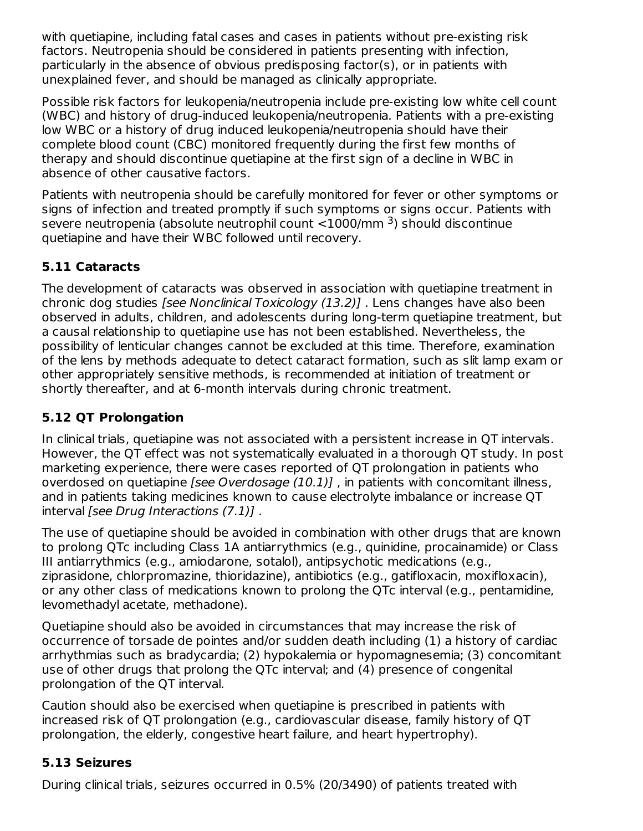with quetiapine, including fatal cases and cases in patients without pre-existing risk factors. Neutropenia should be considered in patients presenting with infection, particularly in the absence of obvious predisposing factor(s), or in patients with unexplained fever, and should be managed as clinically appropriate.

Possible risk factors for leukopenia/neutropenia include pre-existing low white cell count (WBC) and history of drug-induced leukopenia/neutropenia. Patients with a pre-existing low WBC or a history of drug induced leukopenia/neutropenia should have their complete blood count (CBC) monitored frequently during the first few months of therapy and should discontinue quetiapine at the first sign of a decline in WBC in absence of other causative factors.

Patients with neutropenia should be carefully monitored for fever or other symptoms or signs of infection and treated promptly if such symptoms or signs occur. Patients with severe neutropenia (absolute neutrophil count <1000/mm <sup>3</sup>) should discontinue quetiapine and have their WBC followed until recovery.

# **5.11 Cataracts**

The development of cataracts was observed in association with quetiapine treatment in chronic dog studies *[see Nonclinical Toxicology*  $(13.2)$ *]* . Lens changes have also been observed in adults, children, and adolescents during long-term quetiapine treatment, but a causal relationship to quetiapine use has not been established. Nevertheless, the possibility of lenticular changes cannot be excluded at this time. Therefore, examination of the lens by methods adequate to detect cataract formation, such as slit lamp exam or other appropriately sensitive methods, is recommended at initiation of treatment or shortly thereafter, and at 6-month intervals during chronic treatment.

# **5.12 QT Prolongation**

In clinical trials, quetiapine was not associated with a persistent increase in QT intervals. However, the QT effect was not systematically evaluated in a thorough QT study. In post marketing experience, there were cases reported of QT prolongation in patients who overdosed on quetiapine [see Overdosage  $(10.1)$ ], in patients with concomitant illness, and in patients taking medicines known to cause electrolyte imbalance or increase QT interval [see Drug Interactions (7.1)] .

The use of quetiapine should be avoided in combination with other drugs that are known to prolong QTc including Class 1A antiarrythmics (e.g., quinidine, procainamide) or Class III antiarrythmics (e.g., amiodarone, sotalol), antipsychotic medications (e.g., ziprasidone, chlorpromazine, thioridazine), antibiotics (e.g., gatifloxacin, moxifloxacin), or any other class of medications known to prolong the QTc interval (e.g., pentamidine, levomethadyl acetate, methadone).

Quetiapine should also be avoided in circumstances that may increase the risk of occurrence of torsade de pointes and/or sudden death including (1) a history of cardiac arrhythmias such as bradycardia; (2) hypokalemia or hypomagnesemia; (3) concomitant use of other drugs that prolong the QTc interval; and (4) presence of congenital prolongation of the QT interval.

Caution should also be exercised when quetiapine is prescribed in patients with increased risk of QT prolongation (e.g., cardiovascular disease, family history of QT prolongation, the elderly, congestive heart failure, and heart hypertrophy).

# **5.13 Seizures**

During clinical trials, seizures occurred in 0.5% (20/3490) of patients treated with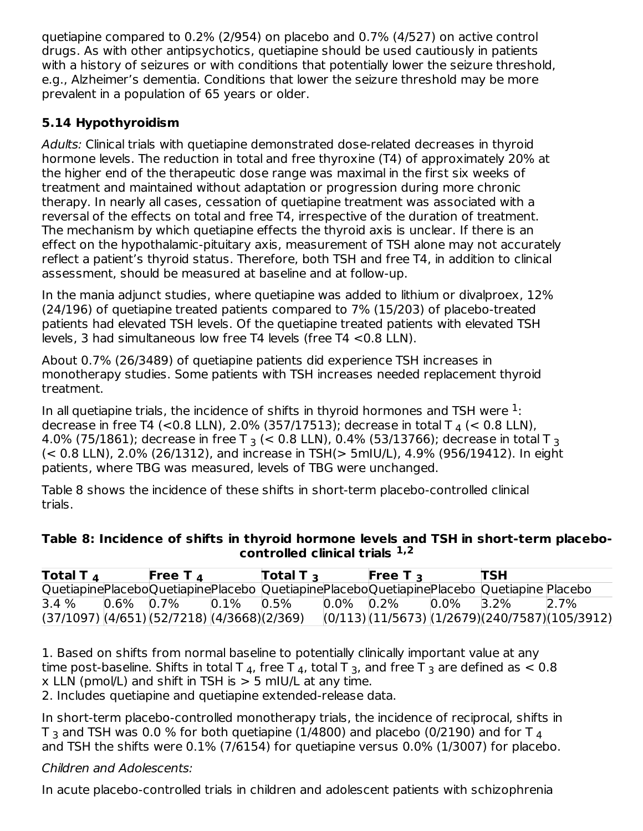quetiapine compared to 0.2% (2/954) on placebo and 0.7% (4/527) on active control drugs. As with other antipsychotics, quetiapine should be used cautiously in patients with a history of seizures or with conditions that potentially lower the seizure threshold, e.g., Alzheimer's dementia. Conditions that lower the seizure threshold may be more prevalent in a population of 65 years or older.

# **5.14 Hypothyroidism**

Adults: Clinical trials with quetiapine demonstrated dose-related decreases in thyroid hormone levels. The reduction in total and free thyroxine (T4) of approximately 20% at the higher end of the therapeutic dose range was maximal in the first six weeks of treatment and maintained without adaptation or progression during more chronic therapy. In nearly all cases, cessation of quetiapine treatment was associated with a reversal of the effects on total and free T4, irrespective of the duration of treatment. The mechanism by which quetiapine effects the thyroid axis is unclear. If there is an effect on the hypothalamic-pituitary axis, measurement of TSH alone may not accurately reflect a patient's thyroid status. Therefore, both TSH and free T4, in addition to clinical assessment, should be measured at baseline and at follow-up.

In the mania adjunct studies, where quetiapine was added to lithium or divalproex, 12% (24/196) of quetiapine treated patients compared to 7% (15/203) of placebo-treated patients had elevated TSH levels. Of the quetiapine treated patients with elevated TSH levels, 3 had simultaneous low free T4 levels (free T4 <0.8 LLN).

About 0.7% (26/3489) of quetiapine patients did experience TSH increases in monotherapy studies. Some patients with TSH increases needed replacement thyroid treatment.

In all quetiapine trials, the incidence of shifts in thyroid hormones and TSH were  $1$ : decrease in free T4 (<0.8 LLN), 2.0% (357/17513); decrease in total T  $_4$  (< 0.8 LLN), 4.0% (75/1861); decrease in free T  $_3$  (< 0.8 LLN), 0.4% (53/13766); decrease in total T  $_3$ (< 0.8 LLN), 2.0% (26/1312), and increase in TSH(> 5mIU/L), 4.9% (956/19412). In eight patients, where TBG was measured, levels of TBG were unchanged.

Table 8 shows the incidence of these shifts in short-term placebo-controlled clinical trials.

### **Table 8: Incidence of shifts in thyroid hormone levels and TSH in short-term placebocontrolled clinical trials 1,2**

| Total T $_{4}$                                         |                                         | Free T <sub>4</sub> |         | Total T <sub>3</sub> |         | Free T <sub>3</sub> |         | <b>TSH</b>                                                                               |         |
|--------------------------------------------------------|-----------------------------------------|---------------------|---------|----------------------|---------|---------------------|---------|------------------------------------------------------------------------------------------|---------|
|                                                        |                                         |                     |         |                      |         |                     |         | QuetiapinePlaceboQuetiapinePlacebo QuetiapinePlaceboQuetiapinePlacebo Quetiapine Placebo |         |
| $3.4 \%$                                               | $\vert 0.6\% \vert$ $\vert 0.7\% \vert$ |                     | $0.1\%$ | 0.5%                 | $0.0\%$ | $0.2\%$             | $0.0\%$ | $3.2\%$                                                                                  | $2.7\%$ |
| $(37/1097)$ $(4/651)$ $(52/7218)$ $(4/3668)$ $(2/369)$ |                                         |                     |         |                      |         |                     |         | $(0/113)(11/5673)(1/2679)(240/7587)(105/3912)$                                           |         |

1. Based on shifts from normal baseline to potentially clinically important value at any time post-baseline. Shifts in total T  $_4$ , free T  $_4$ , total T  $_3$ , and free T  $_3$  are defined as  $<$  0.8  $\,$  $x$  LLN (pmol/L) and shift in TSH is  $>$  5 mIU/L at any time.

2. Includes quetiapine and quetiapine extended-release data.

In short-term placebo-controlled monotherapy trials, the incidence of reciprocal, shifts in T  $_3$  and TSH was 0.0 % for both quetiapine (1/4800) and placebo (0/2190) and for T  $_4$ and TSH the shifts were 0.1% (7/6154) for quetiapine versus 0.0% (1/3007) for placebo.

# Children and Adolescents:

In acute placebo-controlled trials in children and adolescent patients with schizophrenia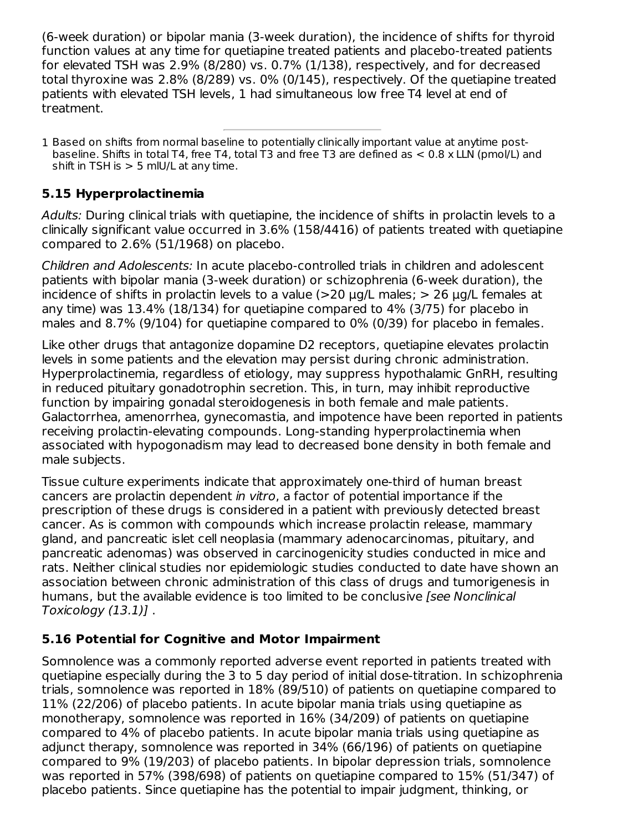(6-week duration) or bipolar mania (3-week duration), the incidence of shifts for thyroid function values at any time for quetiapine treated patients and placebo-treated patients for elevated TSH was 2.9% (8/280) vs. 0.7% (1/138), respectively, and for decreased total thyroxine was 2.8% (8/289) vs. 0% (0/145), respectively. Of the quetiapine treated patients with elevated TSH levels, 1 had simultaneous low free T4 level at end of treatment.

1 Based on shifts from normal baseline to potentially clinically important value at anytime postbaseline. Shifts in total T4, free T4, total T3 and free T3 are defined as  $< 0.8 \times$  LLN (pmol/L) and shift in TSH is  $> 5$  mlU/L at any time.

# **5.15 Hyperprolactinemia**

Adults: During clinical trials with quetiapine, the incidence of shifts in prolactin levels to a clinically significant value occurred in 3.6% (158/4416) of patients treated with quetiapine compared to 2.6% (51/1968) on placebo.

Children and Adolescents: In acute placebo-controlled trials in children and adolescent patients with bipolar mania (3-week duration) or schizophrenia (6-week duration), the incidence of shifts in prolactin levels to a value  $(>20 \mu g/L$  males;  $> 26 \mu g/L$  females at any time) was 13.4% (18/134) for quetiapine compared to 4% (3/75) for placebo in males and 8.7% (9/104) for quetiapine compared to 0% (0/39) for placebo in females.

Like other drugs that antagonize dopamine D2 receptors, quetiapine elevates prolactin levels in some patients and the elevation may persist during chronic administration. Hyperprolactinemia, regardless of etiology, may suppress hypothalamic GnRH, resulting in reduced pituitary gonadotrophin secretion. This, in turn, may inhibit reproductive function by impairing gonadal steroidogenesis in both female and male patients. Galactorrhea, amenorrhea, gynecomastia, and impotence have been reported in patients receiving prolactin-elevating compounds. Long-standing hyperprolactinemia when associated with hypogonadism may lead to decreased bone density in both female and male subjects.

Tissue culture experiments indicate that approximately one-third of human breast cancers are prolactin dependent in vitro, a factor of potential importance if the prescription of these drugs is considered in a patient with previously detected breast cancer. As is common with compounds which increase prolactin release, mammary gland, and pancreatic islet cell neoplasia (mammary adenocarcinomas, pituitary, and pancreatic adenomas) was observed in carcinogenicity studies conducted in mice and rats. Neither clinical studies nor epidemiologic studies conducted to date have shown an association between chronic administration of this class of drugs and tumorigenesis in humans, but the available evidence is too limited to be conclusive [see Nonclinical] Toxicology (13.1)] .

# **5.16 Potential for Cognitive and Motor Impairment**

Somnolence was a commonly reported adverse event reported in patients treated with quetiapine especially during the 3 to 5 day period of initial dose-titration. In schizophrenia trials, somnolence was reported in 18% (89/510) of patients on quetiapine compared to 11% (22/206) of placebo patients. In acute bipolar mania trials using quetiapine as monotherapy, somnolence was reported in 16% (34/209) of patients on quetiapine compared to 4% of placebo patients. In acute bipolar mania trials using quetiapine as adjunct therapy, somnolence was reported in 34% (66/196) of patients on quetiapine compared to 9% (19/203) of placebo patients. In bipolar depression trials, somnolence was reported in 57% (398/698) of patients on quetiapine compared to 15% (51/347) of placebo patients. Since quetiapine has the potential to impair judgment, thinking, or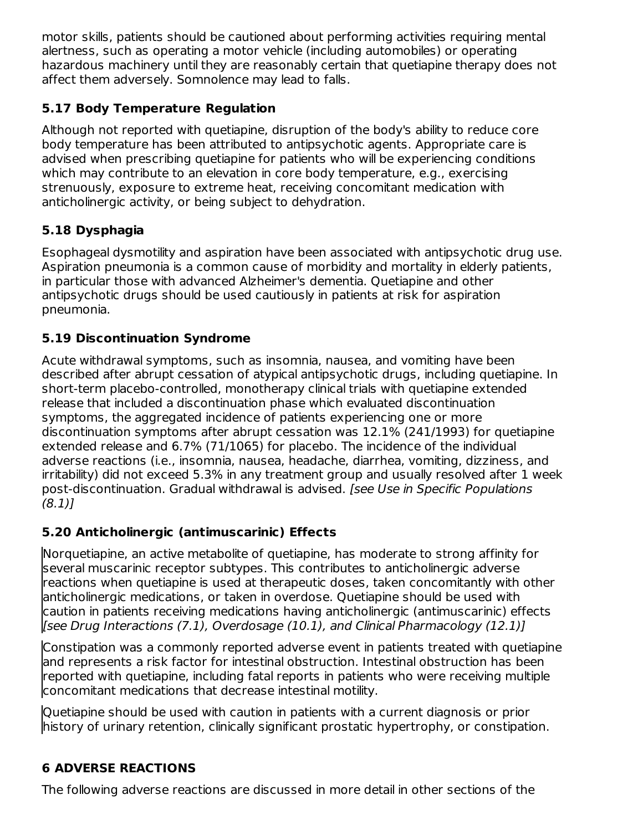motor skills, patients should be cautioned about performing activities requiring mental alertness, such as operating a motor vehicle (including automobiles) or operating hazardous machinery until they are reasonably certain that quetiapine therapy does not affect them adversely. Somnolence may lead to falls.

# **5.17 Body Temperature Regulation**

Although not reported with quetiapine, disruption of the body's ability to reduce core body temperature has been attributed to antipsychotic agents. Appropriate care is advised when prescribing quetiapine for patients who will be experiencing conditions which may contribute to an elevation in core body temperature, e.g., exercising strenuously, exposure to extreme heat, receiving concomitant medication with anticholinergic activity, or being subject to dehydration.

# **5.18 Dysphagia**

Esophageal dysmotility and aspiration have been associated with antipsychotic drug use. Aspiration pneumonia is a common cause of morbidity and mortality in elderly patients, in particular those with advanced Alzheimer's dementia. Quetiapine and other antipsychotic drugs should be used cautiously in patients at risk for aspiration pneumonia.

# **5.19 Discontinuation Syndrome**

Acute withdrawal symptoms, such as insomnia, nausea, and vomiting have been described after abrupt cessation of atypical antipsychotic drugs, including quetiapine. In short-term placebo-controlled, monotherapy clinical trials with quetiapine extended release that included a discontinuation phase which evaluated discontinuation symptoms, the aggregated incidence of patients experiencing one or more discontinuation symptoms after abrupt cessation was 12.1% (241/1993) for quetiapine extended release and 6.7% (71/1065) for placebo. The incidence of the individual adverse reactions (i.e., insomnia, nausea, headache, diarrhea, vomiting, dizziness, and irritability) did not exceed 5.3% in any treatment group and usually resolved after 1 week post-discontinuation. Gradual withdrawal is advised. [see Use in Specific Populations (8.1)]

# **5.20 Anticholinergic (antimuscarinic) Effects**

Norquetiapine, an active metabolite of quetiapine, has moderate to strong affinity for several muscarinic receptor subtypes. This contributes to anticholinergic adverse reactions when quetiapine is used at therapeutic doses, taken concomitantly with other anticholinergic medications, or taken in overdose. Quetiapine should be used with caution in patients receiving medications having anticholinergic (antimuscarinic) effects [see Drug Interactions (7.1), Overdosage (10.1), and Clinical Pharmacology (12.1)]

Constipation was a commonly reported adverse event in patients treated with quetiapine and represents a risk factor for intestinal obstruction. Intestinal obstruction has been reported with quetiapine, including fatal reports in patients who were receiving multiple concomitant medications that decrease intestinal motility.

Quetiapine should be used with caution in patients with a current diagnosis or prior history of urinary retention, clinically significant prostatic hypertrophy, or constipation.

# **6 ADVERSE REACTIONS**

The following adverse reactions are discussed in more detail in other sections of the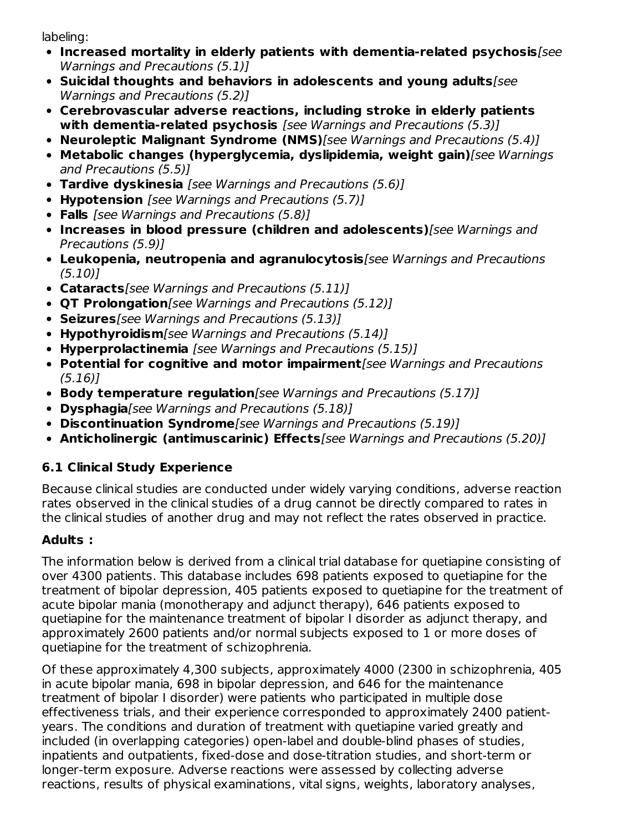labeling:

- **Increased mortality in elderly patients with dementia-related psychosis**[see Warnings and Precautions (5.1)]
- **Suicidal thoughts and behaviors in adolescents and young adults**[see Warnings and Precautions (5.2)]
- **Cerebrovascular adverse reactions, including stroke in elderly patients with dementia-related psychosis** [see Warnings and Precautions (5.3)]
- **Neuroleptic Malignant Syndrome (NMS)**[see Warnings and Precautions (5.4)]
- **Metabolic changes (hyperglycemia, dyslipidemia, weight gain)**[see Warnings and Precautions (5.5)]
- **Tardive dyskinesia** [see Warnings and Precautions (5.6)]
- **Hypotension** [see Warnings and Precautions (5.7)]
- **Falls** [see Warnings and Precautions (5.8)]
- **Increases in blood pressure (children and adolescents)**[see Warnings and Precautions (5.9)]
- **Leukopenia, neutropenia and agranulocytosis**[see Warnings and Precautions (5.10)]
- **Cataracts**[see Warnings and Precautions (5.11)]
- **QT Prolongation**[see Warnings and Precautions (5.12)]
- **Seizures**[see Warnings and Precautions (5.13)]
- **Hypothyroidism**[see Warnings and Precautions (5.14)]
- **Hyperprolactinemia** [see Warnings and Precautions (5.15)]
- **Potential for cognitive and motor impairment**[see Warnings and Precautions (5.16)]
- **Body temperature regulation**[see Warnings and Precautions (5.17)]
- **Dysphagia**[see Warnings and Precautions (5.18)]
- **Discontinuation Syndrome**[see Warnings and Precautions (5.19)]
- **Anticholinergic (antimuscarinic) Effects**[see Warnings and Precautions (5.20)]

# **6.1 Clinical Study Experience**

Because clinical studies are conducted under widely varying conditions, adverse reaction rates observed in the clinical studies of a drug cannot be directly compared to rates in the clinical studies of another drug and may not reflect the rates observed in practice.

# **Adults :**

The information below is derived from a clinical trial database for quetiapine consisting of over 4300 patients. This database includes 698 patients exposed to quetiapine for the treatment of bipolar depression, 405 patients exposed to quetiapine for the treatment of acute bipolar mania (monotherapy and adjunct therapy), 646 patients exposed to quetiapine for the maintenance treatment of bipolar I disorder as adjunct therapy, and approximately 2600 patients and/or normal subjects exposed to 1 or more doses of quetiapine for the treatment of schizophrenia.

Of these approximately 4,300 subjects, approximately 4000 (2300 in schizophrenia, 405 in acute bipolar mania, 698 in bipolar depression, and 646 for the maintenance treatment of bipolar I disorder) were patients who participated in multiple dose effectiveness trials, and their experience corresponded to approximately 2400 patientyears. The conditions and duration of treatment with quetiapine varied greatly and included (in overlapping categories) open-label and double-blind phases of studies, inpatients and outpatients, fixed-dose and dose-titration studies, and short-term or longer-term exposure. Adverse reactions were assessed by collecting adverse reactions, results of physical examinations, vital signs, weights, laboratory analyses,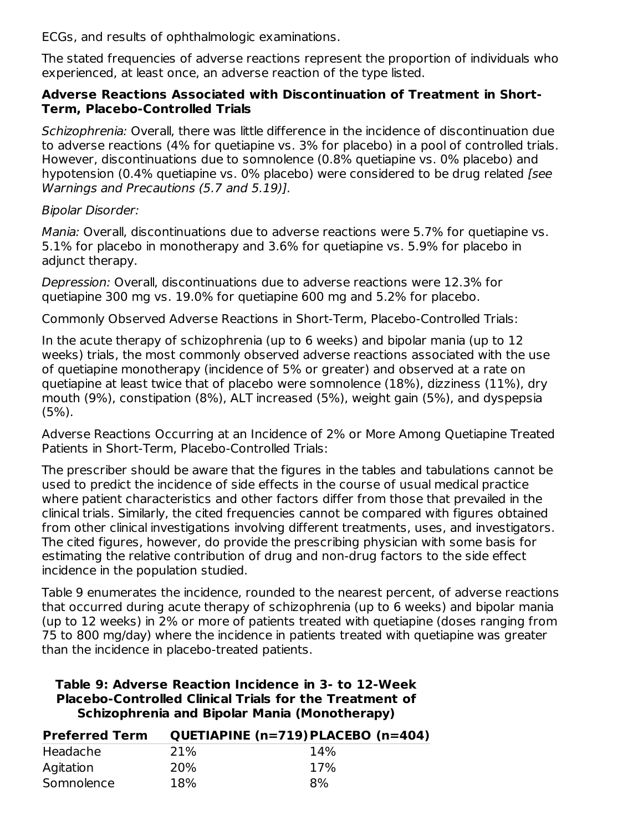ECGs, and results of ophthalmologic examinations.

The stated frequencies of adverse reactions represent the proportion of individuals who experienced, at least once, an adverse reaction of the type listed.

#### **Adverse Reactions Associated with Discontinuation of Treatment in Short-Term, Placebo-Controlled Trials**

Schizophrenia: Overall, there was little difference in the incidence of discontinuation due to adverse reactions (4% for quetiapine vs. 3% for placebo) in a pool of controlled trials. However, discontinuations due to somnolence (0.8% quetiapine vs. 0% placebo) and hypotension (0.4% quetiapine vs. 0% placebo) were considered to be drug related [see Warnings and Precautions (5.7 and 5.19)].

### Bipolar Disorder:

Mania: Overall, discontinuations due to adverse reactions were 5.7% for quetiapine vs. 5.1% for placebo in monotherapy and 3.6% for quetiapine vs. 5.9% for placebo in adjunct therapy.

Depression: Overall, discontinuations due to adverse reactions were 12.3% for quetiapine 300 mg vs. 19.0% for quetiapine 600 mg and 5.2% for placebo.

Commonly Observed Adverse Reactions in Short-Term, Placebo-Controlled Trials:

In the acute therapy of schizophrenia (up to 6 weeks) and bipolar mania (up to 12 weeks) trials, the most commonly observed adverse reactions associated with the use of quetiapine monotherapy (incidence of 5% or greater) and observed at a rate on quetiapine at least twice that of placebo were somnolence (18%), dizziness (11%), dry mouth (9%), constipation (8%), ALT increased (5%), weight gain (5%), and dyspepsia (5%).

Adverse Reactions Occurring at an Incidence of 2% or More Among Quetiapine Treated Patients in Short-Term, Placebo-Controlled Trials:

The prescriber should be aware that the figures in the tables and tabulations cannot be used to predict the incidence of side effects in the course of usual medical practice where patient characteristics and other factors differ from those that prevailed in the clinical trials. Similarly, the cited frequencies cannot be compared with figures obtained from other clinical investigations involving different treatments, uses, and investigators. The cited figures, however, do provide the prescribing physician with some basis for estimating the relative contribution of drug and non-drug factors to the side effect incidence in the population studied.

Table 9 enumerates the incidence, rounded to the nearest percent, of adverse reactions that occurred during acute therapy of schizophrenia (up to 6 weeks) and bipolar mania (up to 12 weeks) in 2% or more of patients treated with quetiapine (doses ranging from 75 to 800 mg/day) where the incidence in patients treated with quetiapine was greater than the incidence in placebo-treated patients.

### **Table 9: Adverse Reaction Incidence in 3- to 12-Week Placebo-Controlled Clinical Trials for the Treatment of Schizophrenia and Bipolar Mania (Monotherapy)**

| <b>Preferred Term</b> |            | QUETIAPINE (n=719) PLACEBO (n=404) |
|-----------------------|------------|------------------------------------|
| Headache              | 21%        | 14%                                |
| Agitation             | <b>20%</b> | <b>17%</b>                         |
| Somnolence            | 18%        | 8%                                 |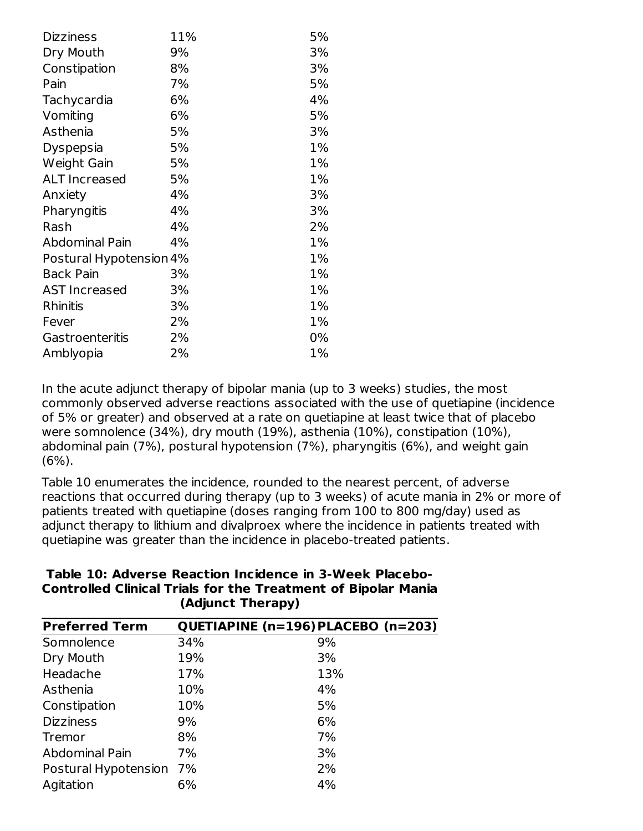| <b>Dizziness</b>        | 11% | 5%    |
|-------------------------|-----|-------|
| Dry Mouth               | 9%  | 3%    |
| Constipation            | 8%  | 3%    |
| Pain                    | 7%  | 5%    |
| Tachycardia             | 6%  | 4%    |
| Vomiting                | 6%  | 5%    |
| Asthenia                | 5%  | 3%    |
| <b>Dyspepsia</b>        | 5%  | 1%    |
| Weight Gain             | 5%  | 1%    |
| <b>ALT Increased</b>    | 5%  | 1%    |
| Anxiety                 | 4%  | 3%    |
| Pharyngitis             | 4%  | 3%    |
| Rash                    | 4%  | 2%    |
| <b>Abdominal Pain</b>   | 4%  | $1\%$ |
| Postural Hypotension 4% |     | 1%    |
| <b>Back Pain</b>        | 3%  | 1%    |
| <b>AST Increased</b>    | 3%  | 1%    |
| <b>Rhinitis</b>         | 3%  | 1%    |
| Fever                   | 2%  | 1%    |
| Gastroenteritis         | 2%  | 0%    |
| Amblyopia               | 2%  | 1%    |

In the acute adjunct therapy of bipolar mania (up to 3 weeks) studies, the most commonly observed adverse reactions associated with the use of quetiapine (incidence of 5% or greater) and observed at a rate on quetiapine at least twice that of placebo were somnolence (34%), dry mouth (19%), asthenia (10%), constipation (10%), abdominal pain (7%), postural hypotension (7%), pharyngitis (6%), and weight gain  $(6\%)$ .

Table 10 enumerates the incidence, rounded to the nearest percent, of adverse reactions that occurred during therapy (up to 3 weeks) of acute mania in 2% or more of patients treated with quetiapine (doses ranging from 100 to 800 mg/day) used as adjunct therapy to lithium and divalproex where the incidence in patients treated with quetiapine was greater than the incidence in placebo-treated patients.

| <b>Preferred Term</b>   | QUETIAPINE (n=196) PLACEBO (n=203) |     |
|-------------------------|------------------------------------|-----|
| Somnolence              | 34%                                | 9%  |
| Dry Mouth               | 19%                                | 3%  |
| Headache                | 17%                                | 13% |
| Asthenia                | 10%                                | 4%  |
| Constipation            | 10%                                | 5%  |
| <b>Dizziness</b>        | 9%                                 | 6%  |
| Tremor                  | 8%                                 | 7%  |
| Abdominal Pain          | 7%                                 | 3%  |
| Postural Hypotension 7% |                                    | 2%  |
| Agitation               | 6%                                 | 4%  |

#### **Table 10: Adverse Reaction Incidence in 3-Week Placebo-Controlled Clinical Trials for the Treatment of Bipolar Mania (Adjunct Therapy)**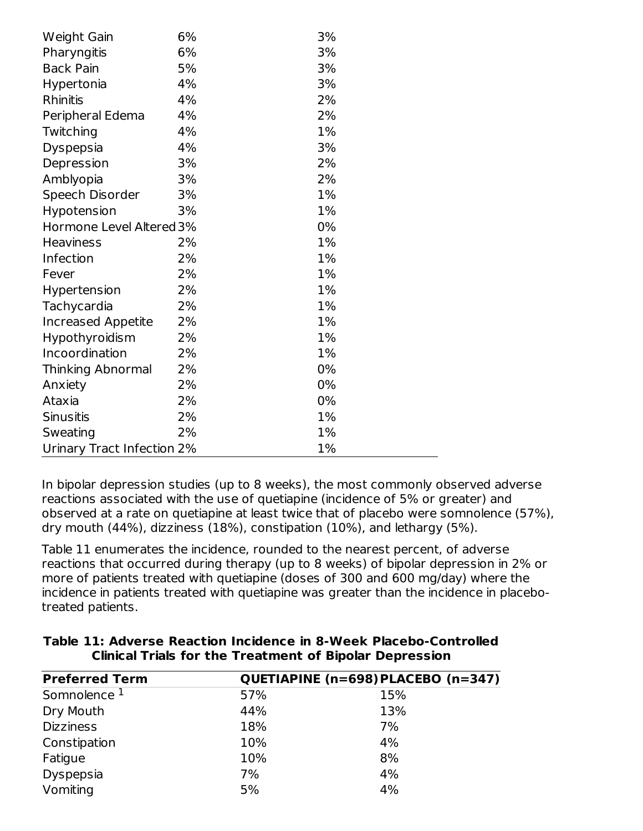| Weight Gain                | 6% | 3%    |
|----------------------------|----|-------|
| Pharyngitis                | 6% | 3%    |
| <b>Back Pain</b>           | 5% | 3%    |
| Hypertonia                 | 4% | 3%    |
| <b>Rhinitis</b>            | 4% | 2%    |
| Peripheral Edema           | 4% | 2%    |
| Twitching                  | 4% | 1%    |
| Dyspepsia                  | 4% | 3%    |
| Depression                 | 3% | 2%    |
| Amblyopia                  | 3% | 2%    |
| Speech Disorder            | 3% | 1%    |
| Hypotension                | 3% | 1%    |
| Hormone Level Altered 3%   |    | 0%    |
| <b>Heaviness</b>           | 2% | $1\%$ |
| Infection                  | 2% | 1%    |
| Fever                      | 2% | $1\%$ |
| Hypertension               | 2% | $1\%$ |
| Tachycardia                | 2% | $1\%$ |
| <b>Increased Appetite</b>  | 2% | $1\%$ |
| Hypothyroidism             | 2% | 1%    |
| Incoordination             | 2% | $1\%$ |
| Thinking Abnormal          | 2% | 0%    |
| Anxiety                    | 2% | 0%    |
| Ataxia                     | 2% | 0%    |
| <b>Sinusitis</b>           | 2% | 1%    |
| Sweating                   | 2% | 1%    |
| Urinary Tract Infection 2% |    | $1\%$ |

In bipolar depression studies (up to 8 weeks), the most commonly observed adverse reactions associated with the use of quetiapine (incidence of 5% or greater) and observed at a rate on quetiapine at least twice that of placebo were somnolence (57%), dry mouth (44%), dizziness (18%), constipation (10%), and lethargy (5%).

Table 11 enumerates the incidence, rounded to the nearest percent, of adverse reactions that occurred during therapy (up to 8 weeks) of bipolar depression in 2% or more of patients treated with quetiapine (doses of 300 and 600 mg/day) where the incidence in patients treated with quetiapine was greater than the incidence in placebotreated patients.

|  |  | Table 11: Adverse Reaction Incidence in 8-Week Placebo-Controlled |  |
|--|--|-------------------------------------------------------------------|--|
|  |  | <b>Clinical Trials for the Treatment of Bipolar Depression</b>    |  |

| <b>Preferred Term</b>   |     | QUETIAPINE (n=698) PLACEBO (n=347) |
|-------------------------|-----|------------------------------------|
| Somnolence <sup>1</sup> | 57% | 15%                                |
| Dry Mouth               | 44% | 13%                                |
| <b>Dizziness</b>        | 18% | 7%                                 |
| Constipation            | 10% | 4%                                 |
| Fatigue                 | 10% | 8%                                 |
| Dyspepsia               | 7%  | 4%                                 |
| Vomiting                | 5%  | 4%                                 |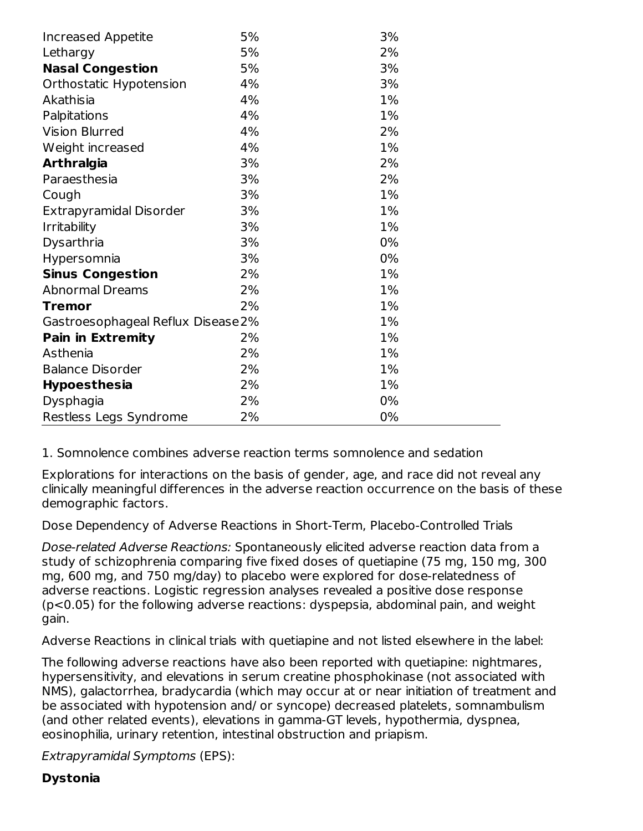| <b>Increased Appetite</b>         | 5% | 3% |
|-----------------------------------|----|----|
| Lethargy                          | 5% | 2% |
| <b>Nasal Congestion</b>           | 5% | 3% |
| Orthostatic Hypotension           | 4% | 3% |
| Akathisia                         | 4% | 1% |
| Palpitations                      | 4% | 1% |
| Vision Blurred                    | 4% | 2% |
| Weight increased                  | 4% | 1% |
| <b>Arthralgia</b>                 | 3% | 2% |
| Paraesthesia                      | 3% | 2% |
| Cough                             | 3% | 1% |
| Extrapyramidal Disorder           | 3% | 1% |
| <b>Irritability</b>               | 3% | 1% |
| Dysarthria                        | 3% | 0% |
| Hypersomnia                       | 3% | 0% |
| <b>Sinus Congestion</b>           | 2% | 1% |
| <b>Abnormal Dreams</b>            | 2% | 1% |
| <b>Tremor</b>                     | 2% | 1% |
| Gastroesophageal Reflux Disease2% |    | 1% |
| <b>Pain in Extremity</b>          | 2% | 1% |
| Asthenia                          | 2% | 1% |
| <b>Balance Disorder</b>           | 2% | 1% |
| <b>Hypoesthesia</b>               | 2% | 1% |
| Dysphagia                         | 2% | 0% |
| Restless Legs Syndrome            | 2% | 0% |

1. Somnolence combines adverse reaction terms somnolence and sedation

Explorations for interactions on the basis of gender, age, and race did not reveal any clinically meaningful differences in the adverse reaction occurrence on the basis of these demographic factors.

Dose Dependency of Adverse Reactions in Short-Term, Placebo-Controlled Trials

Dose-related Adverse Reactions: Spontaneously elicited adverse reaction data from a study of schizophrenia comparing five fixed doses of quetiapine (75 mg, 150 mg, 300 mg, 600 mg, and 750 mg/day) to placebo were explored for dose-relatedness of adverse reactions. Logistic regression analyses revealed a positive dose response (p<0.05) for the following adverse reactions: dyspepsia, abdominal pain, and weight gain.

Adverse Reactions in clinical trials with quetiapine and not listed elsewhere in the label:

The following adverse reactions have also been reported with quetiapine: nightmares, hypersensitivity, and elevations in serum creatine phosphokinase (not associated with NMS), galactorrhea, bradycardia (which may occur at or near initiation of treatment and be associated with hypotension and/ or syncope) decreased platelets, somnambulism (and other related events), elevations in gamma-GT levels, hypothermia, dyspnea, eosinophilia, urinary retention, intestinal obstruction and priapism.

Extrapyramidal Symptoms (EPS):

# **Dystonia**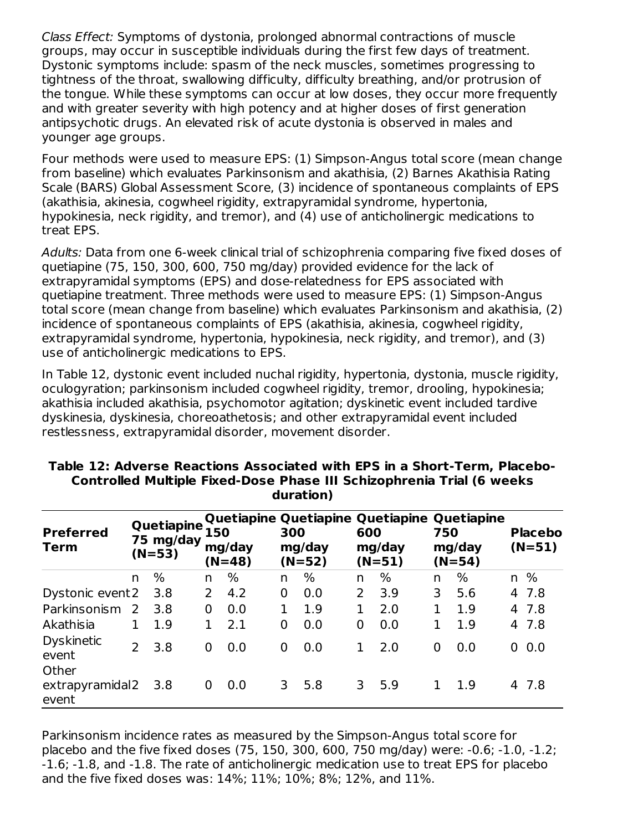Class Effect: Symptoms of dystonia, prolonged abnormal contractions of muscle groups, may occur in susceptible individuals during the first few days of treatment. Dystonic symptoms include: spasm of the neck muscles, sometimes progressing to tightness of the throat, swallowing difficulty, difficulty breathing, and/or protrusion of the tongue. While these symptoms can occur at low doses, they occur more frequently and with greater severity with high potency and at higher doses of first generation antipsychotic drugs. An elevated risk of acute dystonia is observed in males and younger age groups.

Four methods were used to measure EPS: (1) Simpson-Angus total score (mean change from baseline) which evaluates Parkinsonism and akathisia, (2) Barnes Akathisia Rating Scale (BARS) Global Assessment Score, (3) incidence of spontaneous complaints of EPS (akathisia, akinesia, cogwheel rigidity, extrapyramidal syndrome, hypertonia, hypokinesia, neck rigidity, and tremor), and (4) use of anticholinergic medications to treat EPS.

Adults: Data from one 6-week clinical trial of schizophrenia comparing five fixed doses of quetiapine (75, 150, 300, 600, 750 mg/day) provided evidence for the lack of extrapyramidal symptoms (EPS) and dose-relatedness for EPS associated with quetiapine treatment. Three methods were used to measure EPS: (1) Simpson-Angus total score (mean change from baseline) which evaluates Parkinsonism and akathisia, (2) incidence of spontaneous complaints of EPS (akathisia, akinesia, cogwheel rigidity, extrapyramidal syndrome, hypertonia, hypokinesia, neck rigidity, and tremor), and (3) use of anticholinergic medications to EPS.

In Table 12, dystonic event included nuchal rigidity, hypertonia, dystonia, muscle rigidity, oculogyration; parkinsonism included cogwheel rigidity, tremor, drooling, hypokinesia; akathisia included akathisia, psychomotor agitation; dyskinetic event included tardive dyskinesia, dyskinesia, choreoathetosis; and other extrapyramidal event included restlessness, extrapyramidal disorder, movement disorder.

| <b>Preferred</b><br><b>Term</b>   |                | Quetiapine<br>75 mg/day<br>$(N=53)$ | 150           | Quetiapine Quetiapine Quetiapine Quetiapine<br>mg/day<br>$(N=48)$ | 300 | mg/day<br>$(N=52)$ | 600            | mg/day<br>$(N=51)$ | 750 | mg/day<br>$(N=54)$ |    | <b>Placebo</b><br>$(N=51)$ |
|-----------------------------------|----------------|-------------------------------------|---------------|-------------------------------------------------------------------|-----|--------------------|----------------|--------------------|-----|--------------------|----|----------------------------|
|                                   | n              | %                                   | n             | %                                                                 | n   | %                  | n              | $\%$               | n   | %                  | n. | %                          |
| Dystonic event 2                  |                | 3.8                                 | $\mathcal{P}$ | 4.2                                                               | 0   | 0.0                | $\overline{2}$ | 3.9                | 3   | 5.6                |    | 4 7.8                      |
| Parkinsonism                      | 2              | 3.8                                 | 0             | 0.0                                                               | 1   | 1.9                | 1              | 2.0                | 1   | 1.9                |    | 4 7.8                      |
| Akathisia                         | 1.             | 1.9                                 | 1             | 2.1                                                               | 0   | 0.0                | 0              | 0.0                | 1   | 1.9                |    | 4 7.8                      |
| <b>Dyskinetic</b><br>event        | $\overline{2}$ | 3.8                                 | 0             | 0.0                                                               | 0   | 0.0                | 1              | 2.0                | 0   | 0.0                | 0  | 0.0                        |
| Other<br>extrapyramidal2<br>event |                | 3.8                                 | 0             | 0.0                                                               | 3.  | 5.8                | 3              | 5.9                | 1.  | 1.9                |    | 4 7.8                      |

#### **Table 12: Adverse Reactions Associated with EPS in a Short-Term, Placebo-Controlled Multiple Fixed-Dose Phase III Schizophrenia Trial (6 weeks duration)**

Parkinsonism incidence rates as measured by the Simpson-Angus total score for placebo and the five fixed doses (75, 150, 300, 600, 750 mg/day) were: -0.6; -1.0, -1.2; -1.6; -1.8, and -1.8. The rate of anticholinergic medication use to treat EPS for placebo and the five fixed doses was: 14%; 11%; 10%; 8%; 12%, and 11%.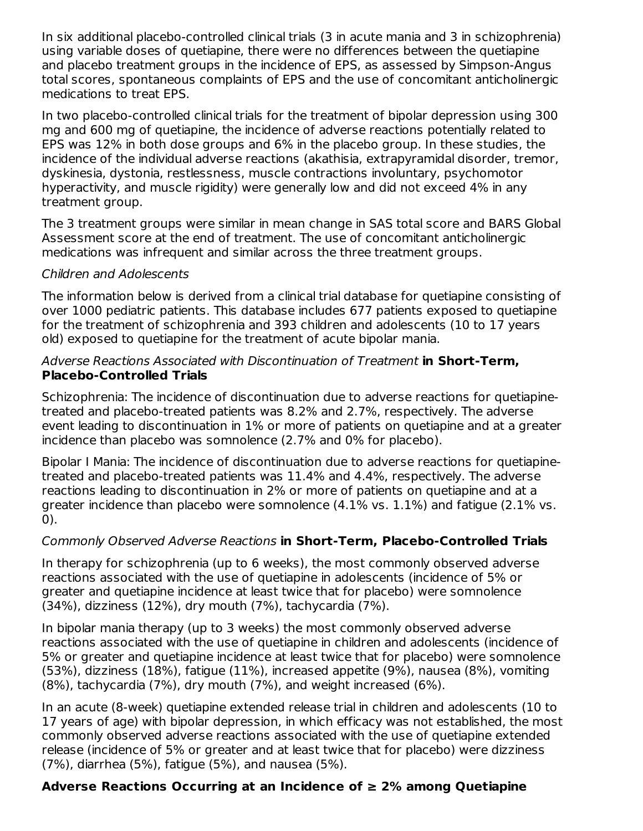In six additional placebo-controlled clinical trials (3 in acute mania and 3 in schizophrenia) using variable doses of quetiapine, there were no differences between the quetiapine and placebo treatment groups in the incidence of EPS, as assessed by Simpson-Angus total scores, spontaneous complaints of EPS and the use of concomitant anticholinergic medications to treat EPS.

In two placebo-controlled clinical trials for the treatment of bipolar depression using 300 mg and 600 mg of quetiapine, the incidence of adverse reactions potentially related to EPS was 12% in both dose groups and 6% in the placebo group. In these studies, the incidence of the individual adverse reactions (akathisia, extrapyramidal disorder, tremor, dyskinesia, dystonia, restlessness, muscle contractions involuntary, psychomotor hyperactivity, and muscle rigidity) were generally low and did not exceed 4% in any treatment group.

The 3 treatment groups were similar in mean change in SAS total score and BARS Global Assessment score at the end of treatment. The use of concomitant anticholinergic medications was infrequent and similar across the three treatment groups.

#### Children and Adolescents

The information below is derived from a clinical trial database for quetiapine consisting of over 1000 pediatric patients. This database includes 677 patients exposed to quetiapine for the treatment of schizophrenia and 393 children and adolescents (10 to 17 years old) exposed to quetiapine for the treatment of acute bipolar mania.

#### Adverse Reactions Associated with Discontinuation of Treatment **in Short-Term, Placebo-Controlled Trials**

Schizophrenia: The incidence of discontinuation due to adverse reactions for quetiapinetreated and placebo-treated patients was 8.2% and 2.7%, respectively. The adverse event leading to discontinuation in 1% or more of patients on quetiapine and at a greater incidence than placebo was somnolence (2.7% and 0% for placebo).

Bipolar I Mania: The incidence of discontinuation due to adverse reactions for quetiapinetreated and placebo-treated patients was 11.4% and 4.4%, respectively. The adverse reactions leading to discontinuation in 2% or more of patients on quetiapine and at a greater incidence than placebo were somnolence (4.1% vs. 1.1%) and fatigue (2.1% vs. 0).

### Commonly Observed Adverse Reactions **in Short-Term, Placebo-Controlled Trials**

In therapy for schizophrenia (up to 6 weeks), the most commonly observed adverse reactions associated with the use of quetiapine in adolescents (incidence of 5% or greater and quetiapine incidence at least twice that for placebo) were somnolence (34%), dizziness (12%), dry mouth (7%), tachycardia (7%).

In bipolar mania therapy (up to 3 weeks) the most commonly observed adverse reactions associated with the use of quetiapine in children and adolescents (incidence of 5% or greater and quetiapine incidence at least twice that for placebo) were somnolence (53%), dizziness (18%), fatigue (11%), increased appetite (9%), nausea (8%), vomiting (8%), tachycardia (7%), dry mouth (7%), and weight increased (6%).

In an acute (8-week) quetiapine extended release trial in children and adolescents (10 to 17 years of age) with bipolar depression, in which efficacy was not established, the most commonly observed adverse reactions associated with the use of quetiapine extended release (incidence of 5% or greater and at least twice that for placebo) were dizziness (7%), diarrhea (5%), fatigue (5%), and nausea (5%).

### **Adverse Reactions Occurring at an Incidence of ≥ 2% among Quetiapine**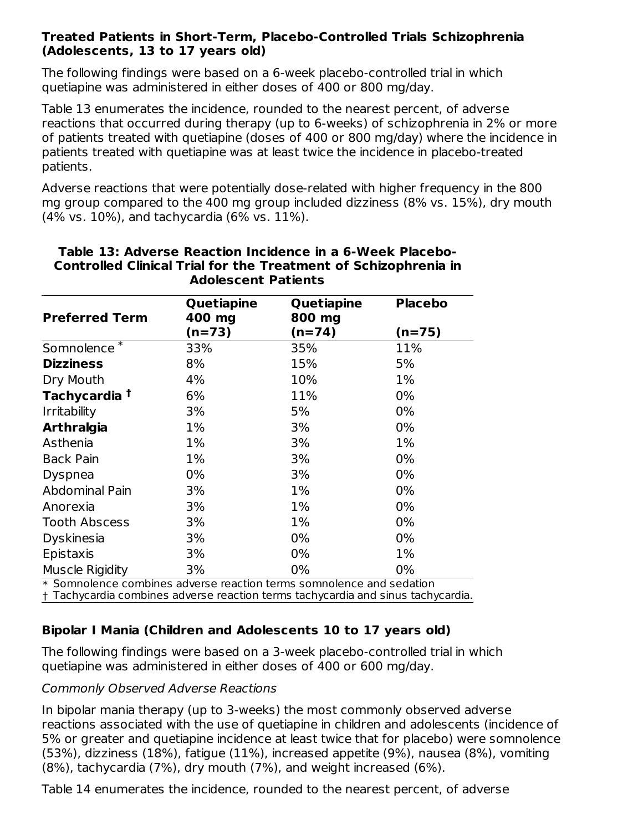#### **Treated Patients in Short-Term, Placebo-Controlled Trials Schizophrenia (Adolescents, 13 to 17 years old)**

The following findings were based on a 6-week placebo-controlled trial in which quetiapine was administered in either doses of 400 or 800 mg/day.

Table 13 enumerates the incidence, rounded to the nearest percent, of adverse reactions that occurred during therapy (up to 6-weeks) of schizophrenia in 2% or more of patients treated with quetiapine (doses of 400 or 800 mg/day) where the incidence in patients treated with quetiapine was at least twice the incidence in placebo-treated patients.

Adverse reactions that were potentially dose-related with higher frequency in the 800 mg group compared to the 400 mg group included dizziness (8% vs. 15%), dry mouth (4% vs. 10%), and tachycardia (6% vs. 11%).

| <b>Preferred Term</b> | Quetiapine<br>400 mg | Quetiapine<br>800 mg | <b>Placebo</b> |
|-----------------------|----------------------|----------------------|----------------|
|                       | $(n=73)$             | (n=74)               | $(n=75)$       |
| $\ast$<br>Somnolence  | 33%                  | 35%                  | 11%            |
| <b>Dizziness</b>      | 8%                   | 15%                  | 5%             |
| Dry Mouth             | 4%                   | 10%                  | $1\%$          |
| Tachycardia †         | 6%                   | 11%                  | $0\%$          |
| Irritability          | 3%                   | 5%                   | $0\%$          |
| <b>Arthralgia</b>     | $1\%$                | 3%                   | $0\%$          |
| Asthenia              | 1%                   | 3%                   | $1\%$          |
| <b>Back Pain</b>      | $1\%$                | 3%                   | 0%             |
| <b>Dyspnea</b>        | $0\%$                | 3%                   | 0%             |
| <b>Abdominal Pain</b> | 3%                   | $1\%$                | 0%             |
| Anorexia              | 3%                   | 1%                   | 0%             |
| <b>Tooth Abscess</b>  | 3%                   | $1\%$                | $0\%$          |
| <b>Dyskinesia</b>     | 3%                   | $0\%$                | $0\%$          |
| Epistaxis             | 3%                   | 0%                   | 1%             |
| Muscle Rigidity       | 3%                   | 0%                   | 0%             |

#### **Table 13: Adverse Reaction Incidence in a 6-Week Placebo-Controlled Clinical Trial for the Treatment of Schizophrenia in Adolescent Patients**

 $\,^*$  Somnolence combines adverse reaction terms somnolence and sedation

† Tachycardia combines adverse reaction terms tachycardia and sinus tachycardia.

# **Bipolar I Mania (Children and Adolescents 10 to 17 years old)**

The following findings were based on a 3-week placebo-controlled trial in which quetiapine was administered in either doses of 400 or 600 mg/day.

### Commonly Observed Adverse Reactions

In bipolar mania therapy (up to 3-weeks) the most commonly observed adverse reactions associated with the use of quetiapine in children and adolescents (incidence of 5% or greater and quetiapine incidence at least twice that for placebo) were somnolence (53%), dizziness (18%), fatigue (11%), increased appetite (9%), nausea (8%), vomiting (8%), tachycardia (7%), dry mouth (7%), and weight increased (6%).

Table 14 enumerates the incidence, rounded to the nearest percent, of adverse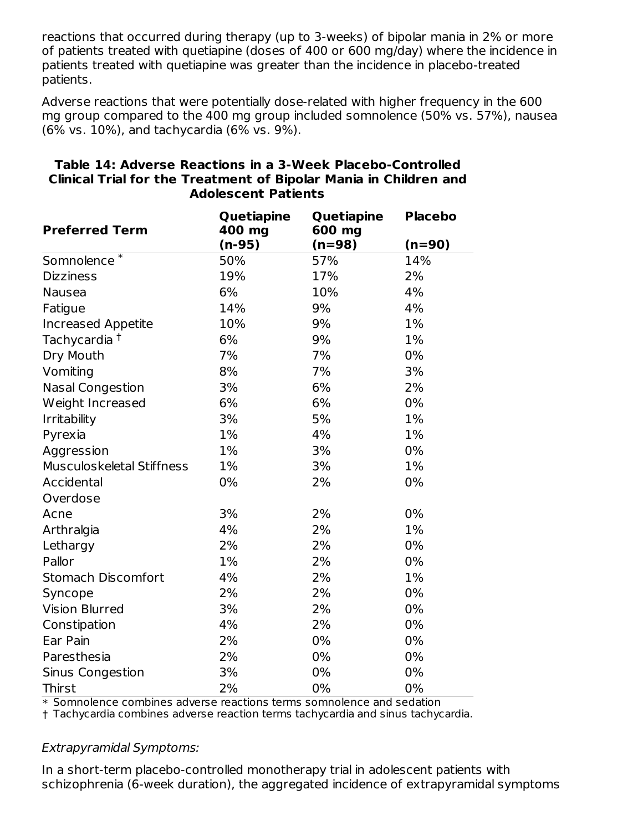reactions that occurred during therapy (up to 3-weeks) of bipolar mania in 2% or more of patients treated with quetiapine (doses of 400 or 600 mg/day) where the incidence in patients treated with quetiapine was greater than the incidence in placebo-treated patients.

Adverse reactions that were potentially dose-related with higher frequency in the 600 mg group compared to the 400 mg group included somnolence (50% vs. 57%), nausea (6% vs. 10%), and tachycardia (6% vs. 9%).

| <b>Preferred Term</b>     | Quetiapine<br>400 mg | Quetiapine<br>600 mg | <b>Placebo</b> |  |  |
|---------------------------|----------------------|----------------------|----------------|--|--|
|                           | (n-95)               | $(n=98)$             | $(n=90)$       |  |  |
| Somnolence                | 50%                  | 57%                  | 14%            |  |  |
| <b>Dizziness</b>          | 19%                  | 17%                  | 2%             |  |  |
| Nausea                    | 6%                   | 10%                  | 4%             |  |  |
| Fatigue                   | 14%                  | 9%                   | 4%             |  |  |
| <b>Increased Appetite</b> | 10%                  | 9%                   | 1%             |  |  |
| Tachycardia †             | 6%                   | 9%                   | 1%             |  |  |
| Dry Mouth                 | 7%                   | 7%                   | 0%             |  |  |
| Vomiting                  | 8%                   | 7%                   | 3%             |  |  |
| <b>Nasal Congestion</b>   | 3%                   | 6%                   | 2%             |  |  |
| Weight Increased          | 6%                   | 6%                   | 0%             |  |  |
| Irritability              | 3%                   | 5%                   | 1%             |  |  |
| Pyrexia                   | 1%                   | 4%                   | 1%             |  |  |
| Aggression                | 1%                   | 3%                   | 0%             |  |  |
| Musculoskeletal Stiffness | 1%                   | 3%                   | 1%             |  |  |
| Accidental                | 0%                   | 2%                   | 0%             |  |  |
| Overdose                  |                      |                      |                |  |  |
| Acne                      | 3%                   | 2%                   | 0%             |  |  |
| Arthralgia                | 4%                   | 2%                   | 1%             |  |  |
| Lethargy                  | 2%                   | 2%                   | 0%             |  |  |
| Pallor                    | 1%                   | 2%                   | 0%             |  |  |
| <b>Stomach Discomfort</b> | 4%                   | 2%                   | 1%             |  |  |
| Syncope                   | 2%                   | 2%                   | 0%             |  |  |
| <b>Vision Blurred</b>     | 3%                   | 2%                   | 0%             |  |  |
| Constipation              | 4%                   | 2%                   | 0%             |  |  |
| Ear Pain                  | 2%                   | 0%                   | 0%             |  |  |
| Paresthesia               | 2%                   | 0%                   | 0%             |  |  |
| Sinus Congestion          | 3%                   | 0%                   | 0%             |  |  |
| Thirst                    | 2%                   | 0%                   | 0%             |  |  |

#### **Table 14: Adverse Reactions in a 3-Week Placebo-Controlled Clinical Trial for the Treatment of Bipolar Mania in Children and Adolescent Patients**

\* Somnolence combines adverse reactions terms somnolence and sedation

† Tachycardia combines adverse reaction terms tachycardia and sinus tachycardia.

### Extrapyramidal Symptoms:

In a short-term placebo-controlled monotherapy trial in adolescent patients with schizophrenia (6-week duration), the aggregated incidence of extrapyramidal symptoms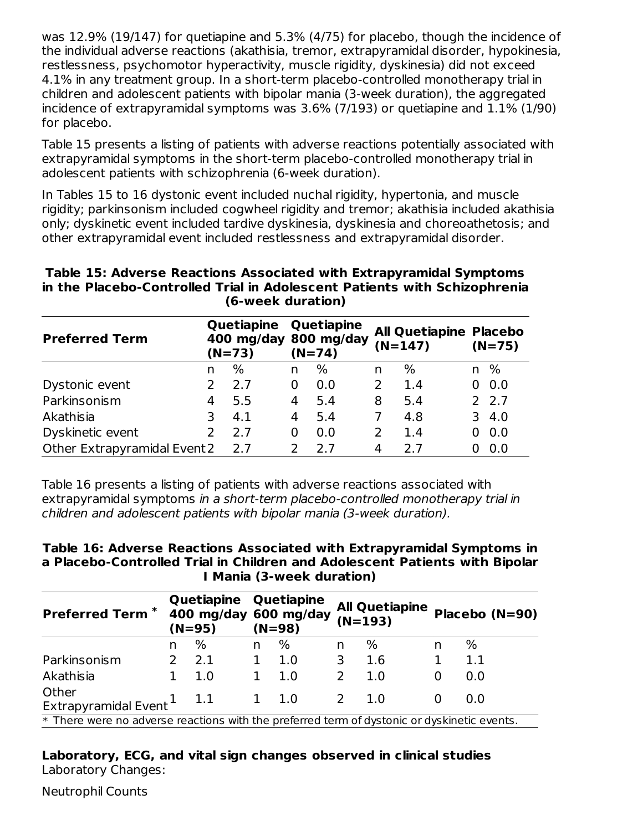was 12.9% (19/147) for quetiapine and 5.3% (4/75) for placebo, though the incidence of the individual adverse reactions (akathisia, tremor, extrapyramidal disorder, hypokinesia, restlessness, psychomotor hyperactivity, muscle rigidity, dyskinesia) did not exceed 4.1% in any treatment group. In a short-term placebo-controlled monotherapy trial in children and adolescent patients with bipolar mania (3-week duration), the aggregated incidence of extrapyramidal symptoms was 3.6% (7/193) or quetiapine and 1.1% (1/90) for placebo.

Table 15 presents a listing of patients with adverse reactions potentially associated with extrapyramidal symptoms in the short-term placebo-controlled monotherapy trial in adolescent patients with schizophrenia (6-week duration).

In Tables 15 to 16 dystonic event included nuchal rigidity, hypertonia, and muscle rigidity; parkinsonism included cogwheel rigidity and tremor; akathisia included akathisia only; dyskinetic event included tardive dyskinesia, dyskinesia and choreoathetosis; and other extrapyramidal event included restlessness and extrapyramidal disorder.

#### **Table 15: Adverse Reactions Associated with Extrapyramidal Symptoms in the Placebo-Controlled Trial in Adolescent Patients with Schizophrenia (6-week duration)**

| <b>Preferred Term</b>       |   | Quetiapine<br>400 mg/day 800 mg/day<br>$(N=73)$ |   | Quetiapine<br>$(N=74)$ | <b>All Quetiapine Placebo</b><br>$(N=147)$ |      |    | $(N=75)$ |  |
|-----------------------------|---|-------------------------------------------------|---|------------------------|--------------------------------------------|------|----|----------|--|
|                             | n | ℅                                               | n | $\%$                   | n                                          | $\%$ | n. | $\%$     |  |
| Dystonic event              |   | 2.7                                             | 0 | 0.0                    | 2                                          | 1.4  |    | 0.0      |  |
| Parkinsonism                | 4 | 5.5                                             | 4 | 5.4                    | 8                                          | 5.4  |    | 2.7      |  |
| Akathisia                   | 3 | 4.1                                             | 4 | 5.4                    | 7                                          | 4.8  |    | 34.0     |  |
| Dyskinetic event            |   | 2.7                                             | 0 | 0.0                    | 2                                          | 1.4  | 0  | 0.0      |  |
| Other Extrapyramidal Event2 |   | 2.7                                             |   | 2.7                    | 4                                          | 27   |    | 0.0      |  |

Table 16 presents a listing of patients with adverse reactions associated with extrapyramidal symptoms in a short-term placebo-controlled monotherapy trial in children and adolescent patients with bipolar mania (3-week duration).

#### **Table 16: Adverse Reactions Associated with Extrapyramidal Symptoms in a Placebo-Controlled Trial in Children and Adolescent Patients with Bipolar I Mania (3-week duration)**

| <b>Preferred Term *</b>                                                                     |   | Quetiapine Quetiapine<br>400 mg/day 600 mg/day<br>$(N=95)$ |   | $(N=98)$ | <b>All Quetiapine</b><br>$(N=193)$ |       | Placebo (N=90) |      |  |
|---------------------------------------------------------------------------------------------|---|------------------------------------------------------------|---|----------|------------------------------------|-------|----------------|------|--|
|                                                                                             | n | $\%$                                                       | n | %        | n                                  | $\%$  | n              | $\%$ |  |
| Parkinsonism                                                                                |   | 2.1                                                        |   | 1.0      | 3                                  | 1.6   |                | 1.1  |  |
| Akathisia                                                                                   |   | 1.0                                                        |   | 1.0      | 2                                  | 1.0   |                | 0.0  |  |
| Other<br>Extrapyramidal Event $1$                                                           |   | 1.1                                                        |   | 1.0      |                                    | 2 1.0 |                | 0.0  |  |
| * There were no adverse reactions with the preferred term of dystonic or dyskinetic events. |   |                                                            |   |          |                                    |       |                |      |  |

#### **Laboratory, ECG, and vital sign changes observed in clinical studies** Laboratory Changes:

Neutrophil Counts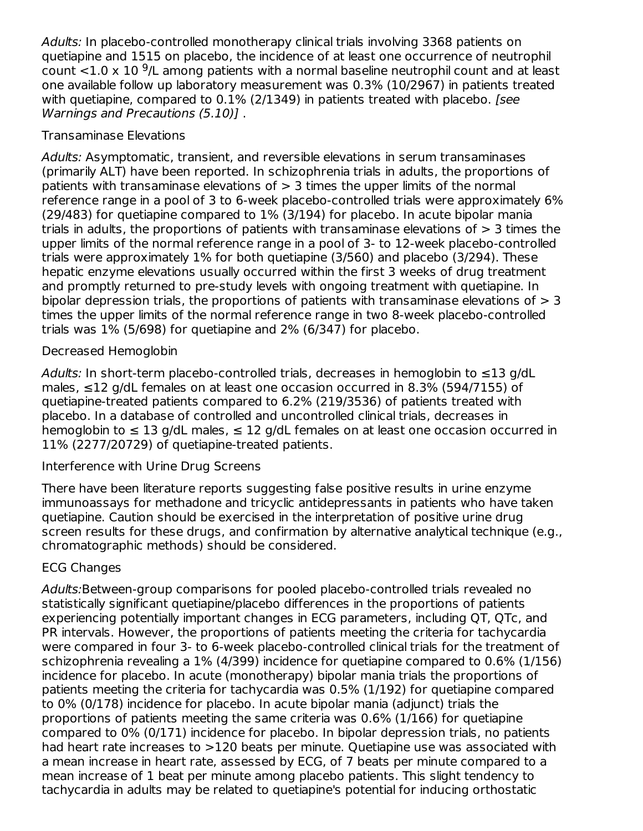Adults: In placebo-controlled monotherapy clinical trials involving 3368 patients on quetiapine and 1515 on placebo, the incidence of at least one occurrence of neutrophil count  $<$ 1.0 x 10  $\rm{^9}$ /L among patients with a normal baseline neutrophil count and at least one available follow up laboratory measurement was 0.3% (10/2967) in patients treated with quetiapine, compared to 0.1% (2/1349) in patients treated with placebo. [see Warnings and Precautions (5.10)] .

### Transaminase Elevations

Adults: Asymptomatic, transient, and reversible elevations in serum transaminases (primarily ALT) have been reported. In schizophrenia trials in adults, the proportions of patients with transaminase elevations of  $>$  3 times the upper limits of the normal reference range in a pool of 3 to 6-week placebo-controlled trials were approximately 6% (29/483) for quetiapine compared to 1% (3/194) for placebo. In acute bipolar mania trials in adults, the proportions of patients with transaminase elevations of  $> 3$  times the upper limits of the normal reference range in a pool of 3- to 12-week placebo-controlled trials were approximately 1% for both quetiapine (3/560) and placebo (3/294). These hepatic enzyme elevations usually occurred within the first 3 weeks of drug treatment and promptly returned to pre-study levels with ongoing treatment with quetiapine. In bipolar depression trials, the proportions of patients with transaminase elevations of  $> 3$ times the upper limits of the normal reference range in two 8-week placebo-controlled trials was 1% (5/698) for quetiapine and 2% (6/347) for placebo.

### Decreased Hemoglobin

Adults: In short-term placebo-controlled trials, decreases in hemoglobin to  $\leq$ 13 g/dL males, ≤12 g/dL females on at least one occasion occurred in 8.3% (594/7155) of quetiapine-treated patients compared to 6.2% (219/3536) of patients treated with placebo. In a database of controlled and uncontrolled clinical trials, decreases in hemoglobin to  $\leq 13$  g/dL males,  $\leq 12$  g/dL females on at least one occasion occurred in 11% (2277/20729) of quetiapine-treated patients.

### Interference with Urine Drug Screens

There have been literature reports suggesting false positive results in urine enzyme immunoassays for methadone and tricyclic antidepressants in patients who have taken quetiapine. Caution should be exercised in the interpretation of positive urine drug screen results for these drugs, and confirmation by alternative analytical technique (e.g., chromatographic methods) should be considered.

# ECG Changes

Adults:Between-group comparisons for pooled placebo-controlled trials revealed no statistically significant quetiapine/placebo differences in the proportions of patients experiencing potentially important changes in ECG parameters, including QT, QTc, and PR intervals. However, the proportions of patients meeting the criteria for tachycardia were compared in four 3- to 6-week placebo-controlled clinical trials for the treatment of schizophrenia revealing a 1% (4/399) incidence for quetiapine compared to 0.6% (1/156) incidence for placebo. In acute (monotherapy) bipolar mania trials the proportions of patients meeting the criteria for tachycardia was 0.5% (1/192) for quetiapine compared to 0% (0/178) incidence for placebo. In acute bipolar mania (adjunct) trials the proportions of patients meeting the same criteria was 0.6% (1/166) for quetiapine compared to 0% (0/171) incidence for placebo. In bipolar depression trials, no patients had heart rate increases to >120 beats per minute. Quetiapine use was associated with a mean increase in heart rate, assessed by ECG, of 7 beats per minute compared to a mean increase of 1 beat per minute among placebo patients. This slight tendency to tachycardia in adults may be related to quetiapine's potential for inducing orthostatic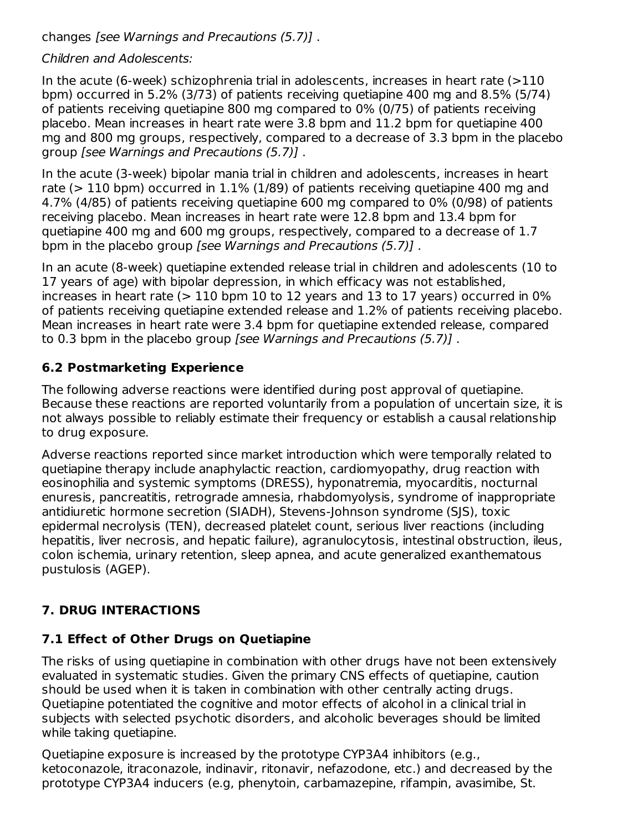changes [see Warnings and Precautions (5.7)] .

### Children and Adolescents:

In the acute (6-week) schizophrenia trial in adolescents, increases in heart rate (>110 bpm) occurred in 5.2% (3/73) of patients receiving quetiapine 400 mg and 8.5% (5/74) of patients receiving quetiapine 800 mg compared to 0% (0/75) of patients receiving placebo. Mean increases in heart rate were 3.8 bpm and 11.2 bpm for quetiapine 400 mg and 800 mg groups, respectively, compared to a decrease of 3.3 bpm in the placebo group [see Warnings and Precautions (5.7)] .

In the acute (3-week) bipolar mania trial in children and adolescents, increases in heart rate (> 110 bpm) occurred in 1.1% (1/89) of patients receiving quetiapine 400 mg and 4.7% (4/85) of patients receiving quetiapine 600 mg compared to 0% (0/98) of patients receiving placebo. Mean increases in heart rate were 12.8 bpm and 13.4 bpm for quetiapine 400 mg and 600 mg groups, respectively, compared to a decrease of 1.7 bpm in the placebo group [see Warnings and Precautions (5.7)] .

In an acute (8-week) quetiapine extended release trial in children and adolescents (10 to 17 years of age) with bipolar depression, in which efficacy was not established, increases in heart rate  $(> 110$  bpm 10 to 12 years and 13 to 17 years) occurred in 0% of patients receiving quetiapine extended release and 1.2% of patients receiving placebo. Mean increases in heart rate were 3.4 bpm for quetiapine extended release, compared to 0.3 bpm in the placebo group [see Warnings and Precautions (5.7)] .

# **6.2 Postmarketing Experience**

The following adverse reactions were identified during post approval of quetiapine. Because these reactions are reported voluntarily from a population of uncertain size, it is not always possible to reliably estimate their frequency or establish a causal relationship to drug exposure.

Adverse reactions reported since market introduction which were temporally related to quetiapine therapy include anaphylactic reaction, cardiomyopathy, drug reaction with eosinophilia and systemic symptoms (DRESS), hyponatremia, myocarditis, nocturnal enuresis, pancreatitis, retrograde amnesia, rhabdomyolysis, syndrome of inappropriate antidiuretic hormone secretion (SIADH), Stevens-Johnson syndrome (SJS), toxic epidermal necrolysis (TEN), decreased platelet count, serious liver reactions (including hepatitis, liver necrosis, and hepatic failure), agranulocytosis, intestinal obstruction, ileus, colon ischemia, urinary retention, sleep apnea, and acute generalized exanthematous pustulosis (AGEP).

# **7. DRUG INTERACTIONS**

# **7.1 Effect of Other Drugs on Quetiapine**

The risks of using quetiapine in combination with other drugs have not been extensively evaluated in systematic studies. Given the primary CNS effects of quetiapine, caution should be used when it is taken in combination with other centrally acting drugs. Quetiapine potentiated the cognitive and motor effects of alcohol in a clinical trial in subjects with selected psychotic disorders, and alcoholic beverages should be limited while taking quetiapine.

Quetiapine exposure is increased by the prototype CYP3A4 inhibitors (e.g., ketoconazole, itraconazole, indinavir, ritonavir, nefazodone, etc.) and decreased by the prototype CYP3A4 inducers (e.g, phenytoin, carbamazepine, rifampin, avasimibe, St.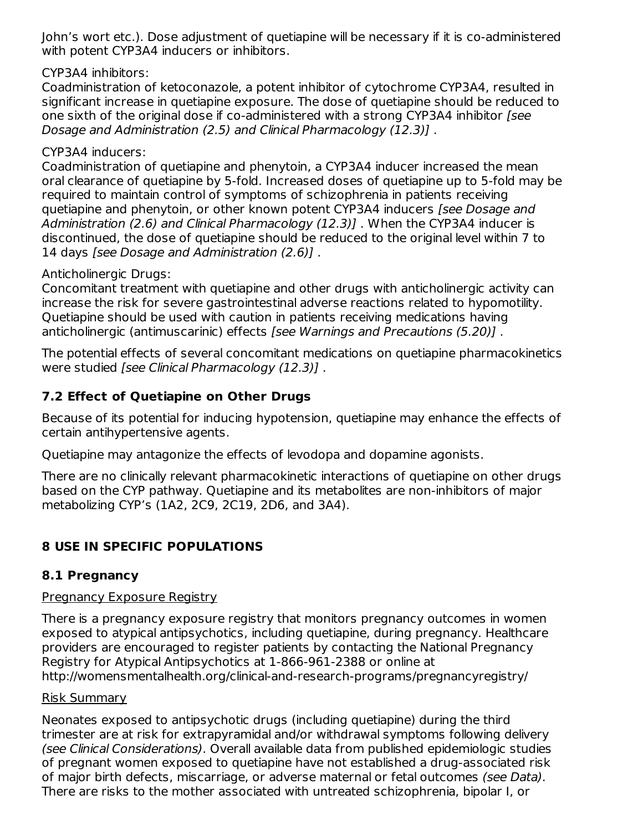John's wort etc.). Dose adjustment of quetiapine will be necessary if it is co-administered with potent CYP3A4 inducers or inhibitors.

CYP3A4 inhibitors:

Coadministration of ketoconazole, a potent inhibitor of cytochrome CYP3A4, resulted in significant increase in quetiapine exposure. The dose of quetiapine should be reduced to one sixth of the original dose if co-administered with a strong CYP3A4 inhibitor [see Dosage and Administration (2.5) and Clinical Pharmacology (12.3)] .

CYP3A4 inducers:

Coadministration of quetiapine and phenytoin, a CYP3A4 inducer increased the mean oral clearance of quetiapine by 5-fold. Increased doses of quetiapine up to 5-fold may be required to maintain control of symptoms of schizophrenia in patients receiving quetiapine and phenytoin, or other known potent CYP3A4 inducers [see Dosage and Administration (2.6) and Clinical Pharmacology (12.3)] . When the CYP3A4 inducer is discontinued, the dose of quetiapine should be reduced to the original level within 7 to 14 days [see Dosage and Administration (2.6)] .

Anticholinergic Drugs:

Concomitant treatment with quetiapine and other drugs with anticholinergic activity can increase the risk for severe gastrointestinal adverse reactions related to hypomotility. Quetiapine should be used with caution in patients receiving medications having anticholinergic (antimuscarinic) effects [see Warnings and Precautions (5.20)] .

The potential effects of several concomitant medications on quetiapine pharmacokinetics were studied [see Clinical Pharmacology (12.3)].

# **7.2 Effect of Quetiapine on Other Drugs**

Because of its potential for inducing hypotension, quetiapine may enhance the effects of certain antihypertensive agents.

Quetiapine may antagonize the effects of levodopa and dopamine agonists.

There are no clinically relevant pharmacokinetic interactions of quetiapine on other drugs based on the CYP pathway. Quetiapine and its metabolites are non-inhibitors of major metabolizing CYP's (1A2, 2C9, 2C19, 2D6, and 3A4).

# **8 USE IN SPECIFIC POPULATIONS**

# **8.1 Pregnancy**

# Pregnancy Exposure Registry

There is a pregnancy exposure registry that monitors pregnancy outcomes in women exposed to atypical antipsychotics, including quetiapine, during pregnancy. Healthcare providers are encouraged to register patients by contacting the National Pregnancy Registry for Atypical Antipsychotics at 1-866-961-2388 or online at http://womensmentalhealth.org/clinical-and-research-programs/pregnancyregistry/

# Risk Summary

Neonates exposed to antipsychotic drugs (including quetiapine) during the third trimester are at risk for extrapyramidal and/or withdrawal symptoms following delivery (see Clinical Considerations). Overall available data from published epidemiologic studies of pregnant women exposed to quetiapine have not established a drug-associated risk of major birth defects, miscarriage, or adverse maternal or fetal outcomes (see Data). There are risks to the mother associated with untreated schizophrenia, bipolar I, or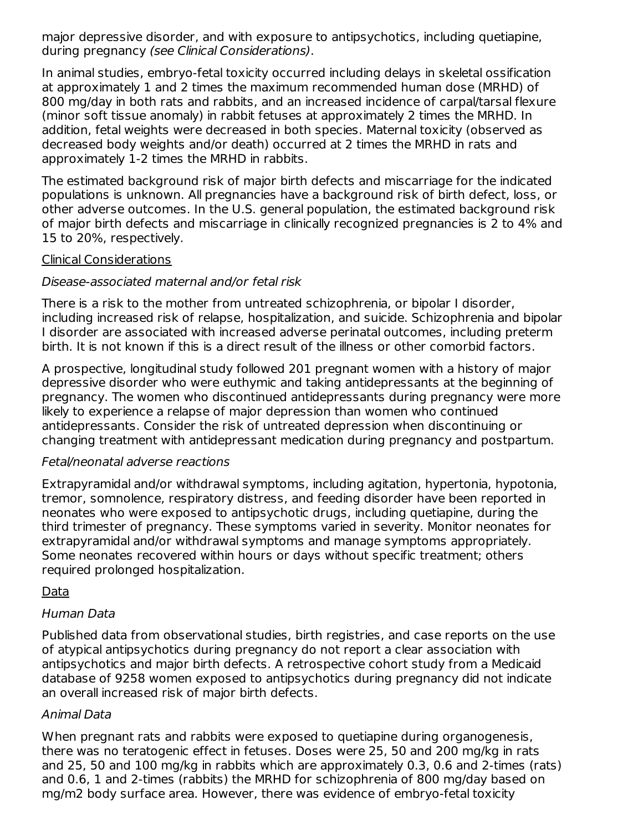major depressive disorder, and with exposure to antipsychotics, including quetiapine, during pregnancy (see Clinical Considerations).

In animal studies, embryo-fetal toxicity occurred including delays in skeletal ossification at approximately 1 and 2 times the maximum recommended human dose (MRHD) of 800 mg/day in both rats and rabbits, and an increased incidence of carpal/tarsal flexure (minor soft tissue anomaly) in rabbit fetuses at approximately 2 times the MRHD. In addition, fetal weights were decreased in both species. Maternal toxicity (observed as decreased body weights and/or death) occurred at 2 times the MRHD in rats and approximately 1-2 times the MRHD in rabbits.

The estimated background risk of major birth defects and miscarriage for the indicated populations is unknown. All pregnancies have a background risk of birth defect, loss, or other adverse outcomes. In the U.S. general population, the estimated background risk of major birth defects and miscarriage in clinically recognized pregnancies is 2 to 4% and 15 to 20%, respectively.

#### Clinical Considerations

### Disease-associated maternal and/or fetal risk

There is a risk to the mother from untreated schizophrenia, or bipolar I disorder, including increased risk of relapse, hospitalization, and suicide. Schizophrenia and bipolar I disorder are associated with increased adverse perinatal outcomes, including preterm birth. It is not known if this is a direct result of the illness or other comorbid factors.

A prospective, longitudinal study followed 201 pregnant women with a history of major depressive disorder who were euthymic and taking antidepressants at the beginning of pregnancy. The women who discontinued antidepressants during pregnancy were more likely to experience a relapse of major depression than women who continued antidepressants. Consider the risk of untreated depression when discontinuing or changing treatment with antidepressant medication during pregnancy and postpartum.

### Fetal/neonatal adverse reactions

Extrapyramidal and/or withdrawal symptoms, including agitation, hypertonia, hypotonia, tremor, somnolence, respiratory distress, and feeding disorder have been reported in neonates who were exposed to antipsychotic drugs, including quetiapine, during the third trimester of pregnancy. These symptoms varied in severity. Monitor neonates for extrapyramidal and/or withdrawal symptoms and manage symptoms appropriately. Some neonates recovered within hours or days without specific treatment; others required prolonged hospitalization.

### Data

### Human Data

Published data from observational studies, birth registries, and case reports on the use of atypical antipsychotics during pregnancy do not report a clear association with antipsychotics and major birth defects. A retrospective cohort study from a Medicaid database of 9258 women exposed to antipsychotics during pregnancy did not indicate an overall increased risk of major birth defects.

### Animal Data

When pregnant rats and rabbits were exposed to quetiapine during organogenesis, there was no teratogenic effect in fetuses. Doses were 25, 50 and 200 mg/kg in rats and 25, 50 and 100 mg/kg in rabbits which are approximately 0.3, 0.6 and 2-times (rats) and 0.6, 1 and 2-times (rabbits) the MRHD for schizophrenia of 800 mg/day based on mg/m2 body surface area. However, there was evidence of embryo-fetal toxicity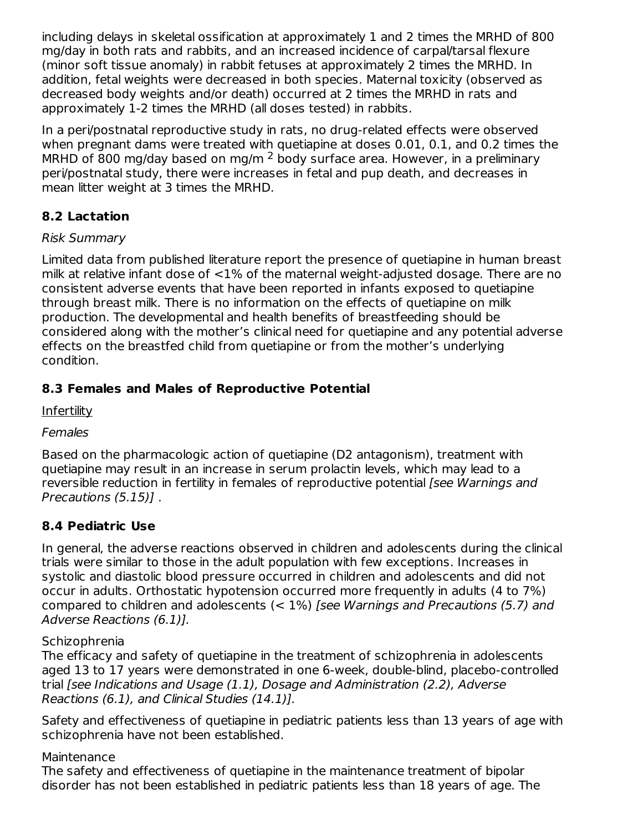including delays in skeletal ossification at approximately 1 and 2 times the MRHD of 800 mg/day in both rats and rabbits, and an increased incidence of carpal/tarsal flexure (minor soft tissue anomaly) in rabbit fetuses at approximately 2 times the MRHD. In addition, fetal weights were decreased in both species. Maternal toxicity (observed as decreased body weights and/or death) occurred at 2 times the MRHD in rats and approximately 1-2 times the MRHD (all doses tested) in rabbits.

In a peri/postnatal reproductive study in rats, no drug-related effects were observed when pregnant dams were treated with quetiapine at doses 0.01, 0.1, and 0.2 times the MRHD of 800 mg/day based on mg/m  $^2$  body surface area. However, in a preliminary peri/postnatal study, there were increases in fetal and pup death, and decreases in mean litter weight at 3 times the MRHD.

# **8.2 Lactation**

### Risk Summary

Limited data from published literature report the presence of quetiapine in human breast milk at relative infant dose of <1% of the maternal weight-adjusted dosage. There are no consistent adverse events that have been reported in infants exposed to quetiapine through breast milk. There is no information on the effects of quetiapine on milk production. The developmental and health benefits of breastfeeding should be considered along with the mother's clinical need for quetiapine and any potential adverse effects on the breastfed child from quetiapine or from the mother's underlying condition.

# **8.3 Females and Males of Reproductive Potential**

Infertility

### Females

Based on the pharmacologic action of quetiapine (D2 antagonism), treatment with quetiapine may result in an increase in serum prolactin levels, which may lead to a reversible reduction in fertility in females of reproductive potential [see Warnings and Precautions (5.15)] .

# **8.4 Pediatric Use**

In general, the adverse reactions observed in children and adolescents during the clinical trials were similar to those in the adult population with few exceptions. Increases in systolic and diastolic blood pressure occurred in children and adolescents and did not occur in adults. Orthostatic hypotension occurred more frequently in adults (4 to 7%) compared to children and adolescents (< 1%) [see Warnings and Precautions (5.7) and Adverse Reactions (6.1)].

### Schizophrenia

The efficacy and safety of quetiapine in the treatment of schizophrenia in adolescents aged 13 to 17 years were demonstrated in one 6-week, double-blind, placebo-controlled trial [see Indications and Usage (1.1), Dosage and Administration (2.2), Adverse Reactions (6.1), and Clinical Studies (14.1)].

Safety and effectiveness of quetiapine in pediatric patients less than 13 years of age with schizophrenia have not been established.

# Maintenance

The safety and effectiveness of quetiapine in the maintenance treatment of bipolar disorder has not been established in pediatric patients less than 18 years of age. The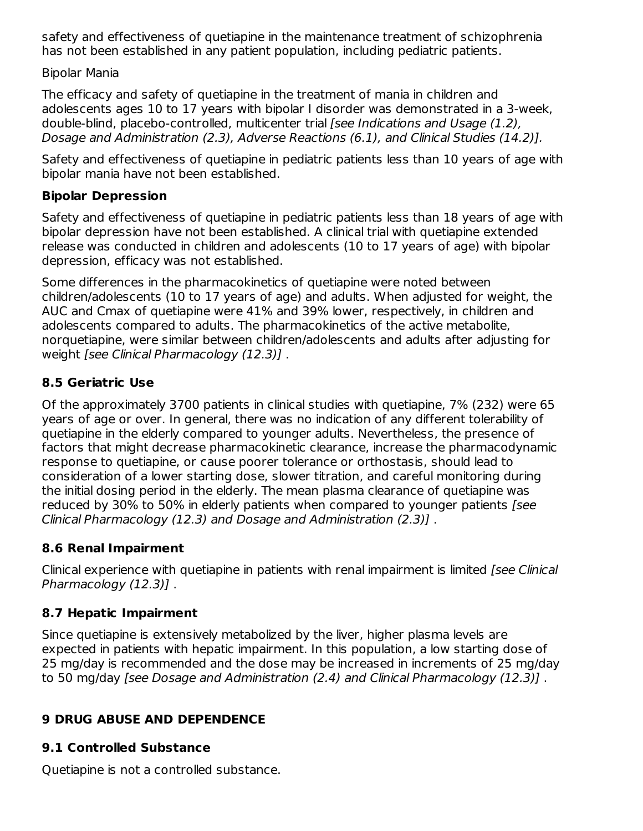safety and effectiveness of quetiapine in the maintenance treatment of schizophrenia has not been established in any patient population, including pediatric patients.

Bipolar Mania

The efficacy and safety of quetiapine in the treatment of mania in children and adolescents ages 10 to 17 years with bipolar I disorder was demonstrated in a 3-week, double-blind, placebo-controlled, multicenter trial [see Indications and Usage (1.2), Dosage and Administration (2.3), Adverse Reactions (6.1), and Clinical Studies (14.2)].

Safety and effectiveness of quetiapine in pediatric patients less than 10 years of age with bipolar mania have not been established.

# **Bipolar Depression**

Safety and effectiveness of quetiapine in pediatric patients less than 18 years of age with bipolar depression have not been established. A clinical trial with quetiapine extended release was conducted in children and adolescents (10 to 17 years of age) with bipolar depression, efficacy was not established.

Some differences in the pharmacokinetics of quetiapine were noted between children/adolescents (10 to 17 years of age) and adults. When adjusted for weight, the AUC and Cmax of quetiapine were 41% and 39% lower, respectively, in children and adolescents compared to adults. The pharmacokinetics of the active metabolite, norquetiapine, were similar between children/adolescents and adults after adjusting for weight [see Clinical Pharmacology (12.3)].

# **8.5 Geriatric Use**

Of the approximately 3700 patients in clinical studies with quetiapine, 7% (232) were 65 years of age or over. In general, there was no indication of any different tolerability of quetiapine in the elderly compared to younger adults. Nevertheless, the presence of factors that might decrease pharmacokinetic clearance, increase the pharmacodynamic response to quetiapine, or cause poorer tolerance or orthostasis, should lead to consideration of a lower starting dose, slower titration, and careful monitoring during the initial dosing period in the elderly. The mean plasma clearance of quetiapine was reduced by 30% to 50% in elderly patients when compared to younger patients [see Clinical Pharmacology (12.3) and Dosage and Administration (2.3)] .

# **8.6 Renal Impairment**

Clinical experience with quetiapine in patients with renal impairment is limited [see Clinical] Pharmacology (12.3)] .

# **8.7 Hepatic Impairment**

Since quetiapine is extensively metabolized by the liver, higher plasma levels are expected in patients with hepatic impairment. In this population, a low starting dose of 25 mg/day is recommended and the dose may be increased in increments of 25 mg/day to 50 mg/day [see Dosage and Administration (2.4) and Clinical Pharmacology (12.3)] .

# **9 DRUG ABUSE AND DEPENDENCE**

# **9.1 Controlled Substance**

Quetiapine is not a controlled substance.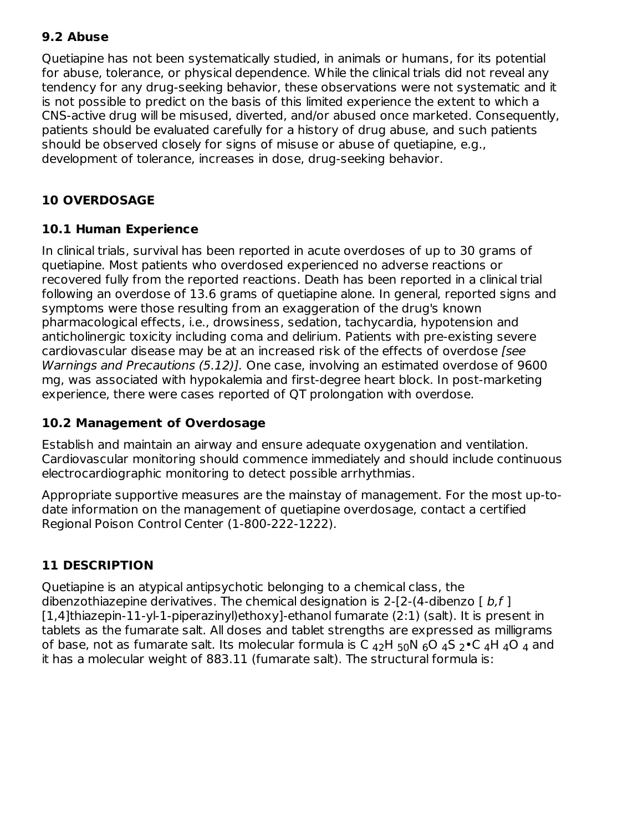# **9.2 Abuse**

Quetiapine has not been systematically studied, in animals or humans, for its potential for abuse, tolerance, or physical dependence. While the clinical trials did not reveal any tendency for any drug-seeking behavior, these observations were not systematic and it is not possible to predict on the basis of this limited experience the extent to which a CNS-active drug will be misused, diverted, and/or abused once marketed. Consequently, patients should be evaluated carefully for a history of drug abuse, and such patients should be observed closely for signs of misuse or abuse of quetiapine, e.g., development of tolerance, increases in dose, drug-seeking behavior.

### **10 OVERDOSAGE**

#### **10.1 Human Experience**

In clinical trials, survival has been reported in acute overdoses of up to 30 grams of quetiapine. Most patients who overdosed experienced no adverse reactions or recovered fully from the reported reactions. Death has been reported in a clinical trial following an overdose of 13.6 grams of quetiapine alone. In general, reported signs and symptoms were those resulting from an exaggeration of the drug's known pharmacological effects, i.e., drowsiness, sedation, tachycardia, hypotension and anticholinergic toxicity including coma and delirium. Patients with pre-existing severe cardiovascular disease may be at an increased risk of the effects of overdose [see Warnings and Precautions (5.12)]. One case, involving an estimated overdose of 9600 mg, was associated with hypokalemia and first-degree heart block. In post-marketing experience, there were cases reported of QT prolongation with overdose.

### **10.2 Management of Overdosage**

Establish and maintain an airway and ensure adequate oxygenation and ventilation. Cardiovascular monitoring should commence immediately and should include continuous electrocardiographic monitoring to detect possible arrhythmias.

Appropriate supportive measures are the mainstay of management. For the most up-todate information on the management of quetiapine overdosage, contact a certified Regional Poison Control Center (1-800-222-1222).

# **11 DESCRIPTION**

Quetiapine is an atypical antipsychotic belonging to a chemical class, the dibenzothiazepine derivatives. The chemical designation is  $2-[2-(4-dibenzo [b,f]$ [1,4]thiazepin-11-yl-1-piperazinyl)ethoxy]-ethanol fumarate (2:1) (salt). It is present in tablets as the fumarate salt. All doses and tablet strengths are expressed as milligrams of base, not as fumarate salt. Its molecular formula is C  $_{42}$ H  $_{50}$ N  $_{6}$ O  $_{4}$ S  $_{2}$ •C  $_{4}$ H  $_{4}$ O  $_{4}$  and it has a molecular weight of 883.11 (fumarate salt). The structural formula is: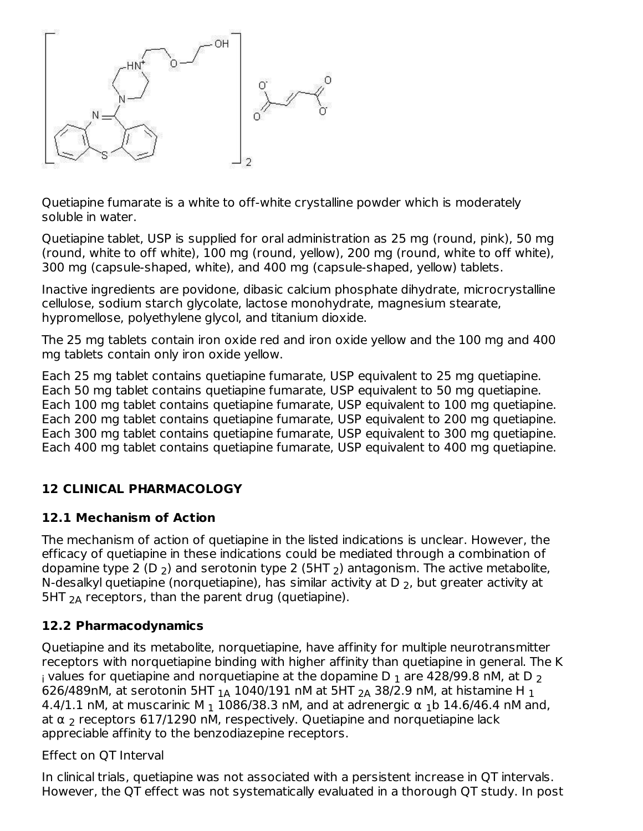

Quetiapine fumarate is a white to off-white crystalline powder which is moderately soluble in water.

Quetiapine tablet, USP is supplied for oral administration as 25 mg (round, pink), 50 mg (round, white to off white), 100 mg (round, yellow), 200 mg (round, white to off white), 300 mg (capsule-shaped, white), and 400 mg (capsule-shaped, yellow) tablets.

Inactive ingredients are povidone, dibasic calcium phosphate dihydrate, microcrystalline cellulose, sodium starch glycolate, lactose monohydrate, magnesium stearate, hypromellose, polyethylene glycol, and titanium dioxide.

The 25 mg tablets contain iron oxide red and iron oxide yellow and the 100 mg and 400 mg tablets contain only iron oxide yellow.

Each 25 mg tablet contains quetiapine fumarate, USP equivalent to 25 mg quetiapine. Each 50 mg tablet contains quetiapine fumarate, USP equivalent to 50 mg quetiapine. Each 100 mg tablet contains quetiapine fumarate, USP equivalent to 100 mg quetiapine. Each 200 mg tablet contains quetiapine fumarate, USP equivalent to 200 mg quetiapine. Each 300 mg tablet contains quetiapine fumarate, USP equivalent to 300 mg quetiapine. Each 400 mg tablet contains quetiapine fumarate, USP equivalent to 400 mg quetiapine.

# **12 CLINICAL PHARMACOLOGY**

### **12.1 Mechanism of Action**

The mechanism of action of quetiapine in the listed indications is unclear. However, the efficacy of quetiapine in these indications could be mediated through a combination of dopamine type 2 (D  $_2$ ) and serotonin type 2 (5HT  $_2$ ) antagonism. The active metabolite, N-desalkyl quetiapine (norquetiapine), has similar activity at D  $_2$ , but greater activity at  $5HT_{2A}$  receptors, than the parent drug (quetiapine).

### **12.2 Pharmacodynamics**

Quetiapine and its metabolite, norquetiapine, have affinity for multiple neurotransmitter receptors with norquetiapine binding with higher affinity than quetiapine in general. The K  $_{{\rm i}}$  values for quetiapine and norquetiapine at the dopamine D  $_{{\rm 1}}$  are 428/99.8 nM, at D  $_{{\rm 2}}$ 626/489nM, at serotonin 5HT  $_{\rm 1A}$  1040/191 nM at 5HT  $_{\rm 2A}$  38/2.9 nM, at histamine H  $_{\rm 1}$ 4.4/1.1 nM, at muscarinic M  $_1$  1086/38.3 nM, and at adrenergic  $\alpha$   $_1$ b 14.6/46.4 nM and, at  $\alpha$  <sub>2</sub> receptors 617/1290 nM, respectively. Quetiapine and norquetiapine lack appreciable affinity to the benzodiazepine receptors.

### Effect on QT Interval

In clinical trials, quetiapine was not associated with a persistent increase in QT intervals. However, the QT effect was not systematically evaluated in a thorough QT study. In post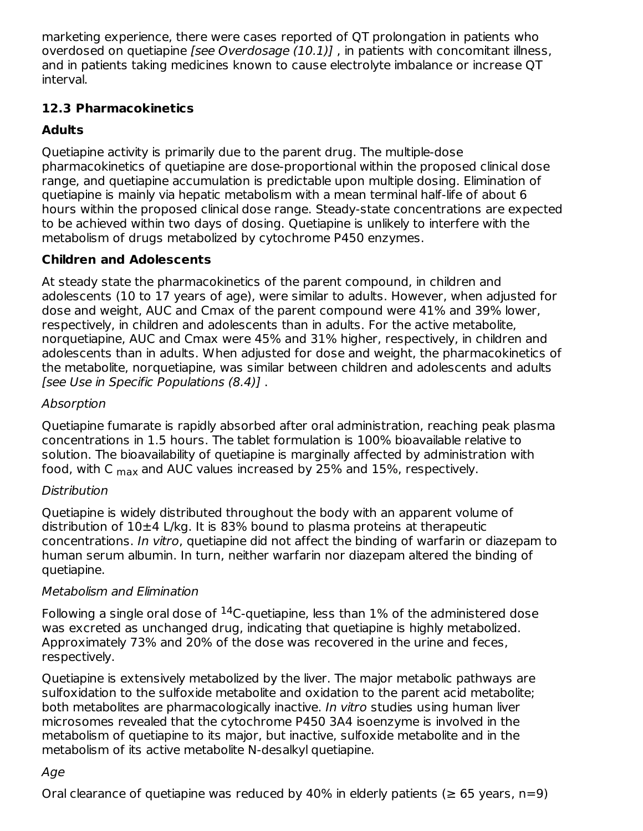marketing experience, there were cases reported of QT prolongation in patients who overdosed on quetiapine [see Overdosage (10.1)], in patients with concomitant illness, and in patients taking medicines known to cause electrolyte imbalance or increase QT interval.

# **12.3 Pharmacokinetics**

# **Adults**

Quetiapine activity is primarily due to the parent drug. The multiple-dose pharmacokinetics of quetiapine are dose-proportional within the proposed clinical dose range, and quetiapine accumulation is predictable upon multiple dosing. Elimination of quetiapine is mainly via hepatic metabolism with a mean terminal half-life of about 6 hours within the proposed clinical dose range. Steady-state concentrations are expected to be achieved within two days of dosing. Quetiapine is unlikely to interfere with the metabolism of drugs metabolized by cytochrome P450 enzymes.

# **Children and Adolescents**

At steady state the pharmacokinetics of the parent compound, in children and adolescents (10 to 17 years of age), were similar to adults. However, when adjusted for dose and weight, AUC and Cmax of the parent compound were 41% and 39% lower, respectively, in children and adolescents than in adults. For the active metabolite, norquetiapine, AUC and Cmax were 45% and 31% higher, respectively, in children and adolescents than in adults. When adjusted for dose and weight, the pharmacokinetics of the metabolite, norquetiapine, was similar between children and adolescents and adults [see Use in Specific Populations (8.4)] .

# Absorption

Quetiapine fumarate is rapidly absorbed after oral administration, reaching peak plasma concentrations in 1.5 hours. The tablet formulation is 100% bioavailable relative to solution. The bioavailability of quetiapine is marginally affected by administration with food, with C  $_{\sf max}$  and AUC values increased by 25% and 15%, respectively.

# **Distribution**

Quetiapine is widely distributed throughout the body with an apparent volume of distribution of  $10\pm4$  L/kg. It is 83% bound to plasma proteins at therapeutic concentrations. In vitro, quetiapine did not affect the binding of warfarin or diazepam to human serum albumin. In turn, neither warfarin nor diazepam altered the binding of quetiapine.

# Metabolism and Elimination

Following a single oral dose of  $^{14}$ C-quetiapine, less than 1% of the administered dose was excreted as unchanged drug, indicating that quetiapine is highly metabolized. Approximately 73% and 20% of the dose was recovered in the urine and feces, respectively.

Quetiapine is extensively metabolized by the liver. The major metabolic pathways are sulfoxidation to the sulfoxide metabolite and oxidation to the parent acid metabolite; both metabolites are pharmacologically inactive. In vitro studies using human liver microsomes revealed that the cytochrome P450 3A4 isoenzyme is involved in the metabolism of quetiapine to its major, but inactive, sulfoxide metabolite and in the metabolism of its active metabolite N-desalkyl quetiapine.

# Age

Oral clearance of quetiapine was reduced by 40% in elderly patients ( $\geq 65$  years, n=9)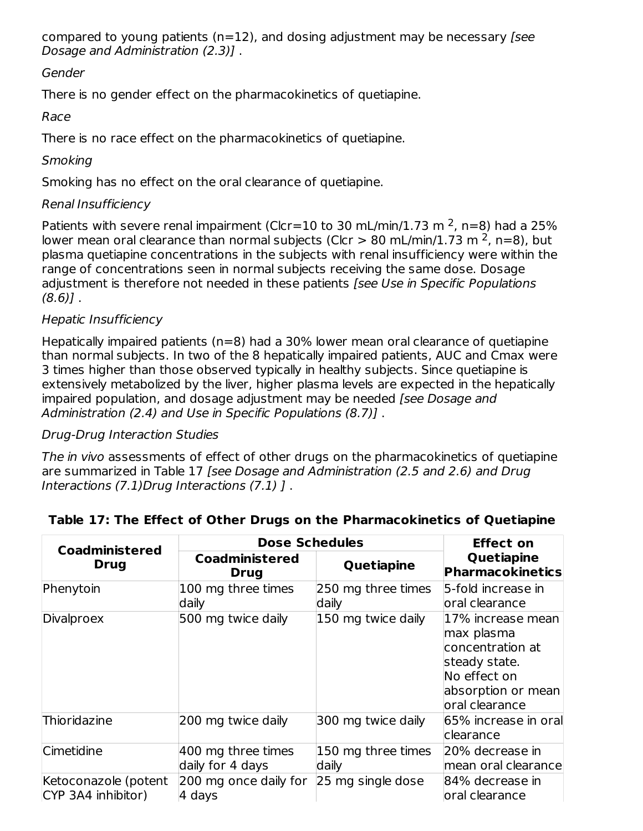compared to young patients ( $n=12$ ), and dosing adjustment may be necessary *[see*] Dosage and Administration (2.3)] .

### Gender

There is no gender effect on the pharmacokinetics of quetiapine.

# Race

There is no race effect on the pharmacokinetics of quetiapine.

### Smoking

Smoking has no effect on the oral clearance of quetiapine.

### Renal Insufficiency

Patients with severe renal impairment (Clcr=10 to 30 mL/min/1.73 m  $^2$ , n=8) had a 25% lower mean oral clearance than normal subjects (Clcr > 80 mL/min/1.73 m <sup>2</sup>, n=8), but plasma quetiapine concentrations in the subjects with renal insufficiency were within the range of concentrations seen in normal subjects receiving the same dose. Dosage adjustment is therefore not needed in these patients [see Use in Specific Populations  $(8.6)$ ].

### Hepatic Insufficiency

Hepatically impaired patients (n=8) had a 30% lower mean oral clearance of quetiapine than normal subjects. In two of the 8 hepatically impaired patients, AUC and Cmax were 3 times higher than those observed typically in healthy subjects. Since quetiapine is extensively metabolized by the liver, higher plasma levels are expected in the hepatically impaired population, and dosage adjustment may be needed [see Dosage and Administration (2.4) and Use in Specific Populations (8.7)] .

### Drug-Drug Interaction Studies

The in vivo assessments of effect of other drugs on the pharmacokinetics of quetiapine are summarized in Table 17 [see Dosage and Administration (2.5 and 2.6) and Drug Interactions (7.1)Drug Interactions (7.1) ] .

| <b>Coadministered</b>                      | <b>Dose Schedules</b>                  | <b>Effect on</b>            |                                                                                                                              |  |  |
|--------------------------------------------|----------------------------------------|-----------------------------|------------------------------------------------------------------------------------------------------------------------------|--|--|
| <b>Drug</b>                                | <b>Coadministered</b><br><b>Drug</b>   | Quetiapine                  | Quetiapine<br><b>Pharmacokinetics</b>                                                                                        |  |  |
| Phenytoin                                  | 100 mg three times<br>daily            | 250 mg three times<br>daily | 5-fold increase in<br>loral clearance                                                                                        |  |  |
| <b>Divalproex</b>                          | 500 mg twice daily                     | 150 mg twice daily          | 17% increase mean<br>max plasma<br>concentration at<br>steady state.<br>No effect on<br>absorption or mean<br>oral clearance |  |  |
| Thioridazine                               | 200 mg twice daily                     | 300 mg twice daily          | 65% increase in oral<br>clearance                                                                                            |  |  |
| Cimetidine                                 | 400 mg three times<br>daily for 4 days | 150 mg three times<br>daily | 20% decrease in<br>mean oral clearance                                                                                       |  |  |
| Ketoconazole (potent<br>CYP 3A4 inhibitor) | 200 mg once daily for<br>4 days        | 25 mg single dose           | 84% decrease in<br>oral clearance                                                                                            |  |  |

# **Table 17: The Effect of Other Drugs on the Pharmacokinetics of Quetiapine**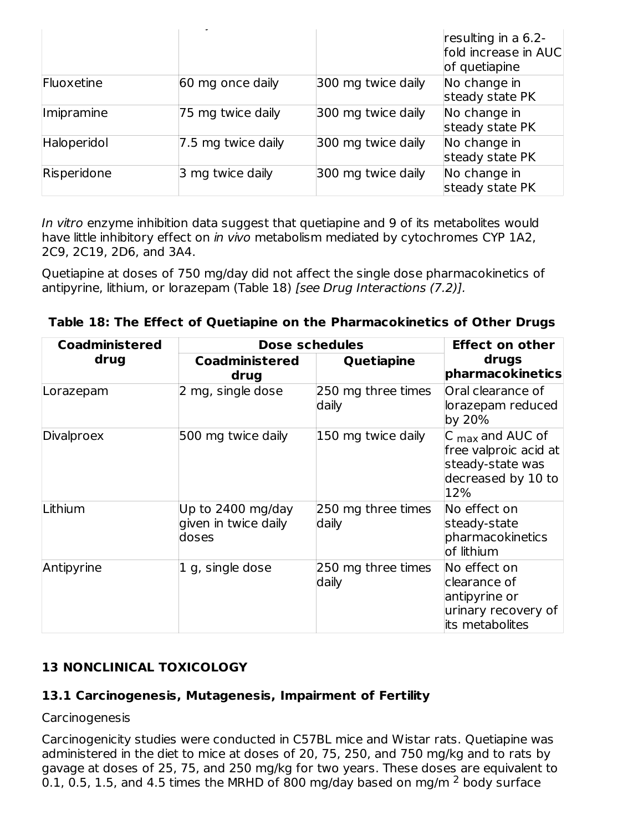|             |                    |                    | resulting in a 6.2-<br>fold increase in AUC<br>of quetiapine |
|-------------|--------------------|--------------------|--------------------------------------------------------------|
| Fluoxetine  | 60 mg once daily   | 300 mg twice daily | No change in<br>steady state PK                              |
| Imipramine  | 75 mg twice daily  | 300 mg twice daily | No change in<br>steady state PK                              |
| Haloperidol | 7.5 mg twice daily | 300 mg twice daily | No change in<br>steady state PK                              |
| Risperidone | 3 mg twice daily   | 300 mg twice daily | No change in<br>steady state PK                              |

In vitro enzyme inhibition data suggest that quetiapine and 9 of its metabolites would have little inhibitory effect on in vivo metabolism mediated by cytochromes CYP 1A2, 2C9, 2C19, 2D6, and 3A4.

Quetiapine at doses of 750 mg/day did not affect the single dose pharmacokinetics of antipyrine, lithium, or lorazepam (Table 18) [see Drug Interactions (7.2)].

| <b>Coadministered</b> | <b>Dose schedules</b>                              | <b>Effect on other</b>      |                                                                                                                     |
|-----------------------|----------------------------------------------------|-----------------------------|---------------------------------------------------------------------------------------------------------------------|
| drug                  | <b>Coadministered</b><br>drug                      | Quetiapine                  | drugs<br>pharmacokinetics                                                                                           |
| Lorazepam             | 2 mg, single dose                                  | 250 mg three times<br>daily | Oral clearance of<br>lorazepam reduced<br>by 20%                                                                    |
| Divalproex            | 500 mg twice daily                                 | 150 mg twice daily          | $ {\mathsf C} _{\mathsf{max}}$ and AUC of<br>free valproic acid at<br>steady-state was<br>decreased by 10 to<br>12% |
| Lithium               | Up to 2400 mg/day<br>given in twice daily<br>doses | 250 mg three times<br>daily | No effect on<br>steady-state<br>pharmacokinetics<br>of lithium                                                      |
| Antipyrine            | 1 g, single dose                                   | 250 mg three times<br>daily | No effect on<br>clearance of<br>antipyrine or<br>urinary recovery of<br>its metabolites                             |

|  |  | Table 18: The Effect of Quetiapine on the Pharmacokinetics of Other Drugs |  |  |  |
|--|--|---------------------------------------------------------------------------|--|--|--|
|  |  |                                                                           |  |  |  |

# **13 NONCLINICAL TOXICOLOGY**

### **13.1 Carcinogenesis, Mutagenesis, Impairment of Fertility**

### Carcinogenesis

Carcinogenicity studies were conducted in C57BL mice and Wistar rats. Quetiapine was administered in the diet to mice at doses of 20, 75, 250, and 750 mg/kg and to rats by gavage at doses of 25, 75, and 250 mg/kg for two years. These doses are equivalent to 0.1, 0.5, 1.5, and 4.5 times the MRHD of 800 mg/day based on mg/m  $^2$  body surface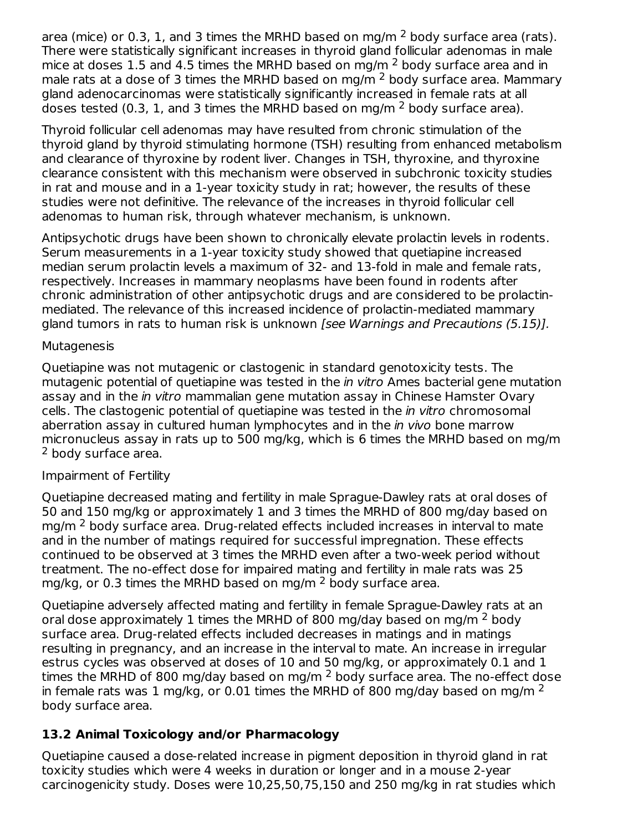area (mice) or 0.3, 1, and 3 times the MRHD based on mg/m  $^2$  body surface area (rats). There were statistically significant increases in thyroid gland follicular adenomas in male mice at doses 1.5 and 4.5 times the MRHD based on mg/m  $^2$  body surface area and in male rats at a dose of 3 times the MRHD based on mg/m  $2$  body surface area. Mammary gland adenocarcinomas were statistically significantly increased in female rats at all doses tested (0.3, 1, and 3 times the MRHD based on mg/m  $2$  body surface area).

Thyroid follicular cell adenomas may have resulted from chronic stimulation of the thyroid gland by thyroid stimulating hormone (TSH) resulting from enhanced metabolism and clearance of thyroxine by rodent liver. Changes in TSH, thyroxine, and thyroxine clearance consistent with this mechanism were observed in subchronic toxicity studies in rat and mouse and in a 1-year toxicity study in rat; however, the results of these studies were not definitive. The relevance of the increases in thyroid follicular cell adenomas to human risk, through whatever mechanism, is unknown.

Antipsychotic drugs have been shown to chronically elevate prolactin levels in rodents. Serum measurements in a 1-year toxicity study showed that quetiapine increased median serum prolactin levels a maximum of 32- and 13-fold in male and female rats, respectively. Increases in mammary neoplasms have been found in rodents after chronic administration of other antipsychotic drugs and are considered to be prolactinmediated. The relevance of this increased incidence of prolactin-mediated mammary gland tumors in rats to human risk is unknown [see Warnings and Precautions (5.15)].

#### **Mutagenesis**

Quetiapine was not mutagenic or clastogenic in standard genotoxicity tests. The mutagenic potential of quetiapine was tested in the in vitro Ames bacterial gene mutation assay and in the *in vitro* mammalian gene mutation assay in Chinese Hamster Ovary cells. The clastogenic potential of quetiapine was tested in the in vitro chromosomal aberration assay in cultured human lymphocytes and in the *in vivo* bone marrow micronucleus assay in rats up to 500 mg/kg, which is 6 times the MRHD based on mg/m <sup>2</sup> body surface area.

### Impairment of Fertility

Quetiapine decreased mating and fertility in male Sprague-Dawley rats at oral doses of 50 and 150 mg/kg or approximately 1 and 3 times the MRHD of 800 mg/day based on mg/m<sup>2</sup> body surface area. Drug-related effects included increases in interval to mate and in the number of matings required for successful impregnation. These effects continued to be observed at 3 times the MRHD even after a two-week period without treatment. The no-effect dose for impaired mating and fertility in male rats was 25 mg/kg, or 0.3 times the MRHD based on mg/m  $^2$  body surface area.

Quetiapine adversely affected mating and fertility in female Sprague-Dawley rats at an oral dose approximately 1 times the MRHD of 800 mg/day based on mg/m  $^2$  body surface area. Drug-related effects included decreases in matings and in matings resulting in pregnancy, and an increase in the interval to mate. An increase in irregular estrus cycles was observed at doses of 10 and 50 mg/kg, or approximately 0.1 and 1 times the MRHD of 800 mg/day based on mg/m  $^2$  body surface area. The no-effect dose in female rats was 1 mg/kg, or 0.01 times the MRHD of 800 mg/day based on mg/m  $^2$ body surface area.

# **13.2 Animal Toxicology and/or Pharmacology**

Quetiapine caused a dose-related increase in pigment deposition in thyroid gland in rat toxicity studies which were 4 weeks in duration or longer and in a mouse 2-year carcinogenicity study. Doses were 10,25,50,75,150 and 250 mg/kg in rat studies which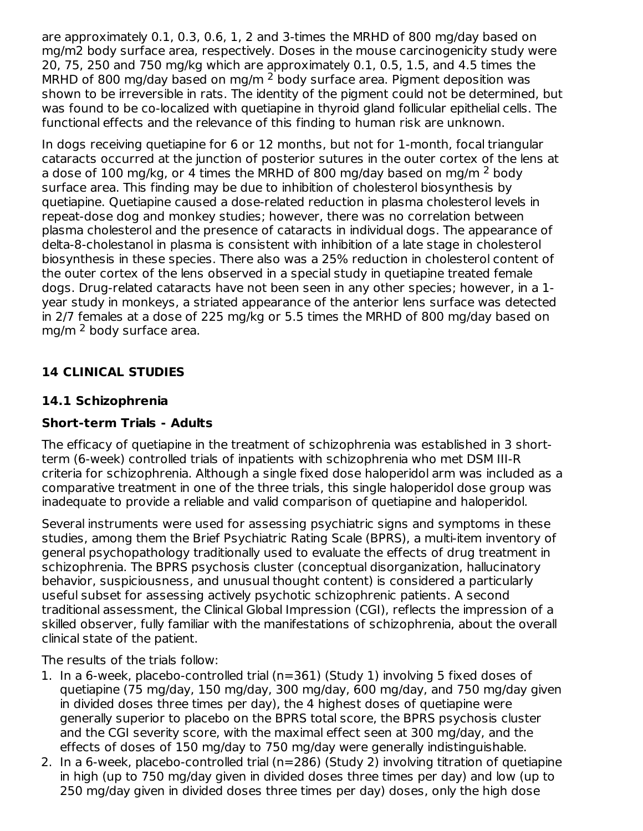are approximately 0.1, 0.3, 0.6, 1, 2 and 3-times the MRHD of 800 mg/day based on mg/m2 body surface area, respectively. Doses in the mouse carcinogenicity study were 20, 75, 250 and 750 mg/kg which are approximately 0.1, 0.5, 1.5, and 4.5 times the MRHD of 800 mg/day based on mg/m  $^2$  body surface area. Pigment deposition was shown to be irreversible in rats. The identity of the pigment could not be determined, but was found to be co-localized with quetiapine in thyroid gland follicular epithelial cells. The functional effects and the relevance of this finding to human risk are unknown.

In dogs receiving quetiapine for 6 or 12 months, but not for 1-month, focal triangular cataracts occurred at the junction of posterior sutures in the outer cortex of the lens at a dose of 100 mg/kg, or 4 times the MRHD of 800 mg/day based on mg/m  $^2$  body surface area. This finding may be due to inhibition of cholesterol biosynthesis by quetiapine. Quetiapine caused a dose-related reduction in plasma cholesterol levels in repeat-dose dog and monkey studies; however, there was no correlation between plasma cholesterol and the presence of cataracts in individual dogs. The appearance of delta-8-cholestanol in plasma is consistent with inhibition of a late stage in cholesterol biosynthesis in these species. There also was a 25% reduction in cholesterol content of the outer cortex of the lens observed in a special study in quetiapine treated female dogs. Drug-related cataracts have not been seen in any other species; however, in a 1 year study in monkeys, a striated appearance of the anterior lens surface was detected in 2/7 females at a dose of 225 mg/kg or 5.5 times the MRHD of 800 mg/day based on mg/m <sup>2</sup> body surface area.

# **14 CLINICAL STUDIES**

# **14.1 Schizophrenia**

# **Short-term Trials - Adults**

The efficacy of quetiapine in the treatment of schizophrenia was established in 3 shortterm (6-week) controlled trials of inpatients with schizophrenia who met DSM III-R criteria for schizophrenia. Although a single fixed dose haloperidol arm was included as a comparative treatment in one of the three trials, this single haloperidol dose group was inadequate to provide a reliable and valid comparison of quetiapine and haloperidol.

Several instruments were used for assessing psychiatric signs and symptoms in these studies, among them the Brief Psychiatric Rating Scale (BPRS), a multi-item inventory of general psychopathology traditionally used to evaluate the effects of drug treatment in schizophrenia. The BPRS psychosis cluster (conceptual disorganization, hallucinatory behavior, suspiciousness, and unusual thought content) is considered a particularly useful subset for assessing actively psychotic schizophrenic patients. A second traditional assessment, the Clinical Global Impression (CGI), reflects the impression of a skilled observer, fully familiar with the manifestations of schizophrenia, about the overall clinical state of the patient.

The results of the trials follow:

- 1. In a 6-week, placebo-controlled trial (n=361) (Study 1) involving 5 fixed doses of quetiapine (75 mg/day, 150 mg/day, 300 mg/day, 600 mg/day, and 750 mg/day given in divided doses three times per day), the 4 highest doses of quetiapine were generally superior to placebo on the BPRS total score, the BPRS psychosis cluster and the CGI severity score, with the maximal effect seen at 300 mg/day, and the effects of doses of 150 mg/day to 750 mg/day were generally indistinguishable.
- 2. In a 6-week, placebo-controlled trial (n=286) (Study 2) involving titration of quetiapine in high (up to 750 mg/day given in divided doses three times per day) and low (up to 250 mg/day given in divided doses three times per day) doses, only the high dose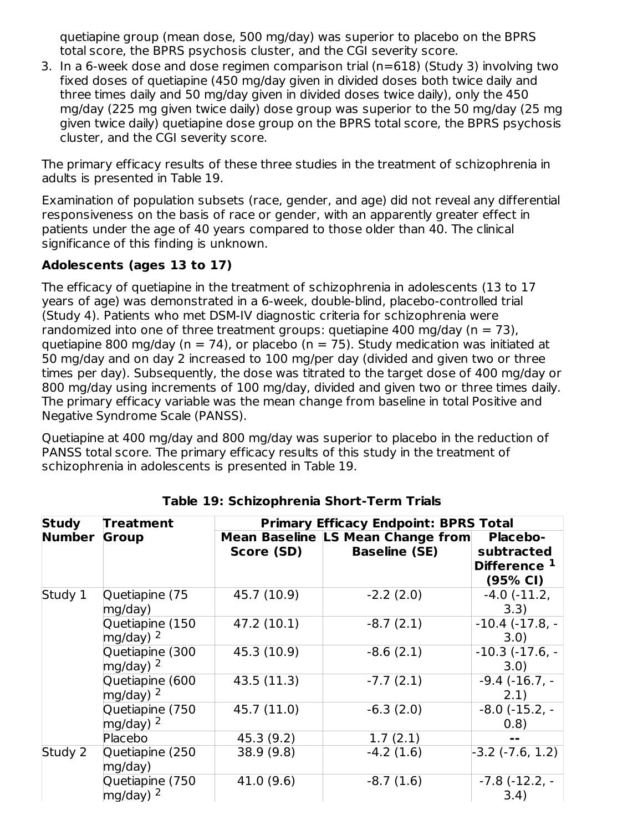quetiapine group (mean dose, 500 mg/day) was superior to placebo on the BPRS total score, the BPRS psychosis cluster, and the CGI severity score.

3. In a 6-week dose and dose regimen comparison trial (n=618) (Study 3) involving two fixed doses of quetiapine (450 mg/day given in divided doses both twice daily and three times daily and 50 mg/day given in divided doses twice daily), only the 450 mg/day (225 mg given twice daily) dose group was superior to the 50 mg/day (25 mg given twice daily) quetiapine dose group on the BPRS total score, the BPRS psychosis cluster, and the CGI severity score.

The primary efficacy results of these three studies in the treatment of schizophrenia in adults is presented in Table 19.

Examination of population subsets (race, gender, and age) did not reveal any differential responsiveness on the basis of race or gender, with an apparently greater effect in patients under the age of 40 years compared to those older than 40. The clinical significance of this finding is unknown.

### **Adolescents (ages 13 to 17)**

The efficacy of quetiapine in the treatment of schizophrenia in adolescents (13 to 17 years of age) was demonstrated in a 6-week, double-blind, placebo-controlled trial (Study 4). Patients who met DSM-IV diagnostic criteria for schizophrenia were randomized into one of three treatment groups: quetiapine 400 mg/day ( $n = 73$ ), quetiapine 800 mg/day ( $n = 74$ ), or placebo ( $n = 75$ ). Study medication was initiated at 50 mg/day and on day 2 increased to 100 mg/per day (divided and given two or three times per day). Subsequently, the dose was titrated to the target dose of 400 mg/day or 800 mg/day using increments of 100 mg/day, divided and given two or three times daily. The primary efficacy variable was the mean change from baseline in total Positive and Negative Syndrome Scale (PANSS).

Quetiapine at 400 mg/day and 800 mg/day was superior to placebo in the reduction of PANSS total score. The primary efficacy results of this study in the treatment of schizophrenia in adolescents is presented in Table 19.

| <b>Study</b>  | <b>Treatment</b>                           | <b>Primary Efficacy Endpoint: BPRS Total</b> |                                                           |                                                                      |  |  |
|---------------|--------------------------------------------|----------------------------------------------|-----------------------------------------------------------|----------------------------------------------------------------------|--|--|
| <b>Number</b> | <b>Group</b>                               | Score (SD)                                   | Mean Baseline LS Mean Change from<br><b>Baseline (SE)</b> | <b>Placebo-</b><br>subtracted<br>Difference <sup>1</sup><br>(95% CI) |  |  |
| Study 1       | Quetiapine (75<br>mq/day)                  | 45.7 (10.9)                                  | $-2.2(2.0)$                                               | $-4.0$ ( $-11.2$ )<br>3.3)                                           |  |  |
|               | Quetiapine (150<br>$mg/day)$ <sup>2</sup>  | 47.2 (10.1)                                  | $-8.7(2.1)$                                               | $-10.4$ $(-17.8, -$<br>3.0)                                          |  |  |
|               | Quetiapine (300<br>$mg/day$ ) <sup>2</sup> | 45.3 (10.9)                                  | $-8.6(2.1)$                                               | $-10.3$ $(-17.6, -$<br>3.0)                                          |  |  |
|               | Quetiapine (600<br>mg/day) $^2$            | 43.5 (11.3)                                  | $-7.7(2.1)$                                               | $-9.4$ ( $-16.7$ , $-$<br>2.1)                                       |  |  |
|               | Quetiapine (750<br>$mg/day)$ <sup>2</sup>  | 45.7 (11.0)                                  | $-6.3(2.0)$                                               | $-8.0$ ( $-15.2$ , $-$<br>(0.8)                                      |  |  |
|               | Placebo                                    | 45.3(9.2)                                    | 1.7(2.1)                                                  |                                                                      |  |  |
| Study 2       | Quetiapine (250<br>mq/day)                 | 38.9 (9.8)                                   | $-4.2(1.6)$                                               | $-3.2$ $(-7.6, 1.2)$                                                 |  |  |
|               | Quetiapine (750<br>$mg/day$ ) <sup>2</sup> | 41.0(9.6)                                    | $-8.7(1.6)$                                               | $-7.8$ ( $-12.2$ , $-$<br>3.4)                                       |  |  |

# **Table 19: Schizophrenia Short-Term Trials**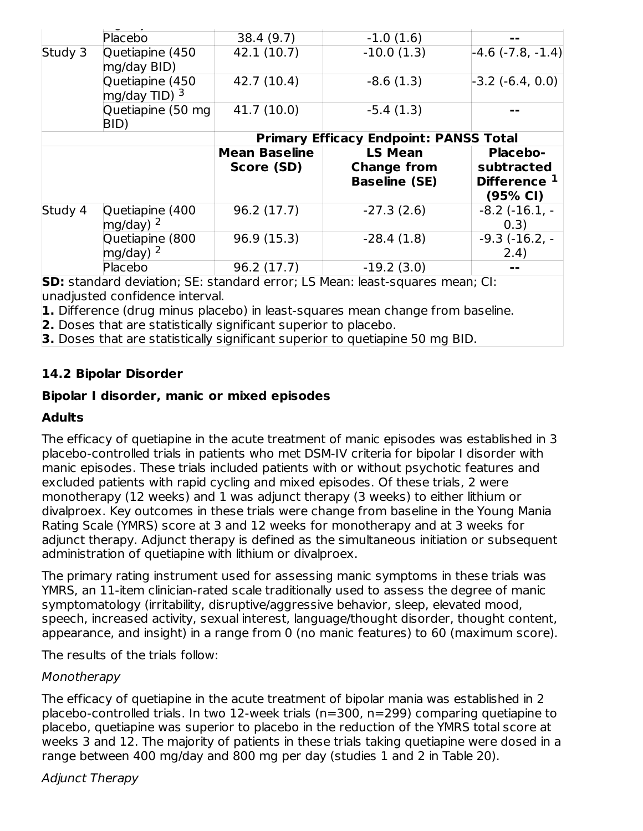|         | Placebo                            | 38.4 (9.7)                                    | $-1.0(1.6)$          |                         |
|---------|------------------------------------|-----------------------------------------------|----------------------|-------------------------|
| Study 3 | Quetiapine (450<br>mg/day BID)     | 42.1 (10.7)                                   | $-10.0(1.3)$         | $-4.6$ $(-7.8, -1.4)$   |
|         | Quetiapine (450<br>mg/day TID) $3$ | 42.7 (10.4)                                   | $-8.6(1.3)$          | $-3.2$ $(-6.4, 0.0)$    |
|         | Quetiapine (50 mg<br>BID)          | 41.7 (10.0)                                   | $-5.4(1.3)$          |                         |
|         |                                    | <b>Primary Efficacy Endpoint: PANSS Total</b> |                      |                         |
|         |                                    | <b>Mean Baseline</b>                          | <b>LS Mean</b>       | <b>Placebo-</b>         |
|         |                                    | Score (SD)                                    | <b>Change from</b>   | subtracted              |
|         |                                    |                                               | <b>Baseline (SE)</b> | Difference <sup>1</sup> |
|         |                                    |                                               |                      | (95% CI)                |
| Study 4 | Quetiapine (400                    | 96.2 (17.7)                                   | $-27.3(2.6)$         | $-8.2$ ( $-16.1$ , $-$  |
|         | $mg/day$ ) <sup>2</sup>            |                                               |                      | (0.3)                   |
|         | Quetiapine (800                    | 96.9 (15.3)                                   | $-28.4(1.8)$         | $-9.3$ ( $-16.2$ , $-$  |
|         | mg/day) $^2$                       |                                               |                      | (2.4)                   |
|         | Placebo                            | 96.2 (17.7)                                   | $-19.2(3.0)$         |                         |

**SD:** standard deviation; SE: standard error; LS Mean: least-squares mean; CI: unadjusted confidence interval.

**1.** Difference (drug minus placebo) in least-squares mean change from baseline.

**2.** Doses that are statistically significant superior to placebo.

**3.** Doses that are statistically significant superior to quetiapine 50 mg BID.

# **14.2 Bipolar Disorder**

### **Bipolar I disorder, manic or mixed episodes**

### **Adults**

The efficacy of quetiapine in the acute treatment of manic episodes was established in 3 placebo-controlled trials in patients who met DSM-IV criteria for bipolar I disorder with manic episodes. These trials included patients with or without psychotic features and excluded patients with rapid cycling and mixed episodes. Of these trials, 2 were monotherapy (12 weeks) and 1 was adjunct therapy (3 weeks) to either lithium or divalproex. Key outcomes in these trials were change from baseline in the Young Mania Rating Scale (YMRS) score at 3 and 12 weeks for monotherapy and at 3 weeks for adjunct therapy. Adjunct therapy is defined as the simultaneous initiation or subsequent administration of quetiapine with lithium or divalproex.

The primary rating instrument used for assessing manic symptoms in these trials was YMRS, an 11-item clinician-rated scale traditionally used to assess the degree of manic symptomatology (irritability, disruptive/aggressive behavior, sleep, elevated mood, speech, increased activity, sexual interest, language/thought disorder, thought content, appearance, and insight) in a range from 0 (no manic features) to 60 (maximum score).

The results of the trials follow:

### **Monotherapy**

The efficacy of quetiapine in the acute treatment of bipolar mania was established in 2 placebo-controlled trials. In two 12-week trials (n=300, n=299) comparing quetiapine to placebo, quetiapine was superior to placebo in the reduction of the YMRS total score at weeks 3 and 12. The majority of patients in these trials taking quetiapine were dosed in a range between 400 mg/day and 800 mg per day (studies 1 and 2 in Table 20).

Adjunct Therapy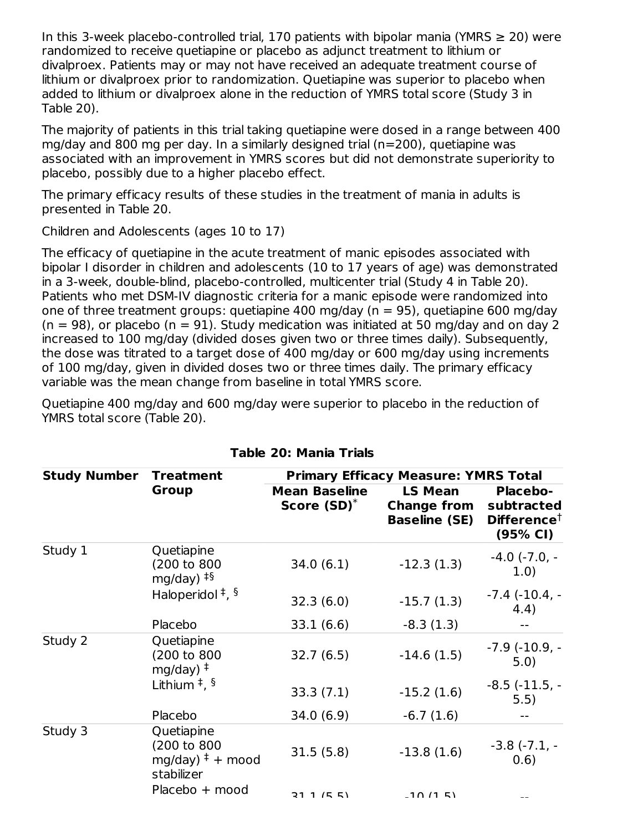In this 3-week placebo-controlled trial, 170 patients with bipolar mania (YMRS  $\geq$  20) were randomized to receive quetiapine or placebo as adjunct treatment to lithium or divalproex. Patients may or may not have received an adequate treatment course of lithium or divalproex prior to randomization. Quetiapine was superior to placebo when added to lithium or divalproex alone in the reduction of YMRS total score (Study 3 in Table 20).

The majority of patients in this trial taking quetiapine were dosed in a range between 400 mg/day and 800 mg per day. In a similarly designed trial (n=200), quetiapine was associated with an improvement in YMRS scores but did not demonstrate superiority to placebo, possibly due to a higher placebo effect.

The primary efficacy results of these studies in the treatment of mania in adults is presented in Table 20.

Children and Adolescents (ages 10 to 17)

The efficacy of quetiapine in the acute treatment of manic episodes associated with bipolar I disorder in children and adolescents (10 to 17 years of age) was demonstrated in a 3-week, double-blind, placebo-controlled, multicenter trial (Study 4 in Table 20). Patients who met DSM-IV diagnostic criteria for a manic episode were randomized into one of three treatment groups: quetiapine 400 mg/day ( $n = 95$ ), quetiapine 600 mg/day  $(n = 98)$ , or placebo  $(n = 91)$ . Study medication was initiated at 50 mg/day and on day 2 increased to 100 mg/day (divided doses given two or three times daily). Subsequently, the dose was titrated to a target dose of 400 mg/day or 600 mg/day using increments of 100 mg/day, given in divided doses two or three times daily. The primary efficacy variable was the mean change from baseline in total YMRS score.

Quetiapine 400 mg/day and 600 mg/day were superior to placebo in the reduction of YMRS total score (Table 20).

| <b>Study Number</b> | <b>Treatment</b>                                              | <b>Primary Efficacy Measure: YMRS Total</b>     |                                                              |                                                                                         |  |  |
|---------------------|---------------------------------------------------------------|-------------------------------------------------|--------------------------------------------------------------|-----------------------------------------------------------------------------------------|--|--|
|                     | Group                                                         | <b>Mean Baseline</b><br>Score (SD) <sup>*</sup> | <b>LS Mean</b><br><b>Change from</b><br><b>Baseline (SE)</b> | <b>Placebo-</b><br>subtracted<br>Difference <sup><math>\dagger</math></sup><br>(95% CI) |  |  |
| Study 1             | Quetiapine<br>(200 to 800<br>mg/day) $\pm$ §                  | 34.0(6.1)                                       | $-12.3(1.3)$                                                 | $-4.0$ ( $-7.0$ , $-$<br>1.0)                                                           |  |  |
|                     | Haloperidol <sup><math>\ddagger</math>, §</sup>               | 32.3(6.0)                                       | $-15.7(1.3)$                                                 | $-7.4$ ( $-10.4$ , $-$<br>4.4)                                                          |  |  |
|                     | Placebo                                                       | 33.1(6.6)                                       | $-8.3(1.3)$                                                  |                                                                                         |  |  |
| Study 2             | Quetiapine<br>(200 to 800<br>mg/day) $‡$                      | 32.7(6.5)                                       | $-14.6(1.5)$                                                 | $-7.9$ ( $-10.9$ , $-$<br>5.0)                                                          |  |  |
|                     | Lithium $\frac{1}{2}$ , $\frac{5}{2}$                         | 33.3(7.1)                                       | $-15.2(1.6)$                                                 | $-8.5$ ( $-11.5$ , $-$<br>5.5)                                                          |  |  |
|                     | Placebo                                                       | 34.0(6.9)                                       | $-6.7(1.6)$                                                  |                                                                                         |  |  |
| Study 3             | Quetiapine<br>(200 to 800<br>mg/day) $+$ + mood<br>stabilizer | 31.5(5.8)                                       | $-13.8(1.6)$                                                 | $-3.8(-7.1,-$<br>0.6)                                                                   |  |  |
|                     | Placebo + mood                                                | $211$ $(55)$                                    | $-10(15)$                                                    |                                                                                         |  |  |

# **Table 20: Mania Trials**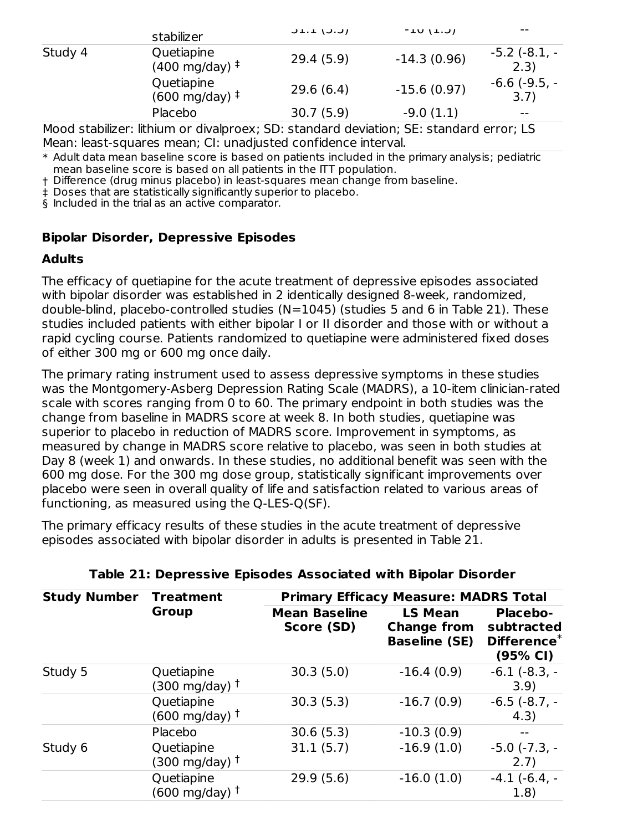|         | stabilizer                                        | JTT(T)    | $-10(1.0)$    | $- -$                         |
|---------|---------------------------------------------------|-----------|---------------|-------------------------------|
| Study 4 | Quetiapine<br>$(400 \text{ mg/day})$ <sup>‡</sup> | 29.4(5.9) | $-14.3(0.96)$ | $-5.2$ (-8.1, -<br>(2.3)      |
|         | Quetiapine<br>$(600 \text{ mg/day})$ ‡            | 29.6(6.4) | $-15.6(0.97)$ | $-6.6$ ( $-9.5$ , $-$<br>3.7) |
|         | Placebo                                           | 30.7(5.9) | $-9.0(1.1)$   | $- -$                         |

Mood stabilizer: lithium or divalproex; SD: standard deviation; SE: standard error; LS Mean: least-squares mean; CI: unadjusted confidence interval.

 $\ast$  Adult data mean baseline score is based on patients included in the primary analysis; pediatric mean baseline score is based on all patients in the ITT population.

† Difference (drug minus placebo) in least-squares mean change from baseline.

‡ Doses that are statistically significantly superior to placebo.

§ Included in the trial as an active comparator.

#### **Bipolar Disorder, Depressive Episodes**

#### **Adults**

The efficacy of quetiapine for the acute treatment of depressive episodes associated with bipolar disorder was established in 2 identically designed 8-week, randomized, double-blind, placebo-controlled studies (N=1045) (studies 5 and 6 in Table 21). These studies included patients with either bipolar I or II disorder and those with or without a rapid cycling course. Patients randomized to quetiapine were administered fixed doses of either 300 mg or 600 mg once daily.

The primary rating instrument used to assess depressive symptoms in these studies was the Montgomery-Asberg Depression Rating Scale (MADRS), a 10-item clinician-rated scale with scores ranging from 0 to 60. The primary endpoint in both studies was the change from baseline in MADRS score at week 8. In both studies, quetiapine was superior to placebo in reduction of MADRS score. Improvement in symptoms, as measured by change in MADRS score relative to placebo, was seen in both studies at Day 8 (week 1) and onwards. In these studies, no additional benefit was seen with the 600 mg dose. For the 300 mg dose group, statistically significant improvements over placebo were seen in overall quality of life and satisfaction related to various areas of functioning, as measured using the Q-LES-Q(SF).

The primary efficacy results of these studies in the acute treatment of depressive episodes associated with bipolar disorder in adults is presented in Table 21.

| <b>Study Number</b> | <b>Treatment</b>                                  | <b>Primary Efficacy Measure: MADRS Total</b> |                                                              |                                                                      |  |  |
|---------------------|---------------------------------------------------|----------------------------------------------|--------------------------------------------------------------|----------------------------------------------------------------------|--|--|
|                     | <b>Group</b>                                      | <b>Mean Baseline</b><br>Score (SD)           | <b>LS Mean</b><br><b>Change from</b><br><b>Baseline (SE)</b> | <b>Placebo-</b><br>subtracted<br>Difference <sup>*</sup><br>(95% CI) |  |  |
| Study 5             | Quetiapine<br>(300 mg/day) $^\dagger$             | 30.3(5.0)                                    | $-16.4(0.9)$                                                 | $-6.1$ $(-8.3, -$<br>3.9)                                            |  |  |
|                     | Quetiapine<br>$(600 \text{ mg/day})$ <sup>†</sup> | 30.3(5.3)                                    | $-16.7(0.9)$                                                 | $-6.5(-8.7,-$<br>4.3)                                                |  |  |
|                     | Placebo                                           | 30.6(5.3)                                    | $-10.3(0.9)$                                                 |                                                                      |  |  |
| Study 6             | Quetiapine<br>(300 mg/day) $^\dagger$             | 31.1(5.7)                                    | $-16.9(1.0)$                                                 | $-5.0$ ( $-7.3$ , $-$<br>2.7)                                        |  |  |
|                     | Quetiapine<br>(600 mg/day) $^{\dagger}$           | 29.9(5.6)                                    | $-16.0(1.0)$                                                 | $-4.1$ ( $-6.4$ , $-$<br>1.8)                                        |  |  |

#### **Table 21: Depressive Episodes Associated with Bipolar Disorder**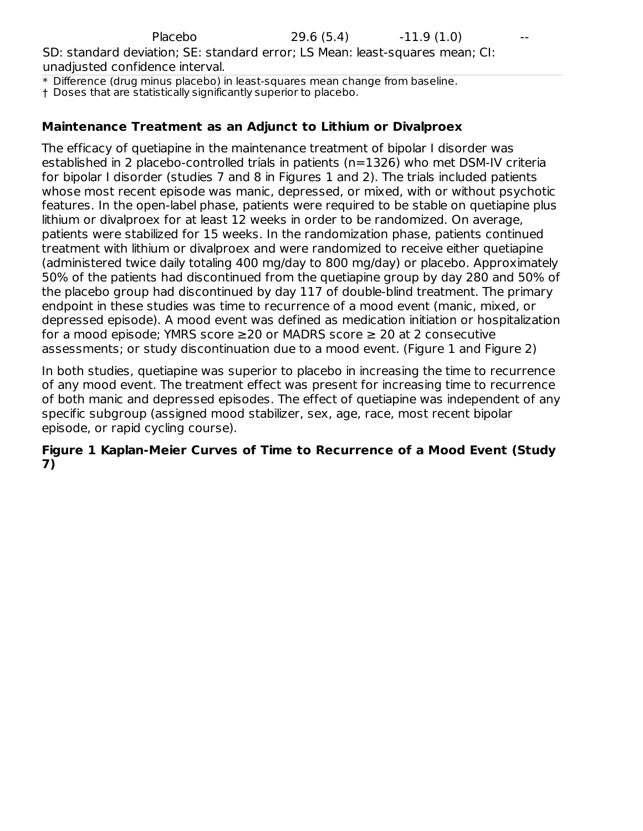SD: standard deviation; SE: standard error; LS Mean: least-squares mean; CI: unadjusted confidence interval.

\* Difference (drug minus placebo) in least-squares mean change from baseline.

† Doses that are statistically significantly superior to placebo.

### **Maintenance Treatment as an Adjunct to Lithium or Divalproex**

The efficacy of quetiapine in the maintenance treatment of bipolar I disorder was established in 2 placebo-controlled trials in patients (n=1326) who met DSM-IV criteria for bipolar I disorder (studies 7 and 8 in Figures 1 and 2). The trials included patients whose most recent episode was manic, depressed, or mixed, with or without psychotic features. In the open-label phase, patients were required to be stable on quetiapine plus lithium or divalproex for at least 12 weeks in order to be randomized. On average, patients were stabilized for 15 weeks. In the randomization phase, patients continued treatment with lithium or divalproex and were randomized to receive either quetiapine (administered twice daily totaling 400 mg/day to 800 mg/day) or placebo. Approximately 50% of the patients had discontinued from the quetiapine group by day 280 and 50% of the placebo group had discontinued by day 117 of double-blind treatment. The primary endpoint in these studies was time to recurrence of a mood event (manic, mixed, or depressed episode). A mood event was defined as medication initiation or hospitalization for a mood episode; YMRS score ≥20 or MADRS score ≥ 20 at 2 consecutive assessments; or study discontinuation due to a mood event. (Figure 1 and Figure 2)

In both studies, quetiapine was superior to placebo in increasing the time to recurrence of any mood event. The treatment effect was present for increasing time to recurrence of both manic and depressed episodes. The effect of quetiapine was independent of any specific subgroup (assigned mood stabilizer, sex, age, race, most recent bipolar episode, or rapid cycling course).

### **Figure 1 Kaplan-Meier Curves of Time to Recurrence of a Mood Event (Study 7)**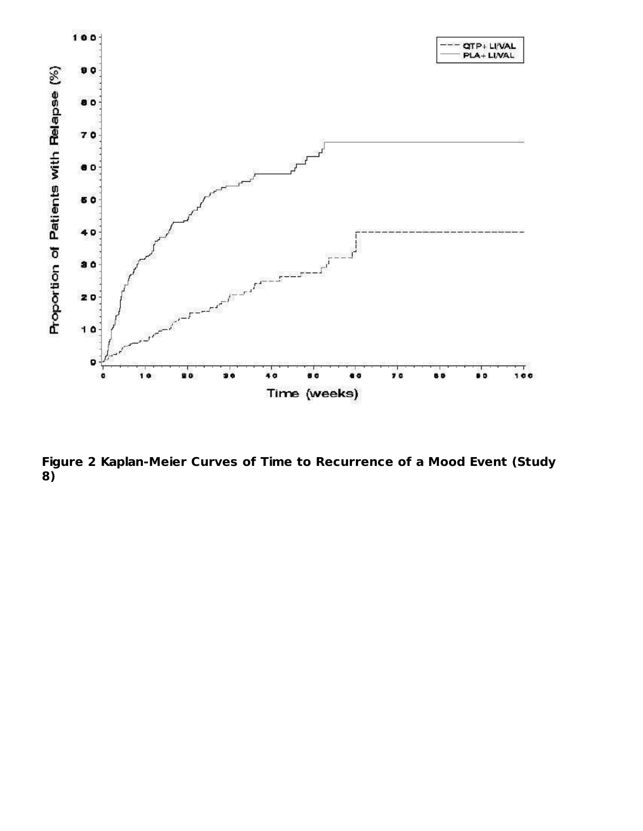

Figure 2 Kaplan-Meier Curves of Time to Recurrence of a Mood Event (Study **8 )**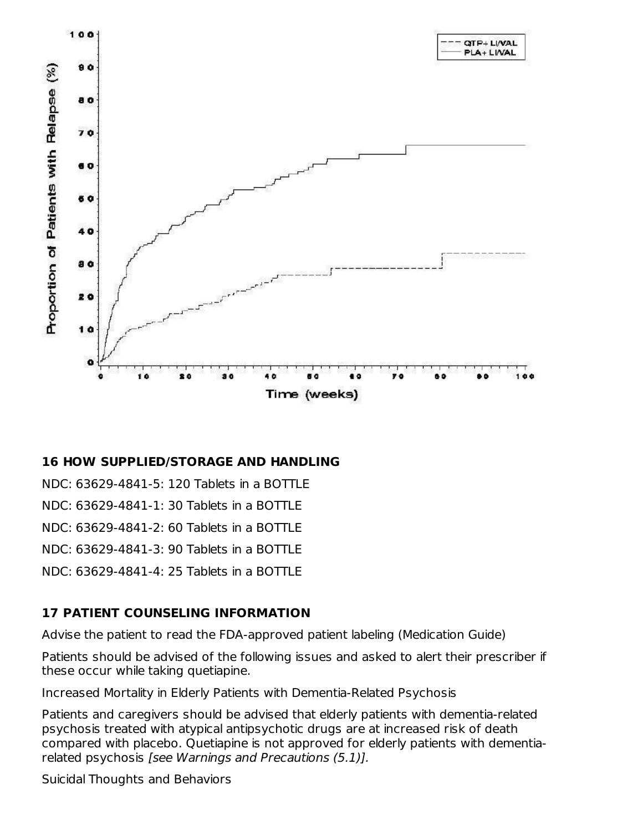

### **16 HOW SUPPLIED/STORAGE AND HANDLING**

NDC: 63629-4841-5: 120 Tablets in a BOTTLE

NDC: 63629-4841-1: 30 Tablets in a BOTTLE

NDC: 63629-4841-2: 60 Tablets in a BOTTLE

NDC: 63629-4841-3: 90 Tablets in a BOTTLE

NDC: 63629-4841-4: 25 Tablets in a BOTTLE

# **17 PATIENT COUNSELING INFORMATION**

Advise the patient to read the FDA-approved patient labeling (Medication Guide)

Patients should be advised of the following issues and asked to alert their prescriber if these occur while taking quetiapine.

Increased Mortality in Elderly Patients with Dementia-Related Psychosis

Patients and caregivers should be advised that elderly patients with dementia-related psychosis treated with atypical antipsychotic drugs are at increased risk of death compared with placebo. Quetiapine is not approved for elderly patients with dementiarelated psychosis [see Warnings and Precautions (5.1)].

Suicidal Thoughts and Behaviors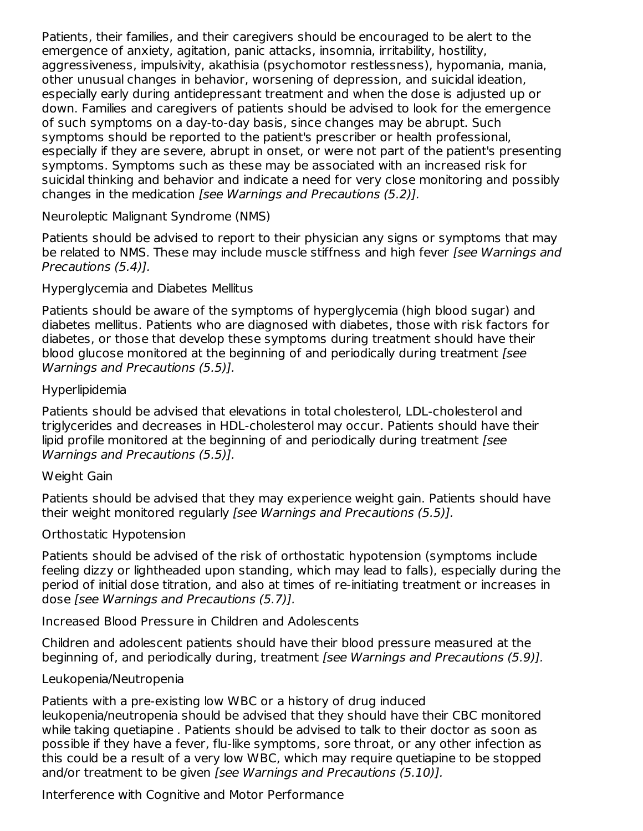Patients, their families, and their caregivers should be encouraged to be alert to the emergence of anxiety, agitation, panic attacks, insomnia, irritability, hostility, aggressiveness, impulsivity, akathisia (psychomotor restlessness), hypomania, mania, other unusual changes in behavior, worsening of depression, and suicidal ideation, especially early during antidepressant treatment and when the dose is adjusted up or down. Families and caregivers of patients should be advised to look for the emergence of such symptoms on a day-to-day basis, since changes may be abrupt. Such symptoms should be reported to the patient's prescriber or health professional, especially if they are severe, abrupt in onset, or were not part of the patient's presenting symptoms. Symptoms such as these may be associated with an increased risk for suicidal thinking and behavior and indicate a need for very close monitoring and possibly changes in the medication [see Warnings and Precautions (5.2)].

Neuroleptic Malignant Syndrome (NMS)

Patients should be advised to report to their physician any signs or symptoms that may be related to NMS. These may include muscle stiffness and high fever [see Warnings and Precautions (5.4)].

Hyperglycemia and Diabetes Mellitus

Patients should be aware of the symptoms of hyperglycemia (high blood sugar) and diabetes mellitus. Patients who are diagnosed with diabetes, those with risk factors for diabetes, or those that develop these symptoms during treatment should have their blood glucose monitored at the beginning of and periodically during treatment [see] Warnings and Precautions (5.5)].

### Hyperlipidemia

Patients should be advised that elevations in total cholesterol, LDL-cholesterol and triglycerides and decreases in HDL-cholesterol may occur. Patients should have their lipid profile monitored at the beginning of and periodically during treatment [see Warnings and Precautions (5.5)].

### Weight Gain

Patients should be advised that they may experience weight gain. Patients should have their weight monitored regularly [see Warnings and Precautions (5.5)].

### Orthostatic Hypotension

Patients should be advised of the risk of orthostatic hypotension (symptoms include feeling dizzy or lightheaded upon standing, which may lead to falls), especially during the period of initial dose titration, and also at times of re-initiating treatment or increases in dose [see Warnings and Precautions (5.7)].

### Increased Blood Pressure in Children and Adolescents

Children and adolescent patients should have their blood pressure measured at the beginning of, and periodically during, treatment [see Warnings and Precautions (5.9)].

### Leukopenia/Neutropenia

Patients with a pre-existing low WBC or a history of drug induced leukopenia/neutropenia should be advised that they should have their CBC monitored while taking quetiapine . Patients should be advised to talk to their doctor as soon as possible if they have a fever, flu-like symptoms, sore throat, or any other infection as this could be a result of a very low WBC, which may require quetiapine to be stopped and/or treatment to be given [see Warnings and Precautions (5.10)].

Interference with Cognitive and Motor Performance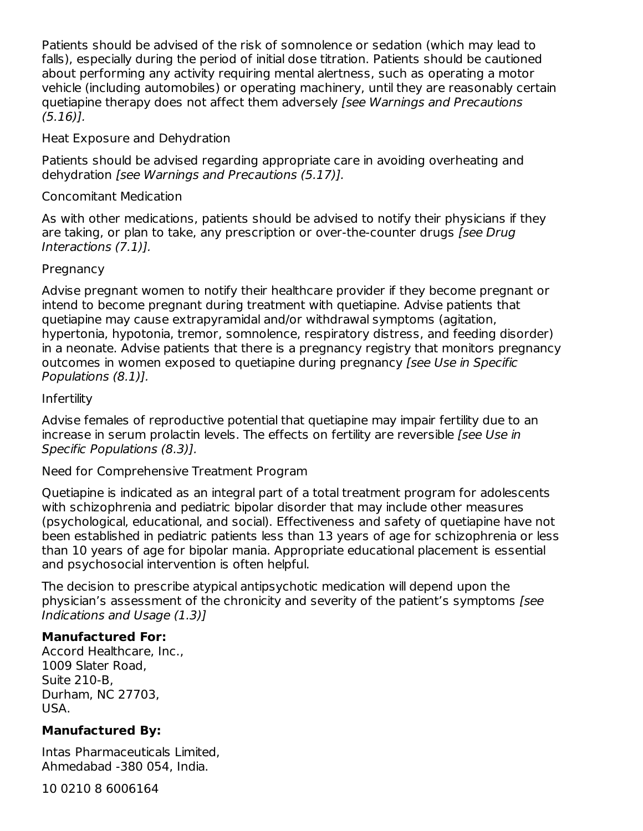Patients should be advised of the risk of somnolence or sedation (which may lead to falls), especially during the period of initial dose titration. Patients should be cautioned about performing any activity requiring mental alertness, such as operating a motor vehicle (including automobiles) or operating machinery, until they are reasonably certain quetiapine therapy does not affect them adversely [see Warnings and Precautions (5.16)].

Heat Exposure and Dehydration

Patients should be advised regarding appropriate care in avoiding overheating and dehydration [see Warnings and Precautions (5.17)].

Concomitant Medication

As with other medications, patients should be advised to notify their physicians if they are taking, or plan to take, any prescription or over-the-counter drugs [see Drug] Interactions (7.1)].

Pregnancy

Advise pregnant women to notify their healthcare provider if they become pregnant or intend to become pregnant during treatment with quetiapine. Advise patients that quetiapine may cause extrapyramidal and/or withdrawal symptoms (agitation, hypertonia, hypotonia, tremor, somnolence, respiratory distress, and feeding disorder) in a neonate. Advise patients that there is a pregnancy registry that monitors pregnancy outcomes in women exposed to quetiapine during pregnancy [see Use in Specific Populations (8.1)].

**Infertility** 

Advise females of reproductive potential that quetiapine may impair fertility due to an increase in serum prolactin levels. The effects on fertility are reversible [see Use in Specific Populations (8.3)].

Need for Comprehensive Treatment Program

Quetiapine is indicated as an integral part of a total treatment program for adolescents with schizophrenia and pediatric bipolar disorder that may include other measures (psychological, educational, and social). Effectiveness and safety of quetiapine have not been established in pediatric patients less than 13 years of age for schizophrenia or less than 10 years of age for bipolar mania. Appropriate educational placement is essential and psychosocial intervention is often helpful.

The decision to prescribe atypical antipsychotic medication will depend upon the physician's assessment of the chronicity and severity of the patient's symptoms [see Indications and Usage (1.3)]

### **Manufactured For:**

Accord Healthcare, Inc., 1009 Slater Road, Suite 210-B, Durham, NC 27703, USA.

### **Manufactured By:**

Intas Pharmaceuticals Limited, Ahmedabad -380 054, India.

10 0210 8 6006164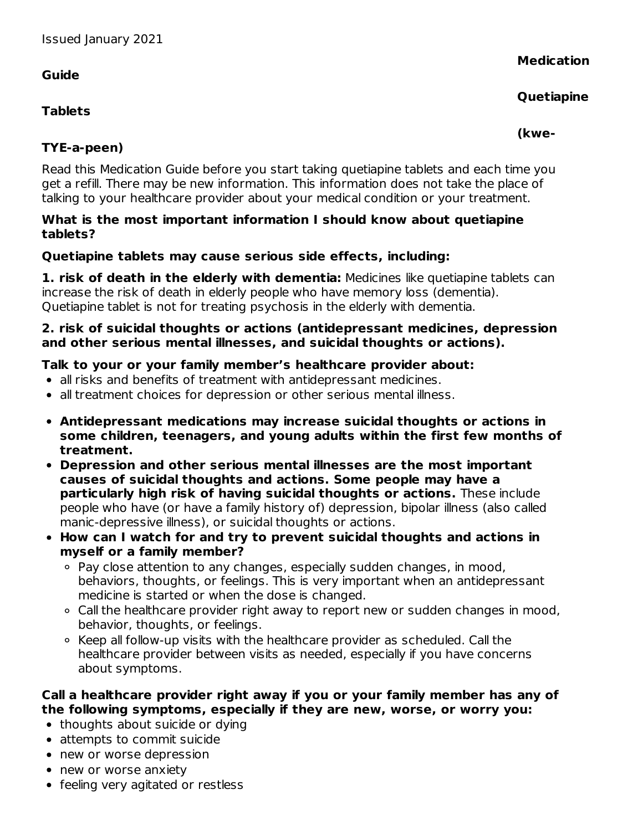#### **Guide**

### **Tablets**

**Quetiapine**

**Medication**

#### **(kwe-**

### **TYE-a-peen)**

Read this Medication Guide before you start taking quetiapine tablets and each time you get a refill. There may be new information. This information does not take the place of talking to your healthcare provider about your medical condition or your treatment.

#### **What is the most important information I should know about quetiapine tablets?**

### **Quetiapine tablets may cause serious side effects, including:**

**1. risk of death in the elderly with dementia:** Medicines like quetiapine tablets can increase the risk of death in elderly people who have memory loss (dementia). Quetiapine tablet is not for treating psychosis in the elderly with dementia.

#### **2. risk of suicidal thoughts or actions (antidepressant medicines, depression and other serious mental illnesses, and suicidal thoughts or actions).**

### **Talk to your or your family member's healthcare provider about:**

- all risks and benefits of treatment with antidepressant medicines.
- all treatment choices for depression or other serious mental illness.
- **Antidepressant medications may increase suicidal thoughts or actions in some children, teenagers, and young adults within the first few months of treatment.**
- **Depression and other serious mental illnesses are the most important causes of suicidal thoughts and actions. Some people may have a particularly high risk of having suicidal thoughts or actions.** These include people who have (or have a family history of) depression, bipolar illness (also called manic-depressive illness), or suicidal thoughts or actions.
- **How can I watch for and try to prevent suicidal thoughts and actions in myself or a family member?**
	- Pay close attention to any changes, especially sudden changes, in mood, behaviors, thoughts, or feelings. This is very important when an antidepressant medicine is started or when the dose is changed.
	- Call the healthcare provider right away to report new or sudden changes in mood, behavior, thoughts, or feelings.
	- o Keep all follow-up visits with the healthcare provider as scheduled. Call the healthcare provider between visits as needed, especially if you have concerns about symptoms.

### **Call a healthcare provider right away if you or your family member has any of the following symptoms, especially if they are new, worse, or worry you:**

- thoughts about suicide or dying
- attempts to commit suicide
- new or worse depression
- new or worse anxiety
- feeling very agitated or restless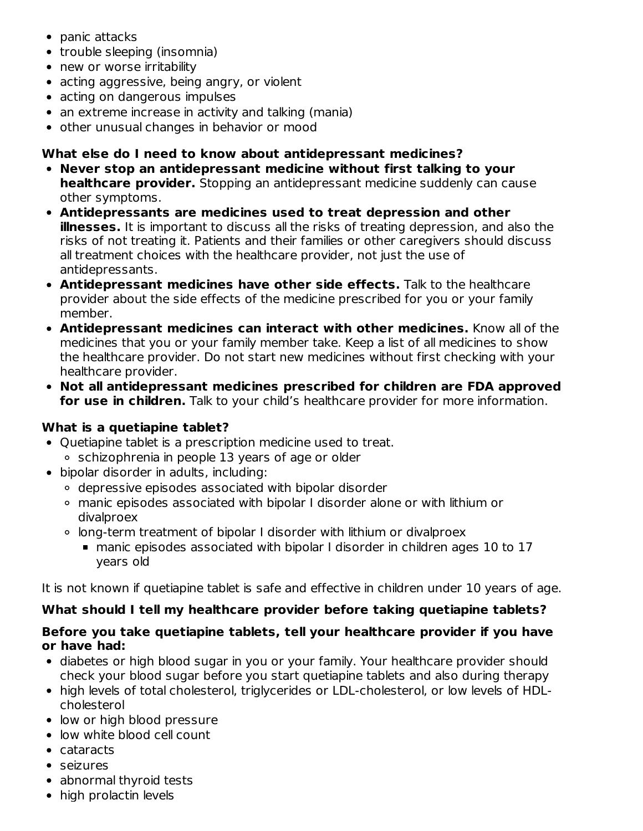- $\bullet$  panic attacks
- trouble sleeping (insomnia)
- new or worse irritability
- acting aggressive, being angry, or violent
- acting on dangerous impulses
- an extreme increase in activity and talking (mania)
- other unusual changes in behavior or mood

# **What else do I need to know about antidepressant medicines?**

- **Never stop an antidepressant medicine without first talking to your healthcare provider.** Stopping an antidepressant medicine suddenly can cause other symptoms.
- **Antidepressants are medicines used to treat depression and other illnesses.** It is important to discuss all the risks of treating depression, and also the risks of not treating it. Patients and their families or other caregivers should discuss all treatment choices with the healthcare provider, not just the use of antidepressants.
- **Antidepressant medicines have other side effects.** Talk to the healthcare provider about the side effects of the medicine prescribed for you or your family member.
- **Antidepressant medicines can interact with other medicines.** Know all of the medicines that you or your family member take. Keep a list of all medicines to show the healthcare provider. Do not start new medicines without first checking with your healthcare provider.
- **Not all antidepressant medicines prescribed for children are FDA approved for use in children.** Talk to your child's healthcare provider for more information.

### **What is a quetiapine tablet?**

- Quetiapine tablet is a prescription medicine used to treat.
	- schizophrenia in people 13 years of age or older
- bipolar disorder in adults, including:
	- depressive episodes associated with bipolar disorder
	- manic episodes associated with bipolar I disorder alone or with lithium or divalproex
	- long-term treatment of bipolar I disorder with lithium or divalproex
		- manic episodes associated with bipolar I disorder in children ages 10 to 17 years old

It is not known if quetiapine tablet is safe and effective in children under 10 years of age.

### **What should I tell my healthcare provider before taking quetiapine tablets?**

#### **Before you take quetiapine tablets, tell your healthcare provider if you have or have had:**

- diabetes or high blood sugar in you or your family. Your healthcare provider should check your blood sugar before you start quetiapine tablets and also during therapy
- high levels of total cholesterol, triglycerides or LDL-cholesterol, or low levels of HDLcholesterol
- low or high blood pressure
- low white blood cell count
- cataracts
- seizures
- abnormal thyroid tests
- high prolactin levels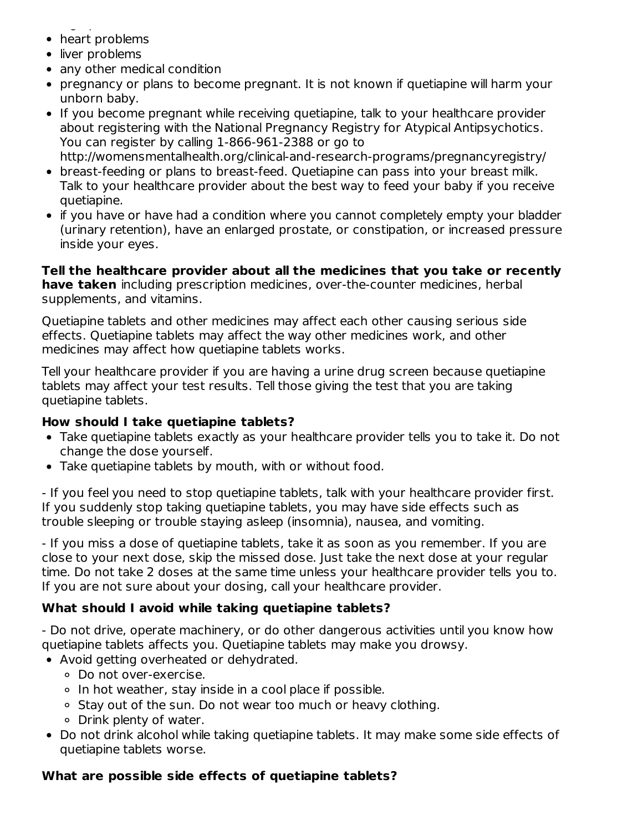- high prolactin levels • heart problems
- liver problems
- any other medical condition
- pregnancy or plans to become pregnant. It is not known if quetiapine will harm your unborn baby.
- If you become pregnant while receiving quetiapine, talk to your healthcare provider about registering with the National Pregnancy Registry for Atypical Antipsychotics. You can register by calling 1-866-961-2388 or go to
- http://womensmentalhealth.org/clinical-and-research-programs/pregnancyregistry/
- breast-feeding or plans to breast-feed. Quetiapine can pass into your breast milk. Talk to your healthcare provider about the best way to feed your baby if you receive quetiapine.
- if you have or have had a condition where you cannot completely empty your bladder (urinary retention), have an enlarged prostate, or constipation, or increased pressure inside your eyes.

**Tell the healthcare provider about all the medicines that you take or recently have taken** including prescription medicines, over-the-counter medicines, herbal supplements, and vitamins.

Quetiapine tablets and other medicines may affect each other causing serious side effects. Quetiapine tablets may affect the way other medicines work, and other medicines may affect how quetiapine tablets works.

Tell your healthcare provider if you are having a urine drug screen because quetiapine tablets may affect your test results. Tell those giving the test that you are taking quetiapine tablets.

### **How should I take quetiapine tablets?**

- Take quetiapine tablets exactly as your healthcare provider tells you to take it. Do not change the dose yourself.
- Take quetiapine tablets by mouth, with or without food.

- If you feel you need to stop quetiapine tablets, talk with your healthcare provider first. If you suddenly stop taking quetiapine tablets, you may have side effects such as trouble sleeping or trouble staying asleep (insomnia), nausea, and vomiting.

- If you miss a dose of quetiapine tablets, take it as soon as you remember. If you are close to your next dose, skip the missed dose. Just take the next dose at your regular time. Do not take 2 doses at the same time unless your healthcare provider tells you to. If you are not sure about your dosing, call your healthcare provider.

# **What should I avoid while taking quetiapine tablets?**

- Do not drive, operate machinery, or do other dangerous activities until you know how quetiapine tablets affects you. Quetiapine tablets may make you drowsy.

- Avoid getting overheated or dehydrated.
	- Do not over-exercise.
	- $\circ$  In hot weather, stay inside in a cool place if possible.
	- Stay out of the sun. Do not wear too much or heavy clothing.
	- Drink plenty of water.
- Do not drink alcohol while taking quetiapine tablets. It may make some side effects of quetiapine tablets worse.

# **What are possible side effects of quetiapine tablets?**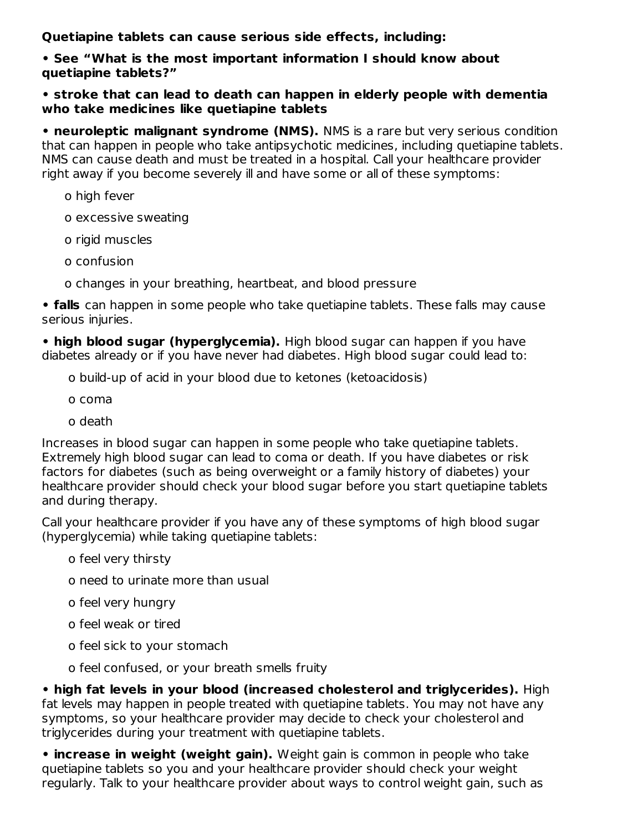**Quetiapine tablets can cause serious side effects, including:**

**• See "What is the most important information I should know about quetiapine tablets?"**

**• stroke that can lead to death can happen in elderly people with dementia who take medicines like quetiapine tablets**

**• neuroleptic malignant syndrome (NMS).** NMS is a rare but very serious condition that can happen in people who take antipsychotic medicines, including quetiapine tablets. NMS can cause death and must be treated in a hospital. Call your healthcare provider right away if you become severely ill and have some or all of these symptoms:

- o high fever
- o excessive sweating
- o rigid muscles
- o confusion
- o changes in your breathing, heartbeat, and blood pressure

**• falls** can happen in some people who take quetiapine tablets. These falls may cause serious injuries.

**• high blood sugar (hyperglycemia).** High blood sugar can happen if you have diabetes already or if you have never had diabetes. High blood sugar could lead to:

o build-up of acid in your blood due to ketones (ketoacidosis)

- o coma
- o death

Increases in blood sugar can happen in some people who take quetiapine tablets. Extremely high blood sugar can lead to coma or death. If you have diabetes or risk factors for diabetes (such as being overweight or a family history of diabetes) your healthcare provider should check your blood sugar before you start quetiapine tablets and during therapy.

Call your healthcare provider if you have any of these symptoms of high blood sugar (hyperglycemia) while taking quetiapine tablets:

- o feel very thirsty
- o need to urinate more than usual
- o feel very hungry
- o feel weak or tired
- o feel sick to your stomach
- o feel confused, or your breath smells fruity

**• high fat levels in your blood (increased cholesterol and triglycerides).** High fat levels may happen in people treated with quetiapine tablets. You may not have any symptoms, so your healthcare provider may decide to check your cholesterol and triglycerides during your treatment with quetiapine tablets.

**• increase in weight (weight gain).** Weight gain is common in people who take quetiapine tablets so you and your healthcare provider should check your weight regularly. Talk to your healthcare provider about ways to control weight gain, such as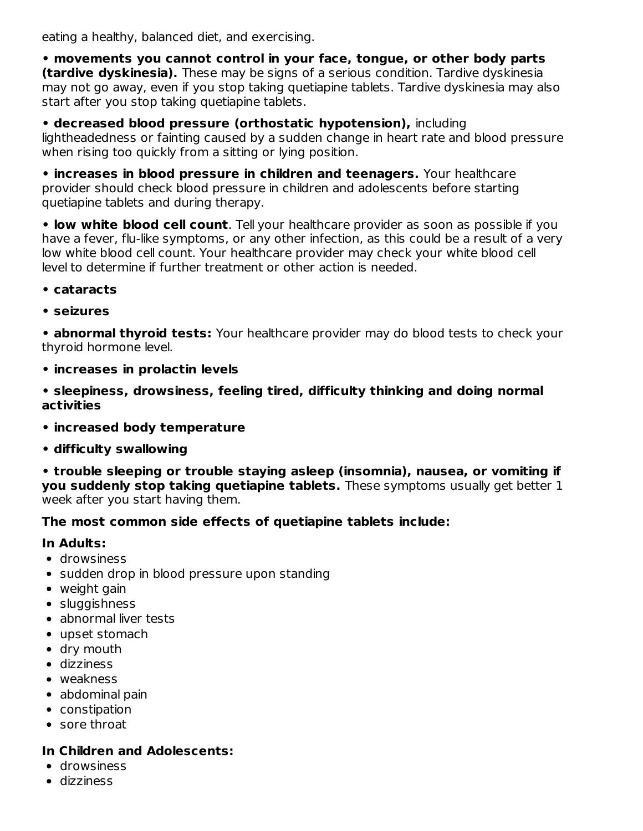eating a healthy, balanced diet, and exercising.

**• movements you cannot control in your face, tongue, or other body parts (tardive dyskinesia).** These may be signs of a serious condition. Tardive dyskinesia may not go away, even if you stop taking quetiapine tablets. Tardive dyskinesia may also start after you stop taking quetiapine tablets.

**• decreased blood pressure (orthostatic hypotension),** including lightheadedness or fainting caused by a sudden change in heart rate and blood pressure when rising too quickly from a sitting or lying position.

**• increases in blood pressure in children and teenagers.** Your healthcare provider should check blood pressure in children and adolescents before starting quetiapine tablets and during therapy.

**• low white blood cell count**. Tell your healthcare provider as soon as possible if you have a fever, flu-like symptoms, or any other infection, as this could be a result of a very low white blood cell count. Your healthcare provider may check your white blood cell level to determine if further treatment or other action is needed.

- **• cataracts**
- **• seizures**

**• abnormal thyroid tests:** Your healthcare provider may do blood tests to check your thyroid hormone level.

- **• increases in prolactin levels**
- **• sleepiness, drowsiness, feeling tired, difficulty thinking and doing normal activities**
- **• increased body temperature**
- **• difficulty swallowing**

**• trouble sleeping or trouble staying asleep (insomnia), nausea, or vomiting if you suddenly stop taking quetiapine tablets.** These symptoms usually get better 1 week after you start having them.

### **The most common side effects of quetiapine tablets include:**

### **In Adults:**

- drowsiness
- sudden drop in blood pressure upon standing
- weight gain
- sluggishness
- abnormal liver tests
- upset stomach
- dry mouth
- dizziness
- weakness
- abdominal pain
- constipation
- sore throat

### **In Children and Adolescents:**

- drowsiness
- dizziness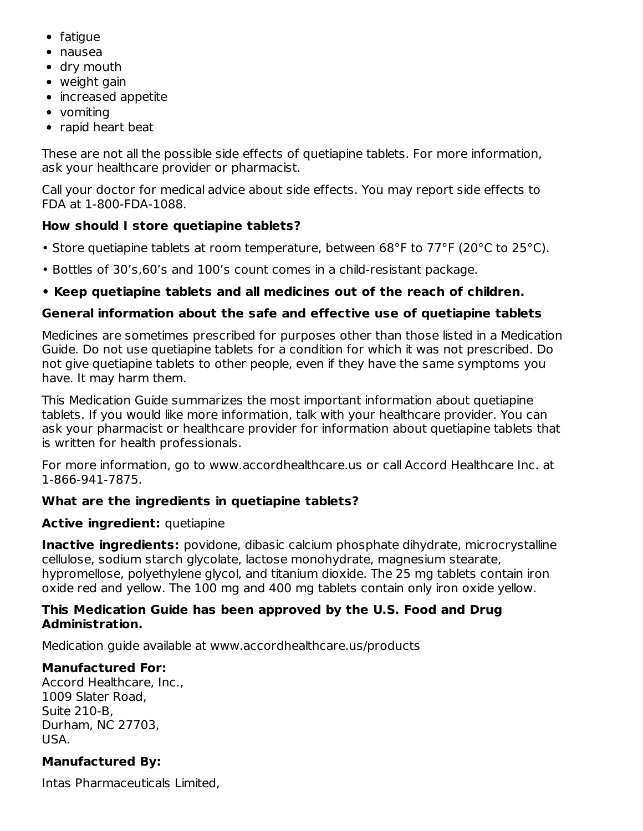- fatigue
- nausea
- dry mouth
- weight gain
- increased appetite
- vomiting
- rapid heart beat

These are not all the possible side effects of quetiapine tablets. For more information, ask your healthcare provider or pharmacist.

Call your doctor for medical advice about side effects. You may report side effects to FDA at 1-800-FDA-1088.

### **How should I store quetiapine tablets?**

- Store quetiapine tablets at room temperature, between 68°F to 77°F (20°C to 25°C).
- Bottles of 30's,60's and 100's count comes in a child-resistant package.

### **• Keep quetiapine tablets and all medicines out of the reach of children.**

### **General information about the safe and effective use of quetiapine tablets**

Medicines are sometimes prescribed for purposes other than those listed in a Medication Guide. Do not use quetiapine tablets for a condition for which it was not prescribed. Do not give quetiapine tablets to other people, even if they have the same symptoms you have. It may harm them.

This Medication Guide summarizes the most important information about quetiapine tablets. If you would like more information, talk with your healthcare provider. You can ask your pharmacist or healthcare provider for information about quetiapine tablets that is written for health professionals.

For more information, go to www.accordhealthcare.us or call Accord Healthcare Inc. at 1-866-941-7875.

### **What are the ingredients in quetiapine tablets?**

### **Active ingredient:** quetiapine

**Inactive ingredients:** povidone, dibasic calcium phosphate dihydrate, microcrystalline cellulose, sodium starch glycolate, lactose monohydrate, magnesium stearate, hypromellose, polyethylene glycol, and titanium dioxide. The 25 mg tablets contain iron oxide red and yellow. The 100 mg and 400 mg tablets contain only iron oxide yellow.

#### **This Medication Guide has been approved by the U.S. Food and Drug Administration.**

Medication guide available at www.accordhealthcare.us/products

### **Manufactured For:**

Accord Healthcare, Inc., 1009 Slater Road, Suite 210-B, Durham, NC 27703, USA.

# **Manufactured By:**

Intas Pharmaceuticals Limited,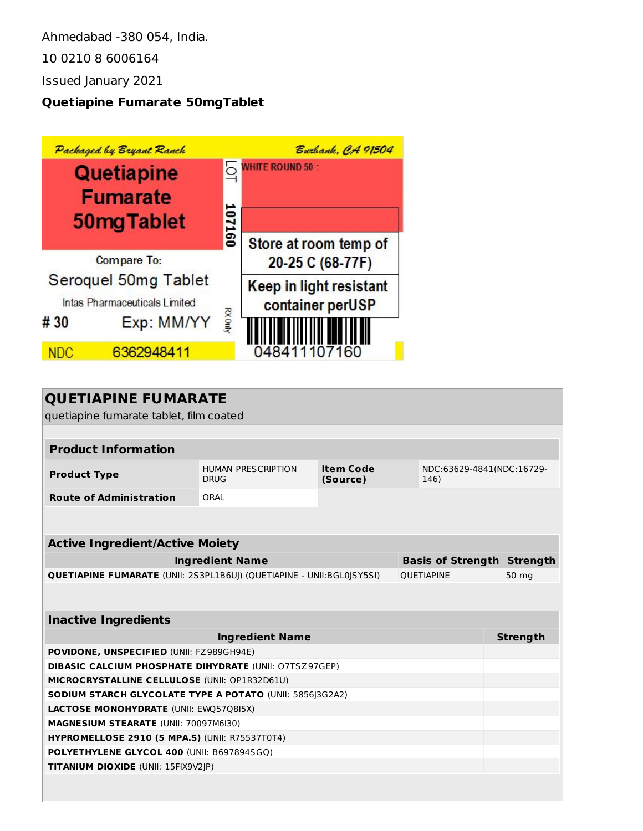Ahmedabad -380 054, India.

10 0210 8 6006164

Issued January 2021

# **Quetiapine Fumarate 50mgTablet**



# **QUETIAPINE FUMARATE**

quetiapine fumarate tablet, film coated

| <b>Product Information</b>                                                    |                                          |                              |                                   |                 |
|-------------------------------------------------------------------------------|------------------------------------------|------------------------------|-----------------------------------|-----------------|
| <b>Product Type</b>                                                           | <b>HUMAN PRESCRIPTION</b><br><b>DRUG</b> | <b>Item Code</b><br>(Source) | NDC:63629-4841(NDC:16729-<br>146) |                 |
| <b>Route of Administration</b>                                                | ORAI                                     |                              |                                   |                 |
|                                                                               |                                          |                              |                                   |                 |
| <b>Active Ingredient/Active Moiety</b>                                        |                                          |                              |                                   |                 |
|                                                                               | <b>Ingredient Name</b>                   |                              | <b>Basis of Strength Strength</b> |                 |
| <b>QUETIAPINE FUMARATE (UNII: 2S3PL1B6UJ) (QUETIAPINE - UNII: BGL0JSY5SI)</b> |                                          |                              | <b>OUETIAPINE</b>                 | 50 mg           |
|                                                                               |                                          |                              |                                   |                 |
| <b>Inactive Ingredients</b>                                                   |                                          |                              |                                   |                 |
|                                                                               | <b>Ingredient Name</b>                   |                              |                                   | <b>Strength</b> |
| <b>POVIDONE, UNSPECIFIED (UNII: FZ989GH94E)</b>                               |                                          |                              |                                   |                 |
| <b>DIBASIC CALCIUM PHOSPHATE DIHYDRATE (UNII: O7TSZ97GEP)</b>                 |                                          |                              |                                   |                 |
| MICROCRYSTALLINE CELLULOSE (UNII: OP1R32D61U)                                 |                                          |                              |                                   |                 |
| <b>SODIUM STARCH GLYCOLATE TYPE A POTATO (UNII: 5856 3G2A2)</b>               |                                          |                              |                                   |                 |
| <b>LACTOSE MONOHYDRATE (UNII: EWQ57Q8I5X)</b>                                 |                                          |                              |                                   |                 |
| MAGNESIUM STEARATE (UNII: 70097M6I30)                                         |                                          |                              |                                   |                 |
| HYPROMELLOSE 2910 (5 MPA.S) (UNII: R75537T0T4)                                |                                          |                              |                                   |                 |
| POLYETHYLENE GLYCOL 400 (UNII: B697894SGO)                                    |                                          |                              |                                   |                 |
| <b>TITANIUM DIOXIDE (UNII: 15FIX9V2JP)</b>                                    |                                          |                              |                                   |                 |
|                                                                               |                                          |                              |                                   |                 |
|                                                                               |                                          |                              |                                   |                 |